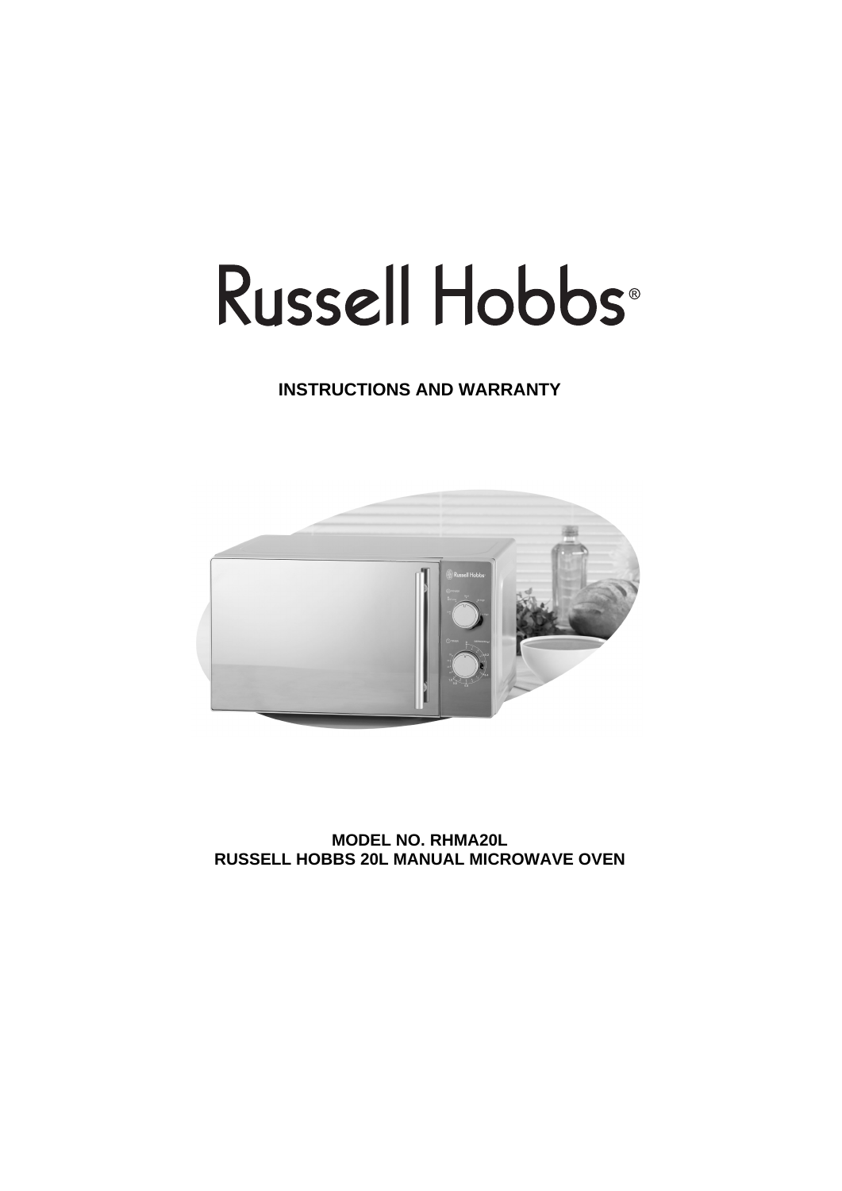# Russell Hobbs<sup>®</sup>

# **INSTRUCTIONS AND WARRANTY**



**MODEL NO. RHMA20L RUSSELL HOBBS 20L MANUAL MICROWAVE OVEN**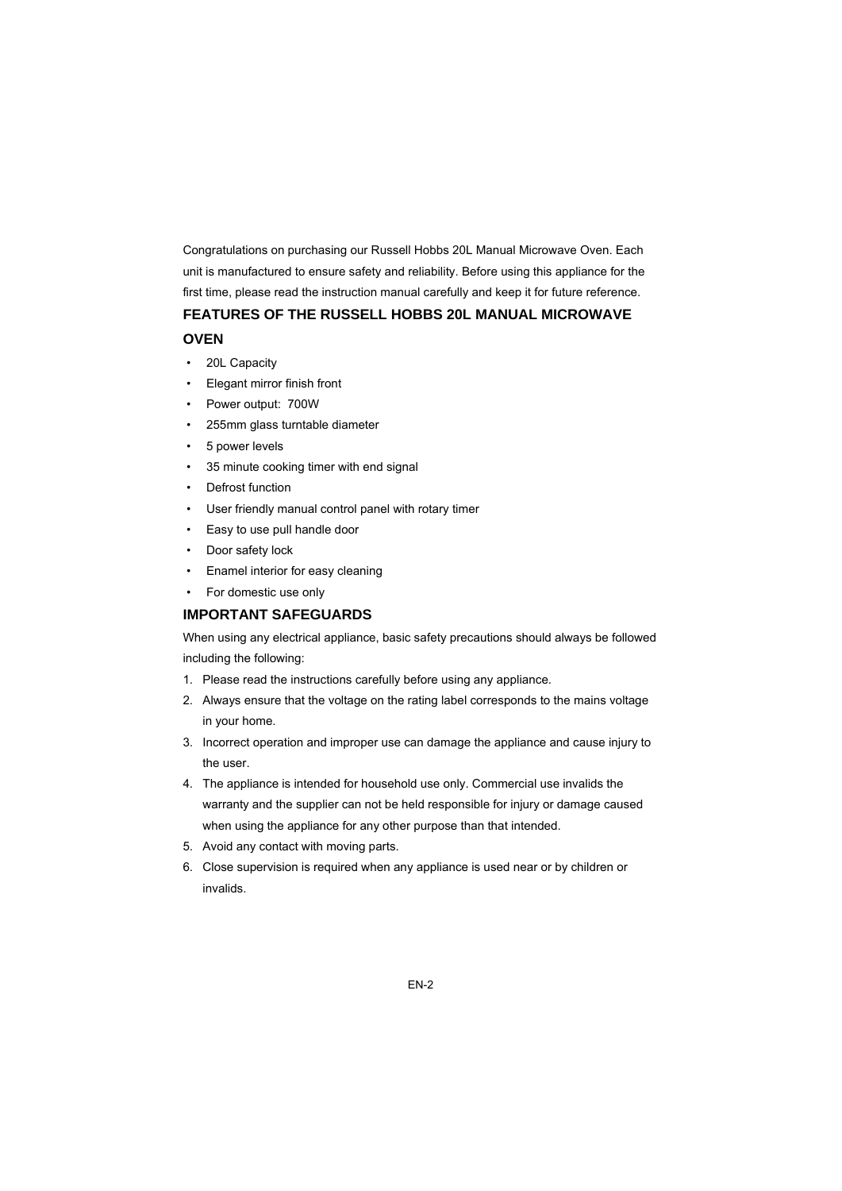Congratulations on purchasing our Russell Hobbs 20L Manual Microwave Oven. Each unit is manufactured to ensure safety and reliability. Before using this appliance for the first time, please read the instruction manual carefully and keep it for future reference.

# **FEATURES OF THE RUSSELL HOBBS 20L MANUAL MICROWAVE**

#### **OVEN**

- 20L Capacity
- Elegant mirror finish front
- Power output: 700W
- 255mm glass turntable diameter
- 5 power levels
- 35 minute cooking timer with end signal
- Defrost function
- User friendly manual control panel with rotary timer
- Easy to use pull handle door
- Door safety lock
- Enamel interior for easy cleaning
- For domestic use only

#### **IMPORTANT SAFEGUARDS**

When using any electrical appliance, basic safety precautions should always be followed including the following:

- 1. Please read the instructions carefully before using any appliance.
- 2. Always ensure that the voltage on the rating label corresponds to the mains voltage in your home.
- 3. Incorrect operation and improper use can damage the appliance and cause injury to the user.
- 4. The appliance is intended for household use only. Commercial use invalids the warranty and the supplier can not be held responsible for injury or damage caused when using the appliance for any other purpose than that intended.
- 5. Avoid any contact with moving parts.
- 6. Close supervision is required when any appliance is used near or by children or invalids.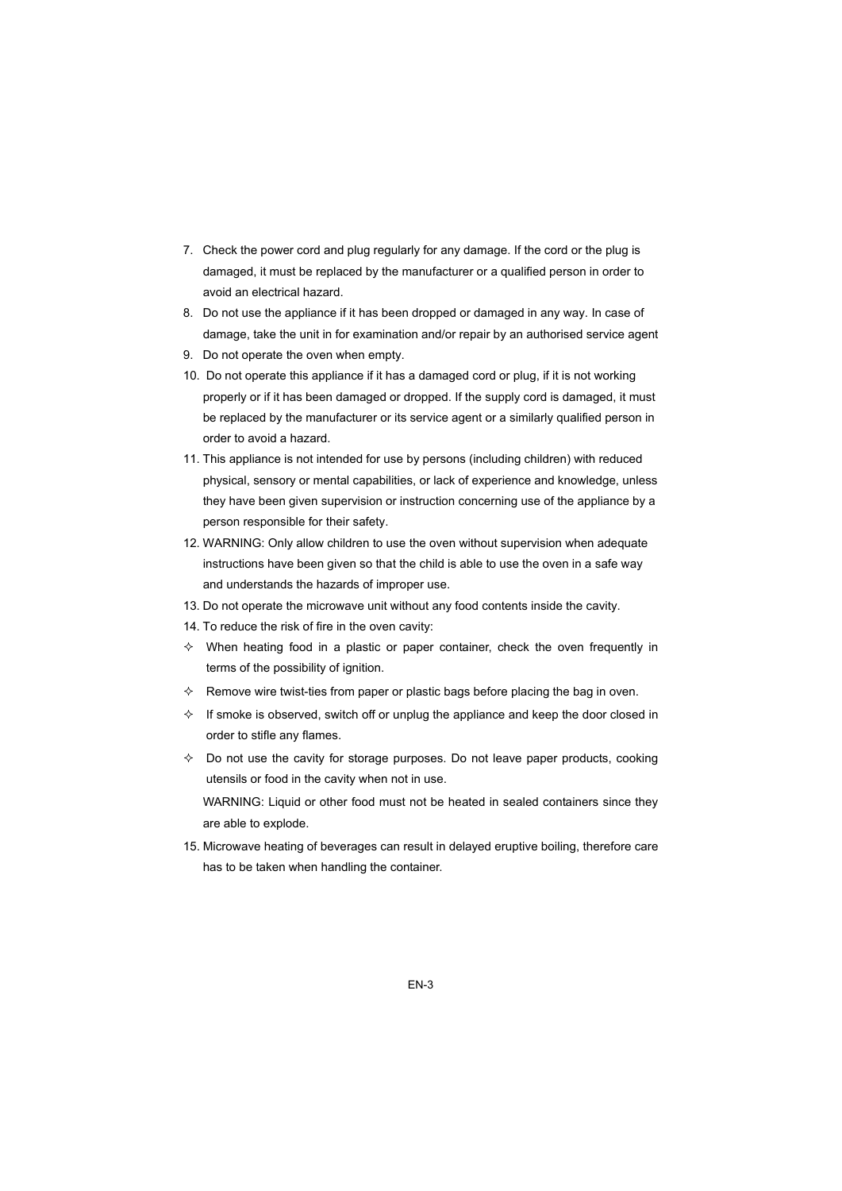- 7. Check the power cord and plug regularly for any damage. If the cord or the plug is damaged, it must be replaced by the manufacturer or a qualified person in order to avoid an electrical hazard.
- 8. Do not use the appliance if it has been dropped or damaged in any way. In case of damage, take the unit in for examination and/or repair by an authorised service agent
- 9. Do not operate the oven when empty.
- 10. Do not operate this appliance if it has a damaged cord or plug, if it is not working properly or if it has been damaged or dropped. If the supply cord is damaged, it must be replaced by the manufacturer or its service agent or a similarly qualified person in order to avoid a hazard.
- 11. This appliance is not intended for use by persons (including children) with reduced physical, sensory or mental capabilities, or lack of experience and knowledge, unless they have been given supervision or instruction concerning use of the appliance by a person responsible for their safety.
- 12. WARNING: Only allow children to use the oven without supervision when adequate instructions have been given so that the child is able to use the oven in a safe way and understands the hazards of improper use.
- 13. Do not operate the microwave unit without any food contents inside the cavity.
- 14. To reduce the risk of fire in the oven cavity:
- $\Diamond$  When heating food in a plastic or paper container, check the oven frequently in terms of the possibility of ignition.
- $\Diamond$  Remove wire twist-ties from paper or plastic bags before placing the bag in oven.
- $\div$  If smoke is observed, switch off or unplug the appliance and keep the door closed in order to stifle any flames.
- $\Diamond$  Do not use the cavity for storage purposes. Do not leave paper products, cooking utensils or food in the cavity when not in use.

WARNING: Liquid or other food must not be heated in sealed containers since they are able to explode.

15. Microwave heating of beverages can result in delayed eruptive boiling, therefore care has to be taken when handling the container.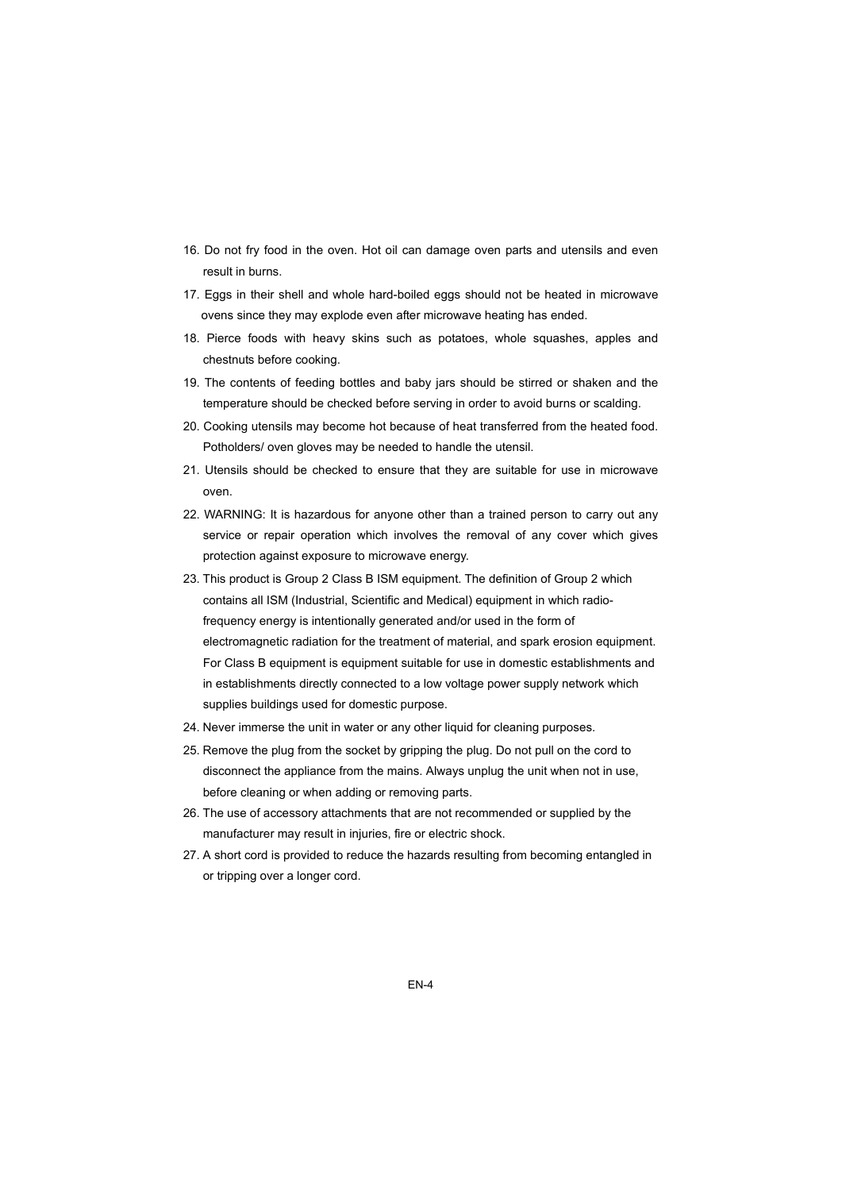- 16. Do not fry food in the oven. Hot oil can damage oven parts and utensils and even result in burns.
- 17. Eggs in their shell and whole hard-boiled eggs should not be heated in microwave ovens since they may explode even after microwave heating has ended.
- 18. Pierce foods with heavy skins such as potatoes, whole squashes, apples and chestnuts before cooking.
- 19. The contents of feeding bottles and baby jars should be stirred or shaken and the temperature should be checked before serving in order to avoid burns or scalding.
- 20. Cooking utensils may become hot because of heat transferred from the heated food. Potholders/ oven gloves may be needed to handle the utensil.
- 21. Utensils should be checked to ensure that they are suitable for use in microwave oven.
- 22. WARNING: It is hazardous for anyone other than a trained person to carry out any service or repair operation which involves the removal of any cover which gives protection against exposure to microwave energy.
- 23. This product is Group 2 Class B ISM equipment. The definition of Group 2 which contains all ISM (Industrial, Scientific and Medical) equipment in which radiofrequency energy is intentionally generated and/or used in the form of electromagnetic radiation for the treatment of material, and spark erosion equipment. For Class B equipment is equipment suitable for use in domestic establishments and in establishments directly connected to a low voltage power supply network which supplies buildings used for domestic purpose.
- 24. Never immerse the unit in water or any other liquid for cleaning purposes.
- 25. Remove the plug from the socket by gripping the plug. Do not pull on the cord to disconnect the appliance from the mains. Always unplug the unit when not in use, before cleaning or when adding or removing parts.
- 26. The use of accessory attachments that are not recommended or supplied by the manufacturer may result in injuries, fire or electric shock.
- 27. A short cord is provided to reduce the hazards resulting from becoming entangled in or tripping over a longer cord.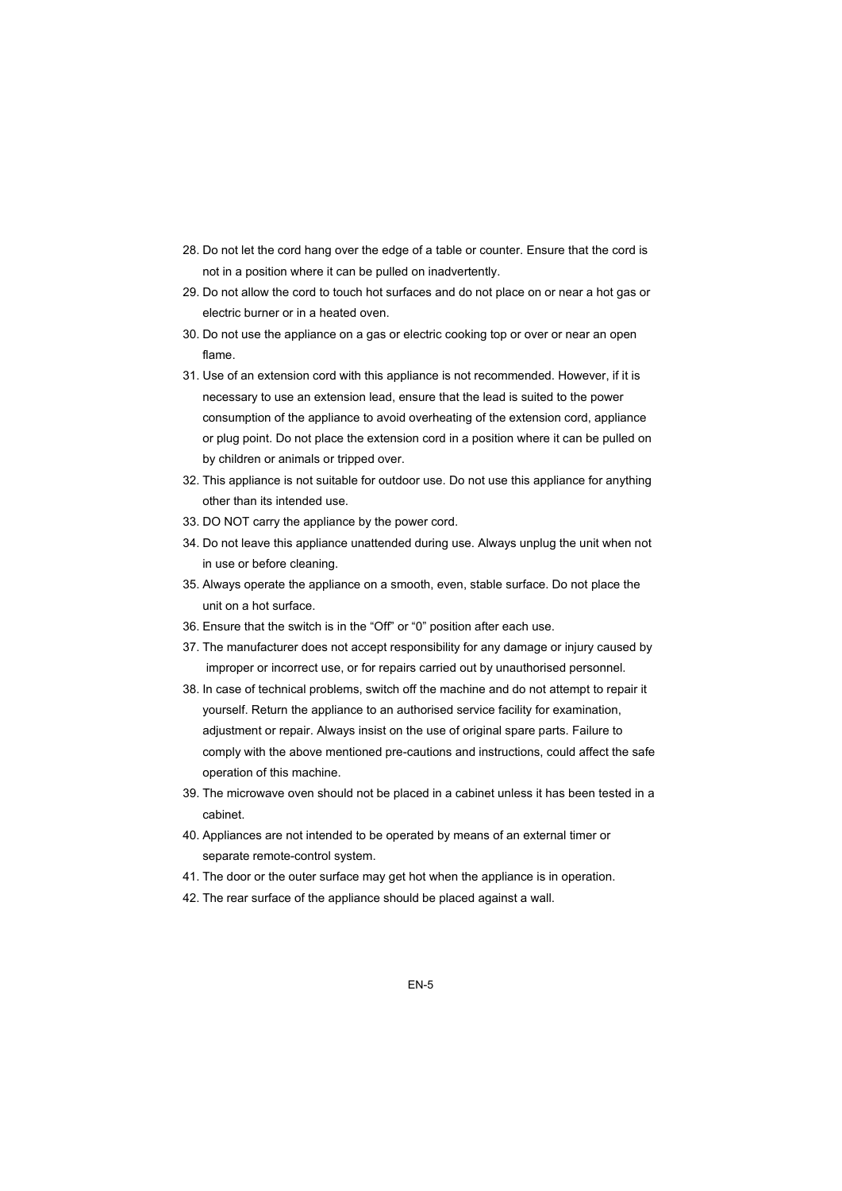- 28. Do not let the cord hang over the edge of a table or counter. Ensure that the cord is not in a position where it can be pulled on inadvertently.
- 29. Do not allow the cord to touch hot surfaces and do not place on or near a hot gas or electric burner or in a heated oven.
- 30. Do not use the appliance on a gas or electric cooking top or over or near an open flame.
- 31. Use of an extension cord with this appliance is not recommended. However, if it is necessary to use an extension lead, ensure that the lead is suited to the power consumption of the appliance to avoid overheating of the extension cord, appliance or plug point. Do not place the extension cord in a position where it can be pulled on by children or animals or tripped over.
- 32. This appliance is not suitable for outdoor use. Do not use this appliance for anything other than its intended use.
- 33. DO NOT carry the appliance by the power cord.
- 34. Do not leave this appliance unattended during use. Always unplug the unit when not in use or before cleaning.
- 35. Always operate the appliance on a smooth, even, stable surface. Do not place the unit on a hot surface.
- 36. Ensure that the switch is in the "Off" or "0" position after each use.
- 37. The manufacturer does not accept responsibility for any damage or injury caused by improper or incorrect use, or for repairs carried out by unauthorised personnel.
- 38. In case of technical problems, switch off the machine and do not attempt to repair it yourself. Return the appliance to an authorised service facility for examination, adjustment or repair. Always insist on the use of original spare parts. Failure to comply with the above mentioned pre-cautions and instructions, could affect the safe operation of this machine.
- 39. The microwave oven should not be placed in a cabinet unless it has been tested in a cabinet.
- 40. Appliances are not intended to be operated by means of an external timer or separate remote-control system.
- 41. The door or the outer surface may get hot when the appliance is in operation.
- 42. The rear surface of the appliance should be placed against a wall.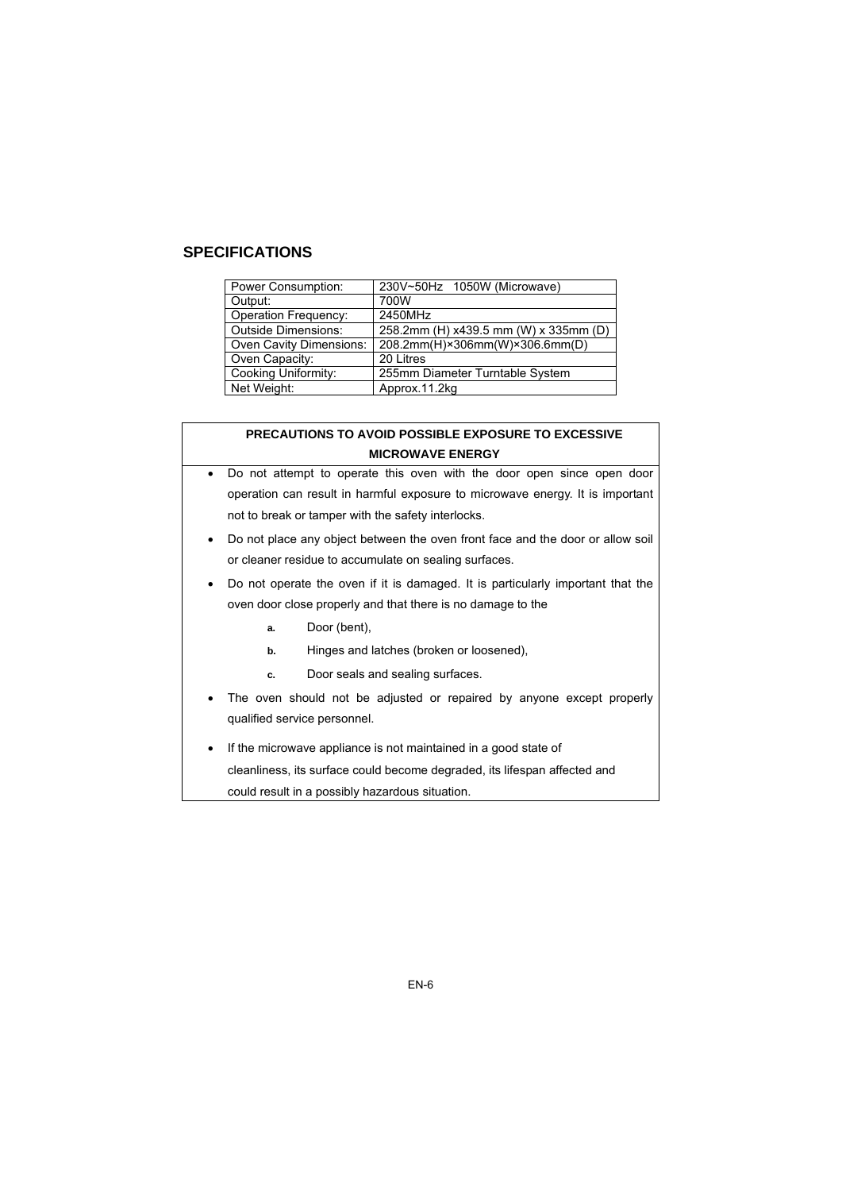# **SPECIFICATIONS**

| Power Consumption:          | 230V~50Hz 1050W (Microwave)           |  |
|-----------------------------|---------------------------------------|--|
| Output:                     | 700W                                  |  |
| <b>Operation Frequency:</b> | 2450MHz                               |  |
| <b>Outside Dimensions:</b>  | 258.2mm (H) x439.5 mm (W) x 335mm (D) |  |
| Oven Cavity Dimensions:     | 208.2mm(H)×306mm(W)×306.6mm(D)        |  |
| Oven Capacity:              | 20 Litres                             |  |
| Cooking Uniformity:         | 255mm Diameter Turntable System       |  |
| Net Weight:                 | Approx.11.2kg                         |  |

#### **PRECAUTIONS TO AVOID POSSIBLE EXPOSURE TO EXCESSIVE MICROWAVE ENERGY**

- Do not attempt to operate this oven with the door open since open door operation can result in harmful exposure to microwave energy. It is important not to break or tamper with the safety interlocks.
- Do not place any object between the oven front face and the door or allow soil or cleaner residue to accumulate on sealing surfaces.
- Do not operate the oven if it is damaged. It is particularly important that the oven door close properly and that there is no damage to the
	- **a.** Door (bent),
	- **b.** Hinges and latches (broken or loosened),
	- **c.** Door seals and sealing surfaces.
- The oven should not be adjusted or repaired by anyone except properly qualified service personnel.
- If the microwave appliance is not maintained in a good state of cleanliness, its surface could become degraded, its lifespan affected and could result in a possibly hazardous situation.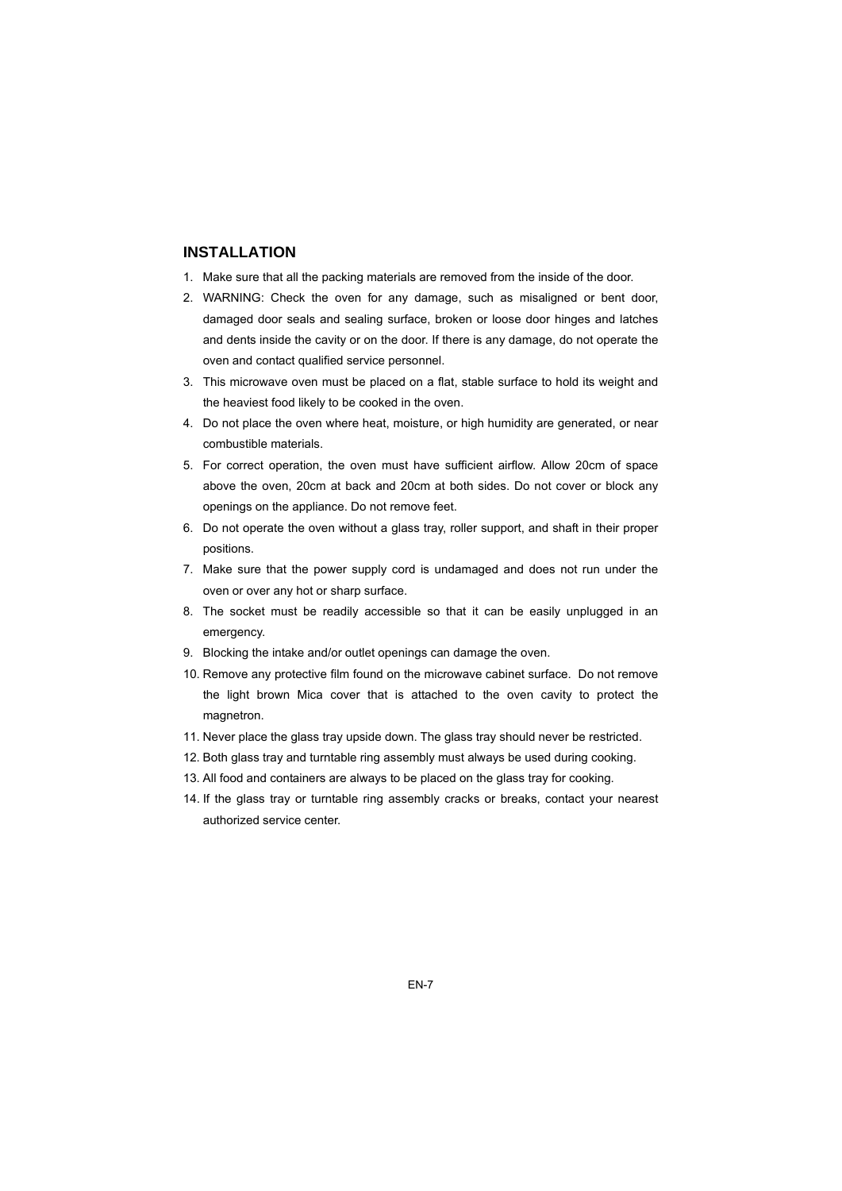## **INSTALLATION**

- 1. Make sure that all the packing materials are removed from the inside of the door.
- 2. WARNING: Check the oven for any damage, such as misaligned or bent door, damaged door seals and sealing surface, broken or loose door hinges and latches and dents inside the cavity or on the door. If there is any damage, do not operate the oven and contact qualified service personnel.
- 3. This microwave oven must be placed on a flat, stable surface to hold its weight and the heaviest food likely to be cooked in the oven.
- 4. Do not place the oven where heat, moisture, or high humidity are generated, or near combustible materials.
- 5. For correct operation, the oven must have sufficient airflow. Allow 20cm of space above the oven, 20cm at back and 20cm at both sides. Do not cover or block any openings on the appliance. Do not remove feet.
- 6. Do not operate the oven without a glass tray, roller support, and shaft in their proper positions.
- 7. Make sure that the power supply cord is undamaged and does not run under the oven or over any hot or sharp surface.
- 8. The socket must be readily accessible so that it can be easily unplugged in an emergency.
- 9. Blocking the intake and/or outlet openings can damage the oven.
- 10. Remove any protective film found on the microwave cabinet surface. Do not remove the light brown Mica cover that is attached to the oven cavity to protect the magnetron.
- 11. Never place the glass tray upside down. The glass tray should never be restricted.
- 12. Both glass tray and turntable ring assembly must always be used during cooking.
- 13. All food and containers are always to be placed on the glass tray for cooking.
- 14. If the glass tray or turntable ring assembly cracks or breaks, contact your nearest authorized service center.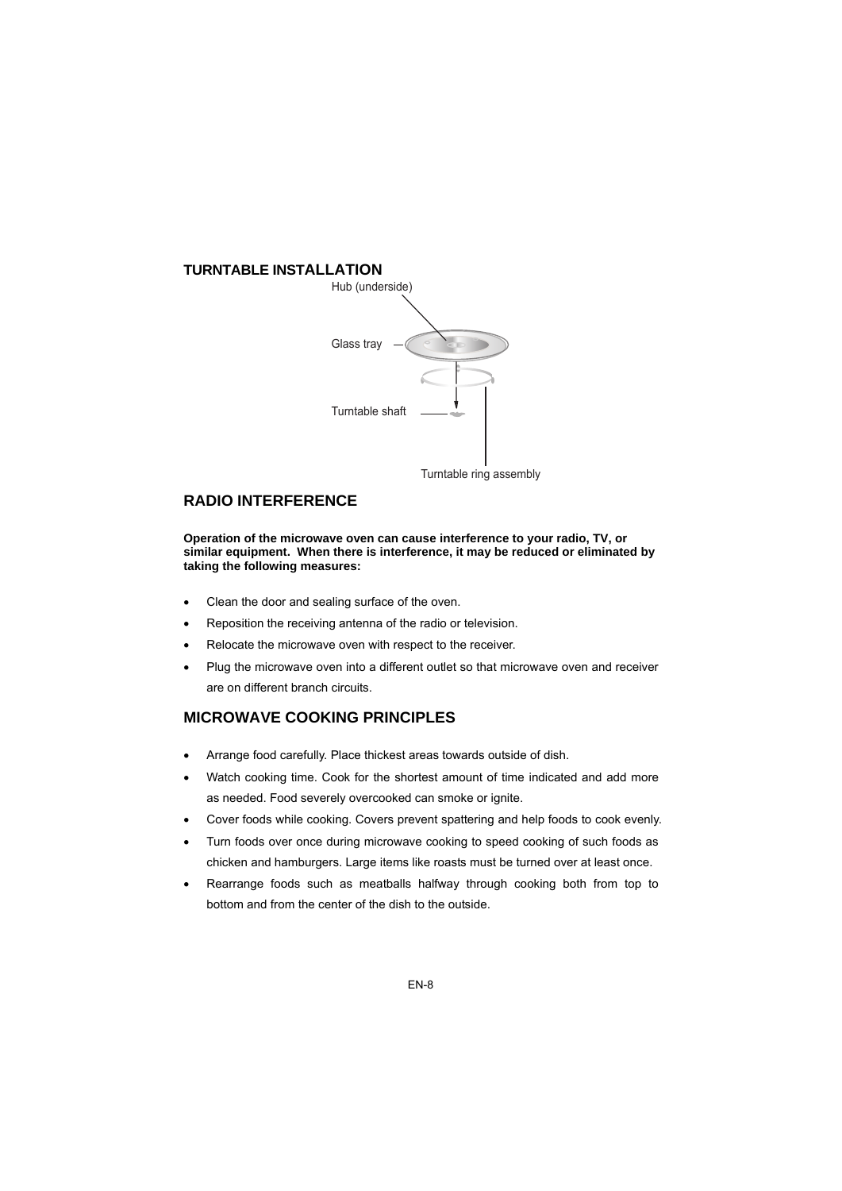# **TURNTABLE INSTALLATION** Hub (underside) Glass tray Turntable shaft

Turntable ring assembly

# **RADIO INTERFERENCE**

**Operation of the microwave oven can cause interference to your radio, TV, or similar equipment. When there is interference, it may be reduced or eliminated by taking the following measures:** 

- Clean the door and sealing surface of the oven.
- Reposition the receiving antenna of the radio or television.
- Relocate the microwave oven with respect to the receiver.
- Plug the microwave oven into a different outlet so that microwave oven and receiver are on different branch circuits.

# **MICROWAVE COOKING PRINCIPLES**

- Arrange food carefully. Place thickest areas towards outside of dish.
- Watch cooking time. Cook for the shortest amount of time indicated and add more as needed. Food severely overcooked can smoke or ignite.
- Cover foods while cooking. Covers prevent spattering and help foods to cook evenly.
- Turn foods over once during microwave cooking to speed cooking of such foods as chicken and hamburgers. Large items like roasts must be turned over at least once.
- Rearrange foods such as meatballs halfway through cooking both from top to bottom and from the center of the dish to the outside.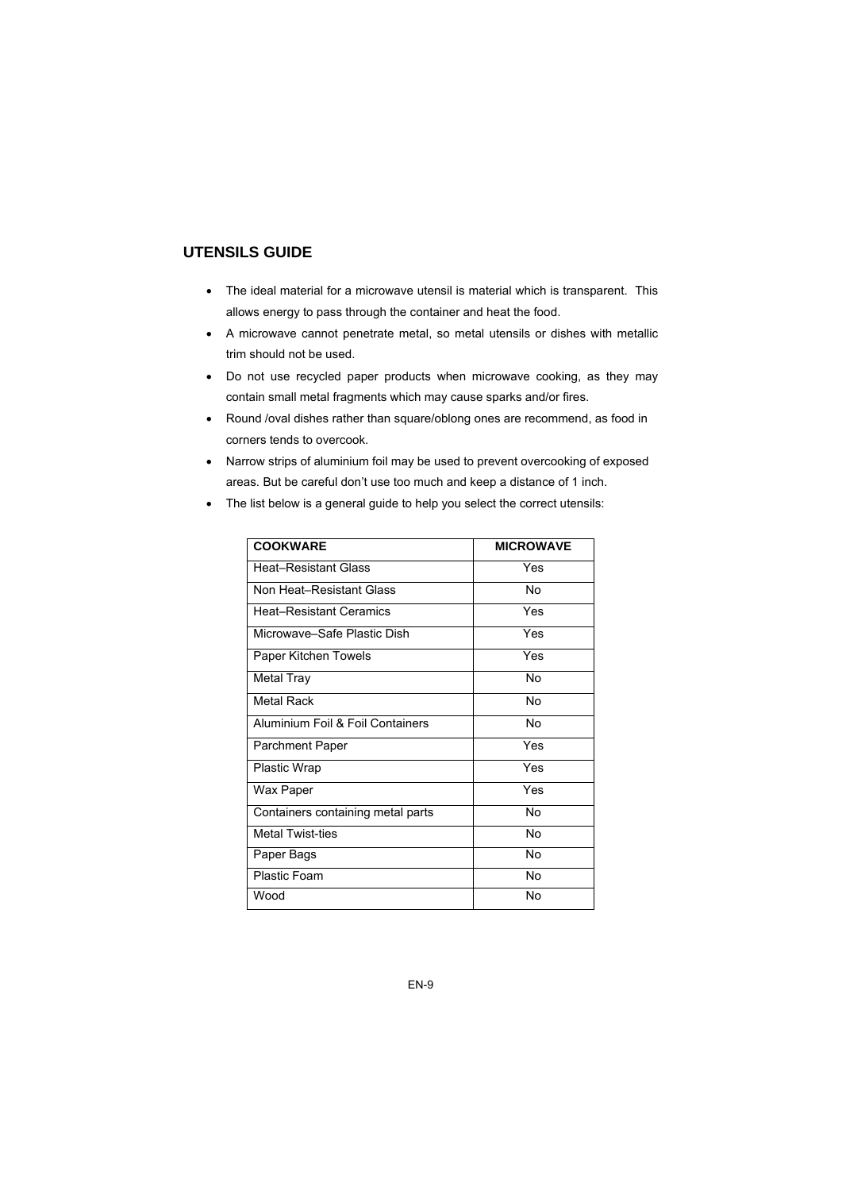# **UTENSILS GUIDE**

- The ideal material for a microwave utensil is material which is transparent. This allows energy to pass through the container and heat the food.
- A microwave cannot penetrate metal, so metal utensils or dishes with metallic trim should not be used.
- Do not use recycled paper products when microwave cooking, as they may contain small metal fragments which may cause sparks and/or fires.
- Round /oval dishes rather than square/oblong ones are recommend, as food in corners tends to overcook.
- Narrow strips of aluminium foil may be used to prevent overcooking of exposed areas. But be careful don't use too much and keep a distance of 1 inch.
- The list below is a general guide to help you select the correct utensils:

| <b>COOKWARE</b>                   | <b>MICROWAVE</b> |
|-----------------------------------|------------------|
| <b>Heat-Resistant Glass</b>       | Yes              |
| Non Heat-Resistant Glass          | No               |
| <b>Heat-Resistant Ceramics</b>    | Yes              |
| Microwave–Safe Plastic Dish       | Yes              |
| Paper Kitchen Towels              | Yes              |
| <b>Metal Tray</b>                 | No               |
| <b>Metal Rack</b>                 | <b>No</b>        |
| Aluminium Foil & Foil Containers  | No               |
| <b>Parchment Paper</b>            | Yes              |
| <b>Plastic Wrap</b>               | Yes              |
| Wax Paper                         | Yes              |
| Containers containing metal parts | No               |
| <b>Metal Twist-ties</b>           | No               |
| Paper Bags                        | <b>No</b>        |
| Plastic Foam                      | <b>No</b>        |
| Wood                              | No               |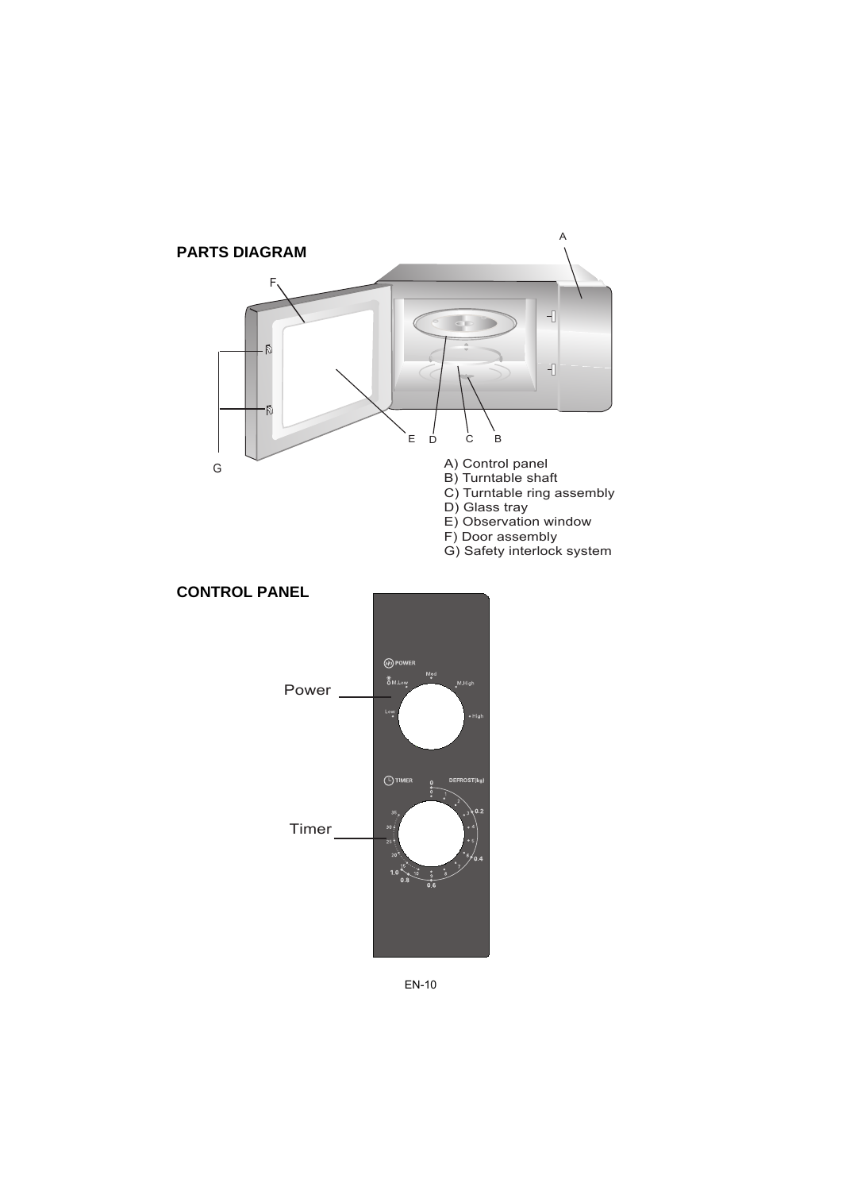



#### EN-10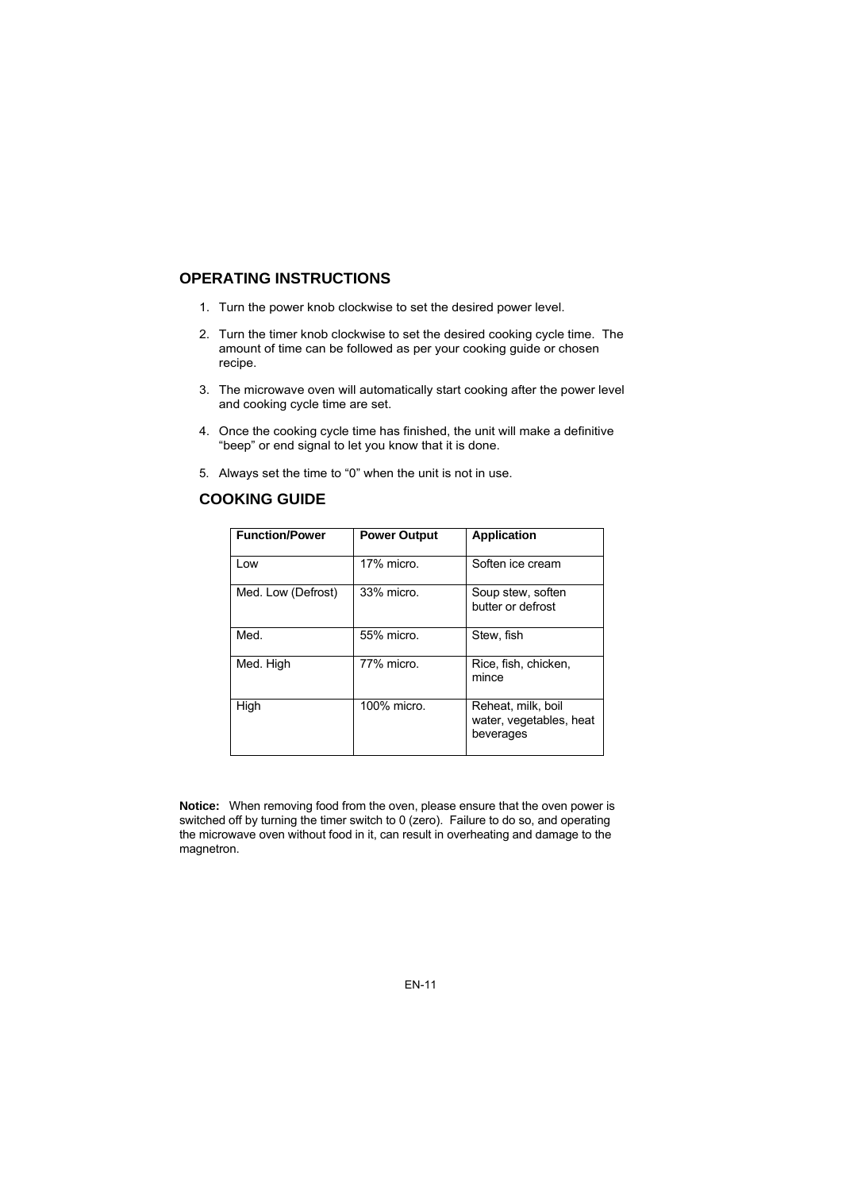# **OPERATING INSTRUCTIONS**

- 1. Turn the power knob clockwise to set the desired power level.
- 2. Turn the timer knob clockwise to set the desired cooking cycle time. The amount of time can be followed as per your cooking guide or chosen recipe.
- 3. The microwave oven will automatically start cooking after the power level and cooking cycle time are set.
- 4. Once the cooking cycle time has finished, the unit will make a definitive "beep" or end signal to let you know that it is done.
- 5. Always set the time to "0" when the unit is not in use.

| <b>Function/Power</b> | <b>Power Output</b> | <b>Application</b>                                         |
|-----------------------|---------------------|------------------------------------------------------------|
| Low                   | 17% micro.          | Soften ice cream                                           |
| Med. Low (Defrost)    | 33% micro.          | Soup stew, soften<br>butter or defrost                     |
| Med.                  | 55% micro.          | Stew, fish                                                 |
| Med. High             | 77% micro.          | Rice, fish, chicken,<br>mince                              |
| High                  | 100% micro.         | Reheat, milk, boil<br>water, vegetables, heat<br>beverages |

**Notice:** When removing food from the oven, please ensure that the oven power is switched off by turning the timer switch to 0 (zero). Failure to do so, and operating the microwave oven without food in it, can result in overheating and damage to the magnetron.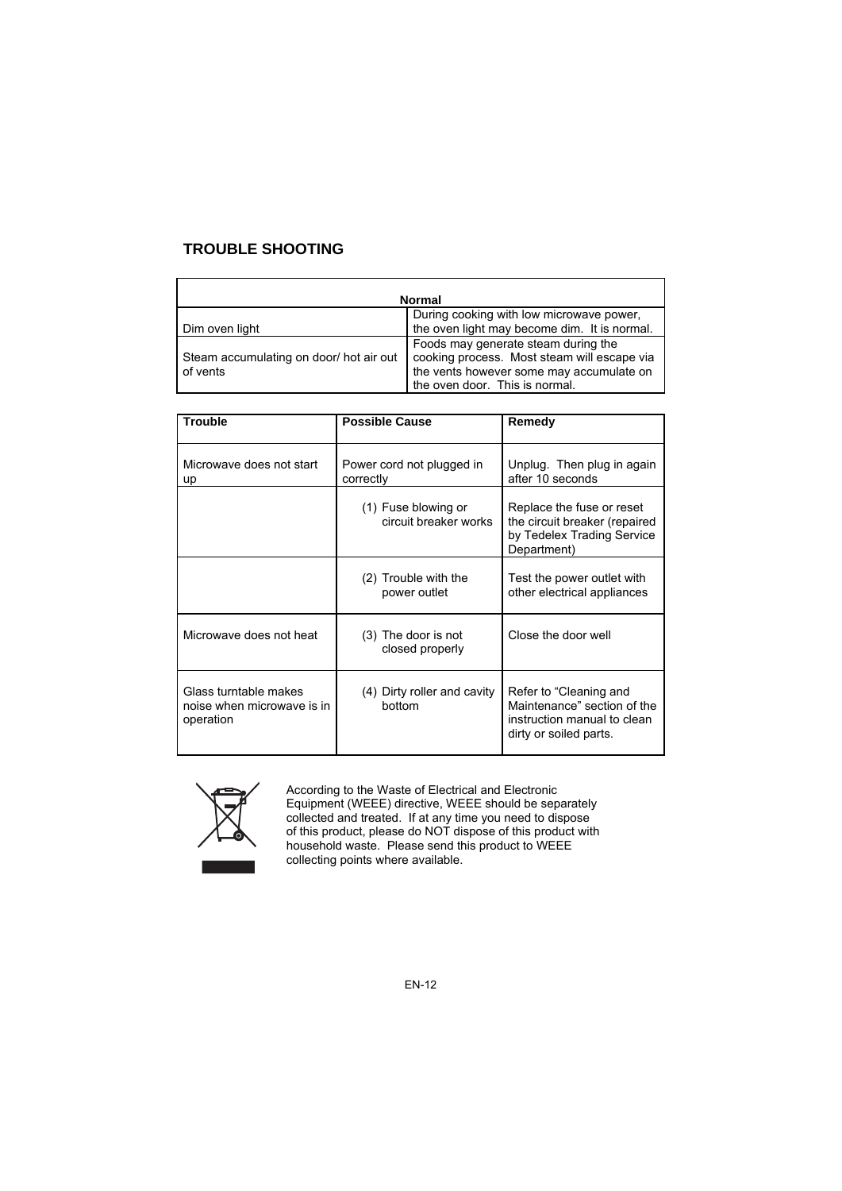# **TROUBLE SHOOTING**

| <b>Normal</b>                                       |                                                                                                                                                                  |  |
|-----------------------------------------------------|------------------------------------------------------------------------------------------------------------------------------------------------------------------|--|
| Dim oven light                                      | During cooking with low microwave power,<br>the oven light may become dim. It is normal.                                                                         |  |
| Steam accumulating on door/ hot air out<br>of vents | Foods may generate steam during the<br>cooking process. Most steam will escape via<br>the vents however some may accumulate on<br>the oven door. This is normal. |  |

| <b>Trouble</b>                                                   | <b>Possible Cause</b>                        | Remedy                                                                                                         |
|------------------------------------------------------------------|----------------------------------------------|----------------------------------------------------------------------------------------------------------------|
| Microwave does not start<br>up                                   | Power cord not plugged in<br>correctly       | Unplug. Then plug in again<br>after 10 seconds                                                                 |
|                                                                  | (1) Fuse blowing or<br>circuit breaker works | Replace the fuse or reset<br>the circuit breaker (repaired<br>by Tedelex Trading Service<br>Department)        |
|                                                                  | (2) Trouble with the<br>power outlet         | Test the power outlet with<br>other electrical appliances                                                      |
| Microwave does not heat                                          | (3) The door is not<br>closed properly       | Close the door well                                                                                            |
| Glass turntable makes<br>noise when microwave is in<br>operation | (4) Dirty roller and cavity<br>bottom        | Refer to "Cleaning and<br>Maintenance" section of the<br>instruction manual to clean<br>dirty or soiled parts. |

According to the Waste of Electrical and Electronic Equipment (WEEE) directive, WEEE should be separately collected and treated. If at any time you need to dispose of this product, please do NOT dispose of this product with household waste. Please send this product to WEEE collecting points where available.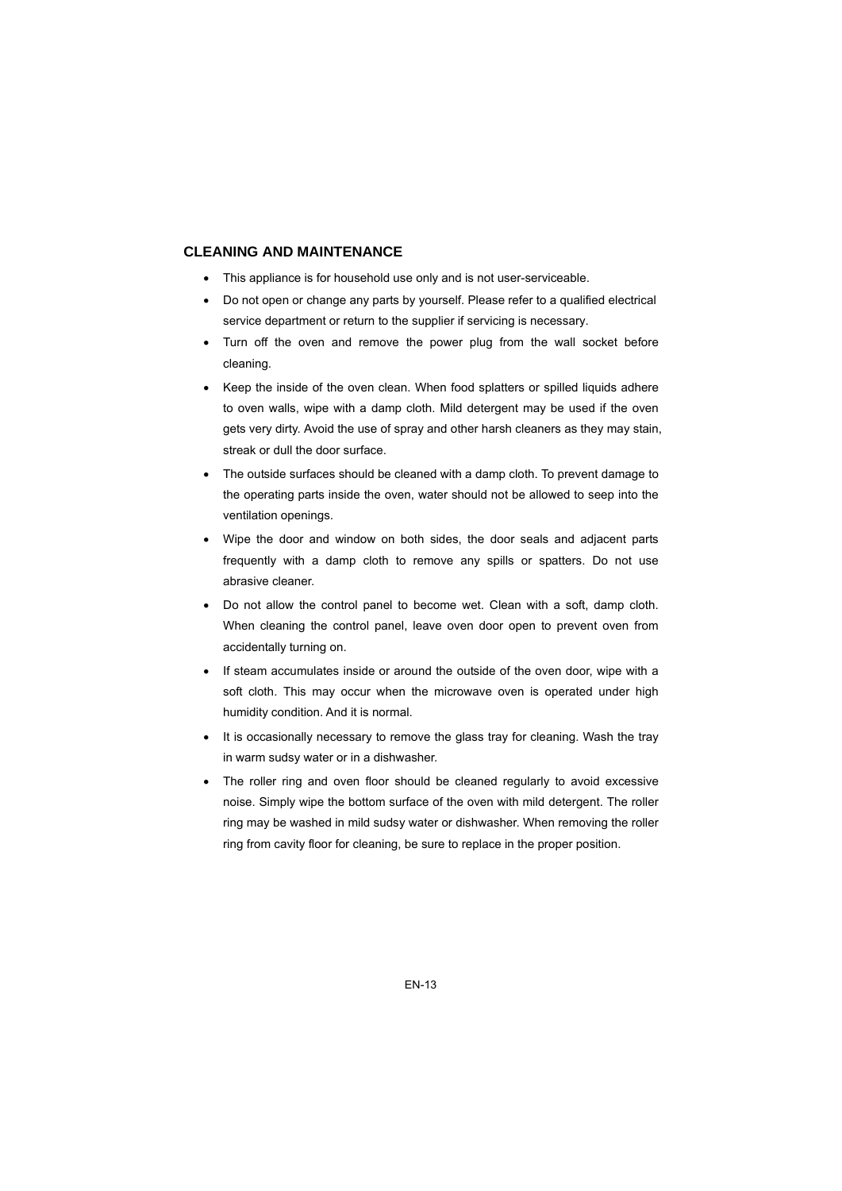#### **CLEANING AND MAINTENANCE**

- This appliance is for household use only and is not user-serviceable.
- Do not open or change any parts by yourself. Please refer to a qualified electrical service department or return to the supplier if servicing is necessary.
- Turn off the oven and remove the power plug from the wall socket before cleaning.
- Keep the inside of the oven clean. When food splatters or spilled liquids adhere to oven walls, wipe with a damp cloth. Mild detergent may be used if the oven gets very dirty. Avoid the use of spray and other harsh cleaners as they may stain, streak or dull the door surface.
- The outside surfaces should be cleaned with a damp cloth. To prevent damage to the operating parts inside the oven, water should not be allowed to seep into the ventilation openings.
- Wipe the door and window on both sides, the door seals and adjacent parts frequently with a damp cloth to remove any spills or spatters. Do not use abrasive cleaner.
- Do not allow the control panel to become wet. Clean with a soft, damp cloth. When cleaning the control panel, leave oven door open to prevent oven from accidentally turning on.
- If steam accumulates inside or around the outside of the oven door, wipe with a soft cloth. This may occur when the microwave oven is operated under high humidity condition. And it is normal.
- It is occasionally necessary to remove the glass tray for cleaning. Wash the tray in warm sudsy water or in a dishwasher.
- The roller ring and oven floor should be cleaned regularly to avoid excessive noise. Simply wipe the bottom surface of the oven with mild detergent. The roller ring may be washed in mild sudsy water or dishwasher. When removing the roller ring from cavity floor for cleaning, be sure to replace in the proper position.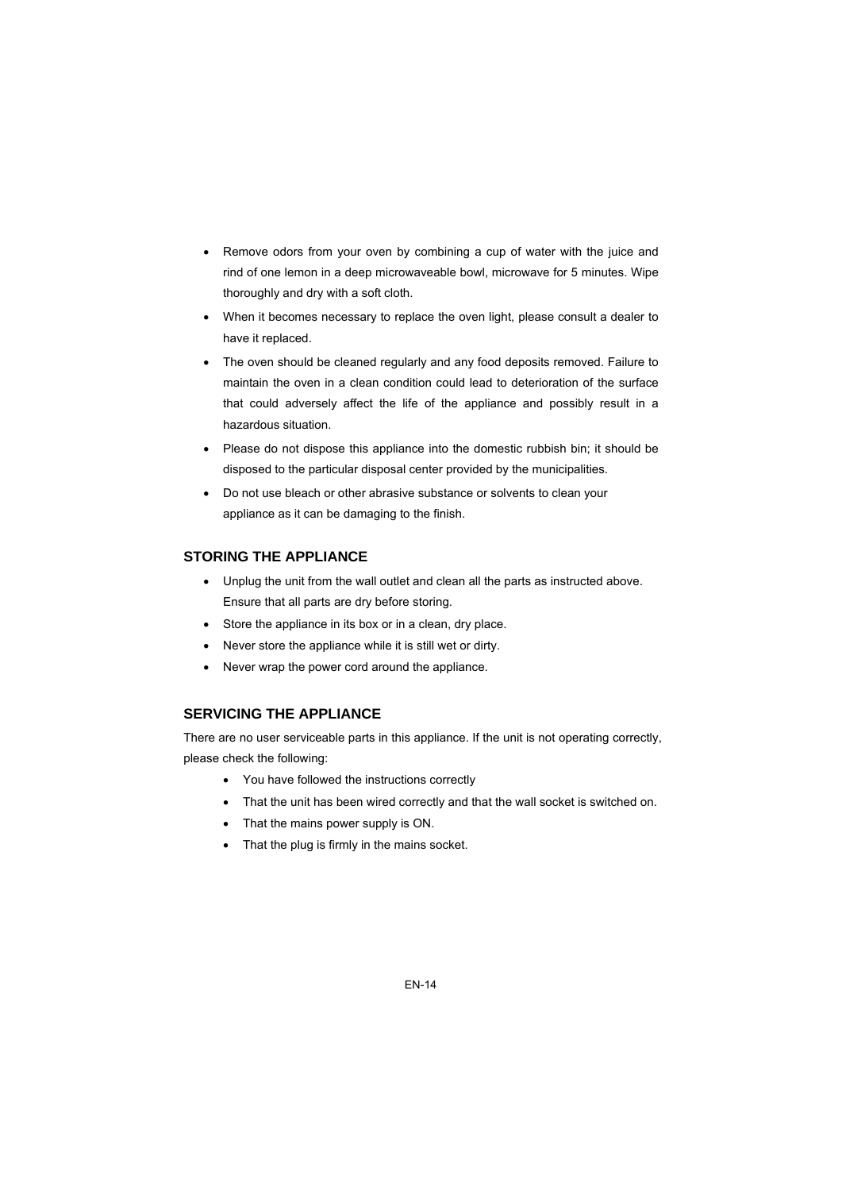- Remove odors from your oven by combining a cup of water with the juice and rind of one lemon in a deep microwaveable bowl, microwave for 5 minutes. Wipe thoroughly and dry with a soft cloth.
- When it becomes necessary to replace the oven light, please consult a dealer to have it replaced.
- The oven should be cleaned regularly and any food deposits removed. Failure to maintain the oven in a clean condition could lead to deterioration of the surface that could adversely affect the life of the appliance and possibly result in a hazardous situation.
- Please do not dispose this appliance into the domestic rubbish bin; it should be disposed to the particular disposal center provided by the municipalities.
- Do not use bleach or other abrasive substance or solvents to clean your appliance as it can be damaging to the finish.

#### **STORING THE APPLIANCE**

- Unplug the unit from the wall outlet and clean all the parts as instructed above. Ensure that all parts are dry before storing.
- Store the appliance in its box or in a clean, dry place.
- Never store the appliance while it is still wet or dirty.
- Never wrap the power cord around the appliance.

#### **SERVICING THE APPLIANCE**

There are no user serviceable parts in this appliance. If the unit is not operating correctly, please check the following:

- You have followed the instructions correctly
- That the unit has been wired correctly and that the wall socket is switched on.
- That the mains power supply is ON.
- That the plug is firmly in the mains socket.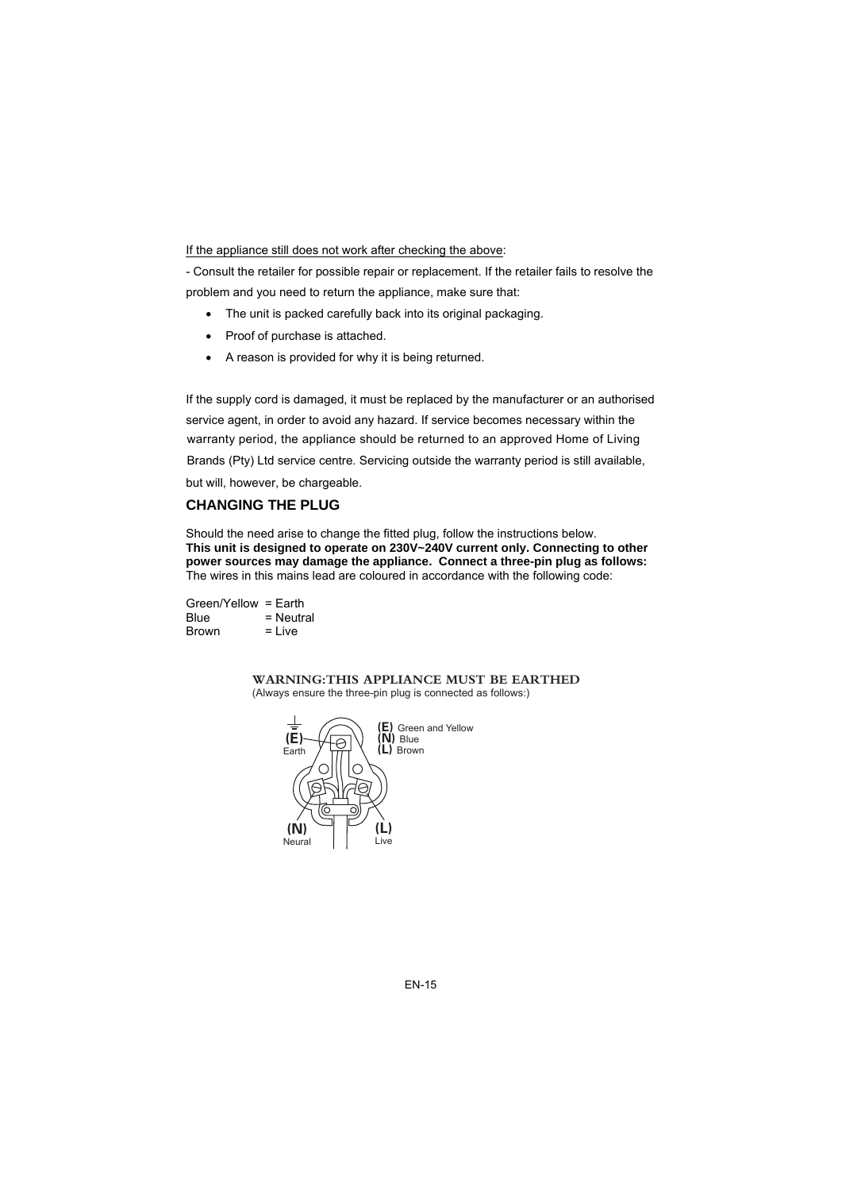If the appliance still does not work after checking the above:

- Consult the retailer for possible repair or replacement. If the retailer fails to resolve the problem and you need to return the appliance, make sure that:

- The unit is packed carefully back into its original packaging.
- Proof of purchase is attached.
- A reason is provided for why it is being returned.

If the supply cord is damaged, it must be replaced by the manufacturer or an authorised service agent, in order to avoid any hazard. If service becomes necessary within the but will, however, be chargeable. warranty period, the appliance should be returned to an approved Home of Living Brands (Pty) Ltd service centre. Servicing outside the warranty period is still available,

#### **CHANGING THE PLUG**

Should the need arise to change the fitted plug, follow the instructions below. **This unit is designed to operate on 230V~240V current only. Connecting to other power sources may damage the appliance. Connect a three-pin plug as follows:**  The wires in this mains lead are coloured in accordance with the following code:

Green/Yellow = Earth  $Blue = Neutral$  $Brown = Live$ 

> WARNING:THIS APPLIANCE MUST BE EARTHED (Always ensure the three-pin plug is connected as follows:)

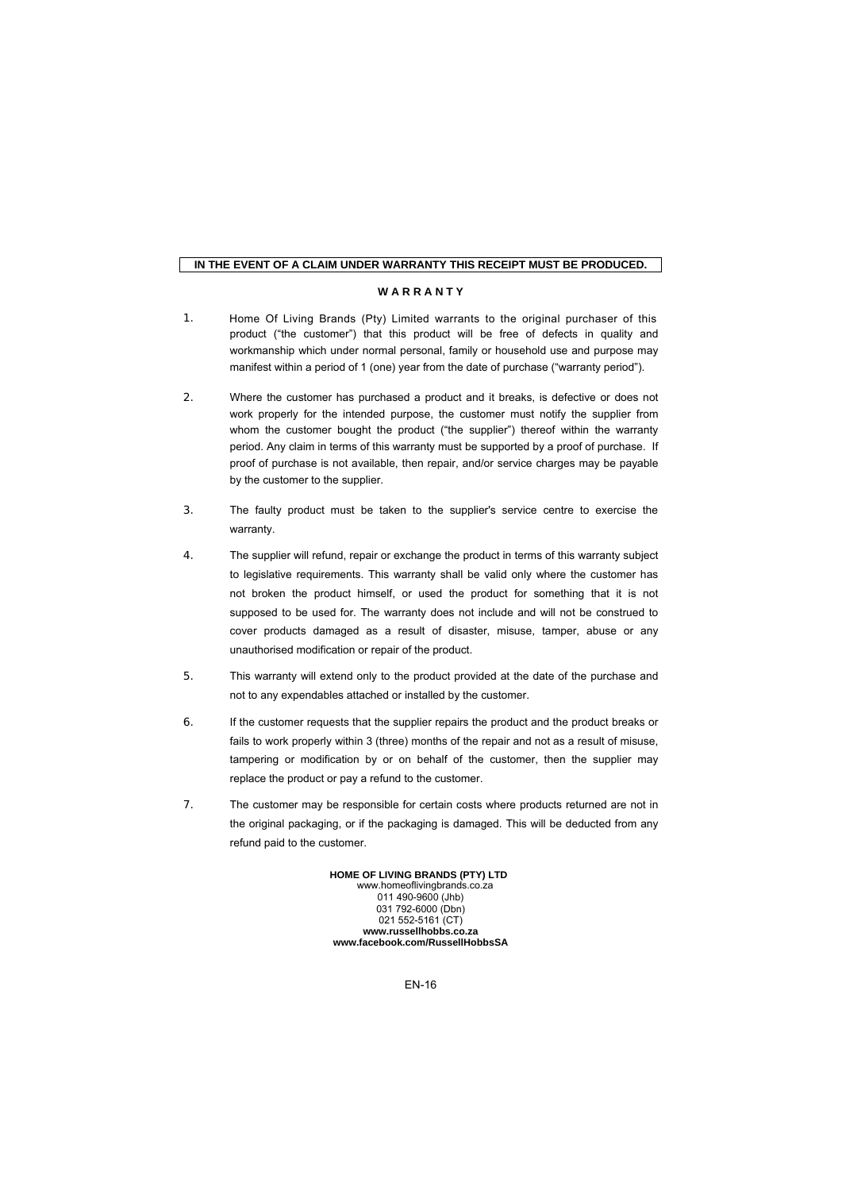#### **IN THE EVENT OF A CLAIM UNDER WARRANTY THIS RECEIPT MUST BE PRODUCED.**

#### **W A R R A N T Y**

- 1. product ("the customer") that this product will be free of defects in quality and workmanship which under normal personal, family or household use and purpose may manifest within a period of 1 (one) year from the date of purchase ("warranty period"). Home Of Living Brands (Pty) Limited warrants to the original purchaser of this
- 2. Where the customer has purchased a product and it breaks, is defective or does not work properly for the intended purpose, the customer must notify the supplier from whom the customer bought the product ("the supplier") thereof within the warranty period. Any claim in terms of this warranty must be supported by a proof of purchase. If proof of purchase is not available, then repair, and/or service charges may be payable by the customer to the supplier.
- 3. The faulty product must be taken to the supplier's service centre to exercise the warranty.
- 4. The supplier will refund, repair or exchange the product in terms of this warranty subject to legislative requirements. This warranty shall be valid only where the customer has not broken the product himself, or used the product for something that it is not supposed to be used for. The warranty does not include and will not be construed to cover products damaged as a result of disaster, misuse, tamper, abuse or any unauthorised modification or repair of the product.
- 5. This warranty will extend only to the product provided at the date of the purchase and not to any expendables attached or installed by the customer.
- 6. If the customer requests that the supplier repairs the product and the product breaks or fails to work properly within 3 (three) months of the repair and not as a result of misuse, tampering or modification by or on behalf of the customer, then the supplier may replace the product or pay a refund to the customer.
- 7. The customer may be responsible for certain costs where products returned are not in the original packaging, or if the packaging is damaged. This will be deducted from any refund paid to the customer.

011 490-9600 (Jhb) 031 792-6000 (Dbn) 021 552-5161 (CT) **www.russellhobbs.co.za www.facebook.com/RussellHobbsSA HOME OF LIVING BRANDS (PTY) LTD**  www.homeoflivingbrands.co.za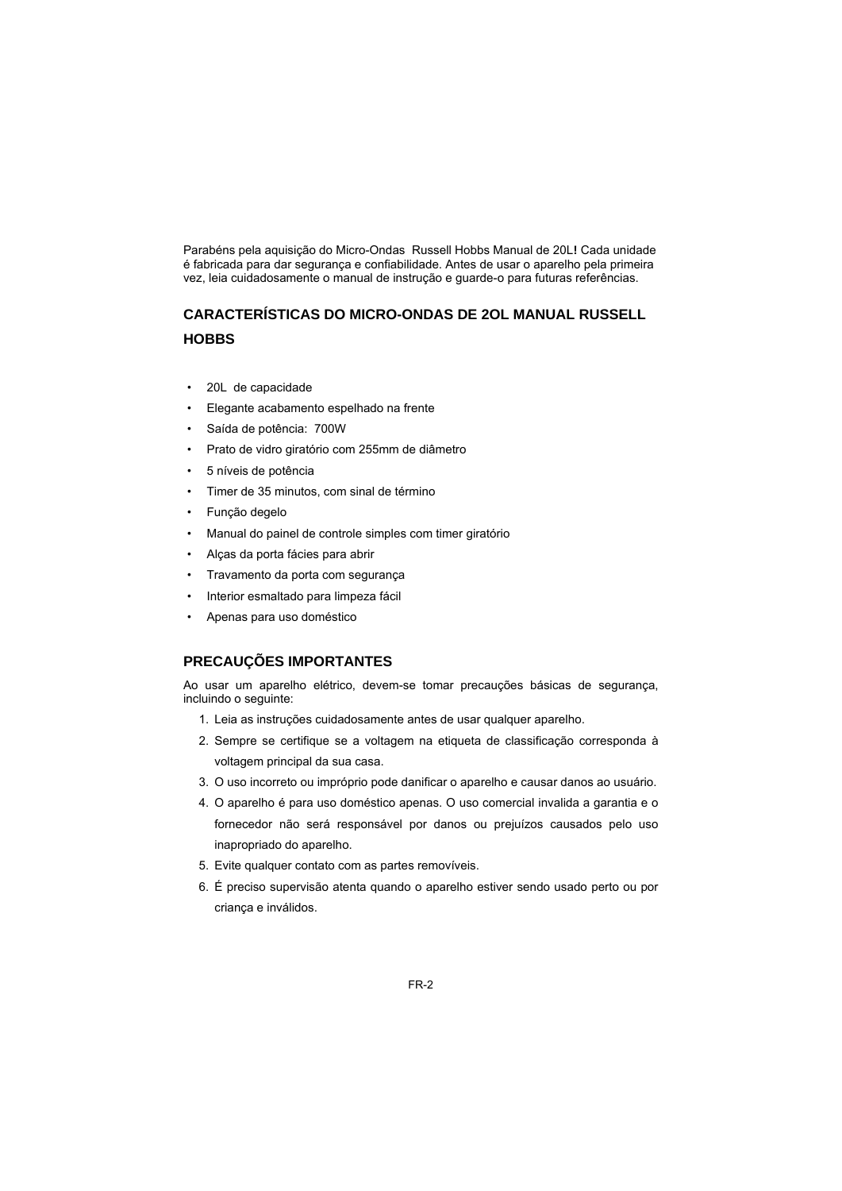Parabéns pela aquisição do Micro-Ondas Russell Hobbs Manual de 20L**!** Cada unidade é fabricada para dar segurança e confiabilidade. Antes de usar o aparelho pela primeira vez, leia cuidadosamente o manual de instrução e guarde-o para futuras referências.

# **CARACTERÍSTICAS DO MICRO-ONDAS DE 2OL MANUAL RUSSELL HOBBS**

- 20L de capacidade
- Elegante acabamento espelhado na frente
- Saída de potência: 700W
- Prato de vidro giratório com 255mm de diâmetro
- 5 níveis de potência
- Timer de 35 minutos, com sinal de término
- Função degelo
- Manual do painel de controle simples com timer giratório
- Alças da porta fácies para abrir
- Travamento da porta com segurança
- Interior esmaltado para limpeza fácil
- Apenas para uso doméstico

# **PRECAUÇÕES IMPORTANTES**

Ao usar um aparelho elétrico, devem-se tomar precauções básicas de segurança, incluindo o seguinte:

- 1. Leia as instruções cuidadosamente antes de usar qualquer aparelho.
- 2. Sempre se certifique se a voltagem na etiqueta de classificação corresponda à voltagem principal da sua casa.
- 3. O uso incorreto ou impróprio pode danificar o aparelho e causar danos ao usuário.
- 4. O aparelho é para uso doméstico apenas. O uso comercial invalida a garantia e o fornecedor não será responsável por danos ou prejuízos causados pelo uso inapropriado do aparelho.
- 5. Evite qualquer contato com as partes removíveis.
- 6. É preciso supervisão atenta quando o aparelho estiver sendo usado perto ou por criança e inválidos.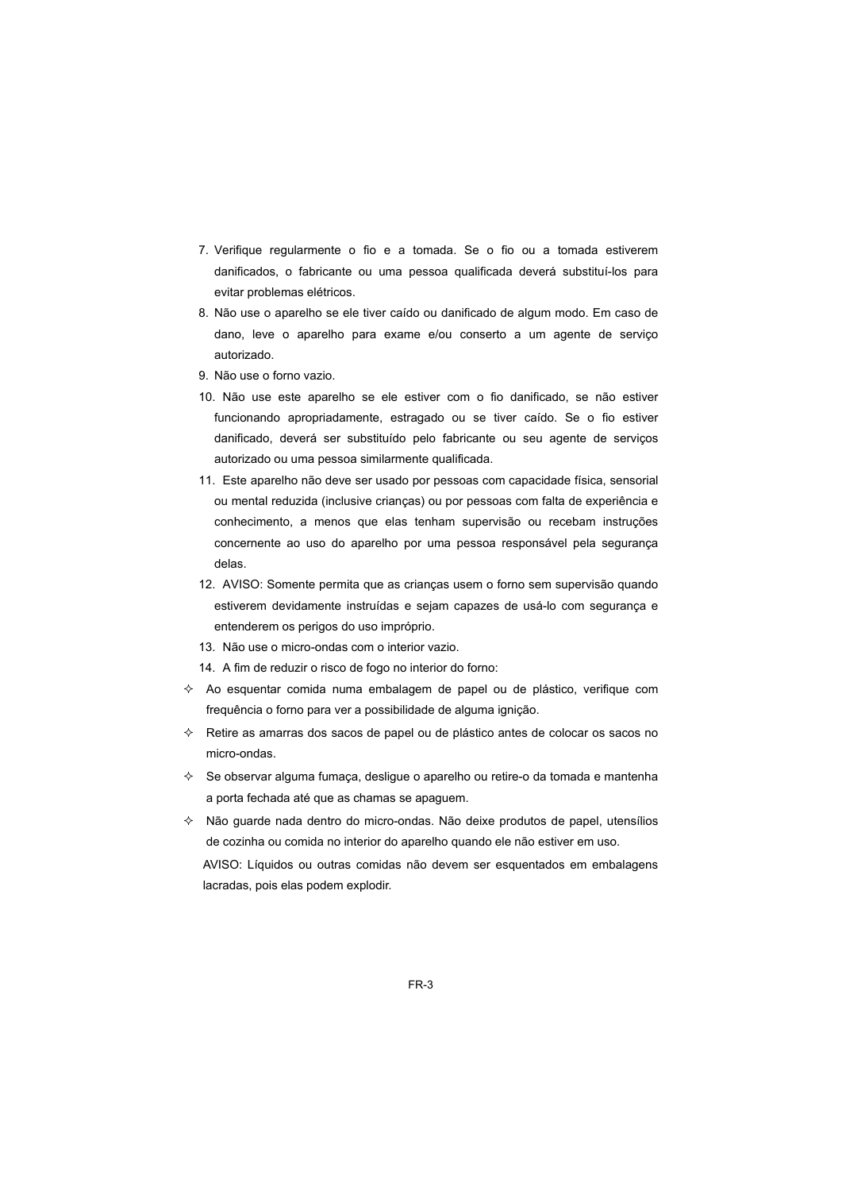- 7. Verifique regularmente o fio e a tomada. Se o fio ou a tomada estiverem danificados, o fabricante ou uma pessoa qualificada deverá substituí-los para evitar problemas elétricos.
- 8. Não use o aparelho se ele tiver caído ou danificado de algum modo. Em caso de dano, leve o aparelho para exame e/ou conserto a um agente de serviço autorizado.
- 9. Não use o forno vazio.
- 10. Não use este aparelho se ele estiver com o fio danificado, se não estiver funcionando apropriadamente, estragado ou se tiver caído. Se o fio estiver danificado, deverá ser substituído pelo fabricante ou seu agente de serviços autorizado ou uma pessoa similarmente qualificada.
- 11. Este aparelho não deve ser usado por pessoas com capacidade física, sensorial ou mental reduzida (inclusive crianças) ou por pessoas com falta de experiência e conhecimento, a menos que elas tenham supervisão ou recebam instruções concernente ao uso do aparelho por uma pessoa responsável pela segurança delas.
- 12. AVISO: Somente permita que as crianças usem o forno sem supervisão quando estiverem devidamente instruídas e sejam capazes de usá-lo com segurança e entenderem os perigos do uso impróprio.
- 13. Não use o micro-ondas com o interior vazio.
- 14. A fim de reduzir o risco de fogo no interior do forno:
- $\Diamond$  Ao esquentar comida numa embalagem de papel ou de plástico, verifique com frequência o forno para ver a possibilidade de alguma ignição.
- $\diamond$  Retire as amarras dos sacos de papel ou de plástico antes de colocar os sacos no micro-ondas.
- $\Diamond$  Se observar alguma fumaça, desligue o aparelho ou retire-o da tomada e mantenha a porta fechada até que as chamas se apaguem.
- $\Diamond$  Não guarde nada dentro do micro-ondas. Não deixe produtos de papel, utensílios de cozinha ou comida no interior do aparelho quando ele não estiver em uso.

AVISO: Líquidos ou outras comidas não devem ser esquentados em embalagens lacradas, pois elas podem explodir.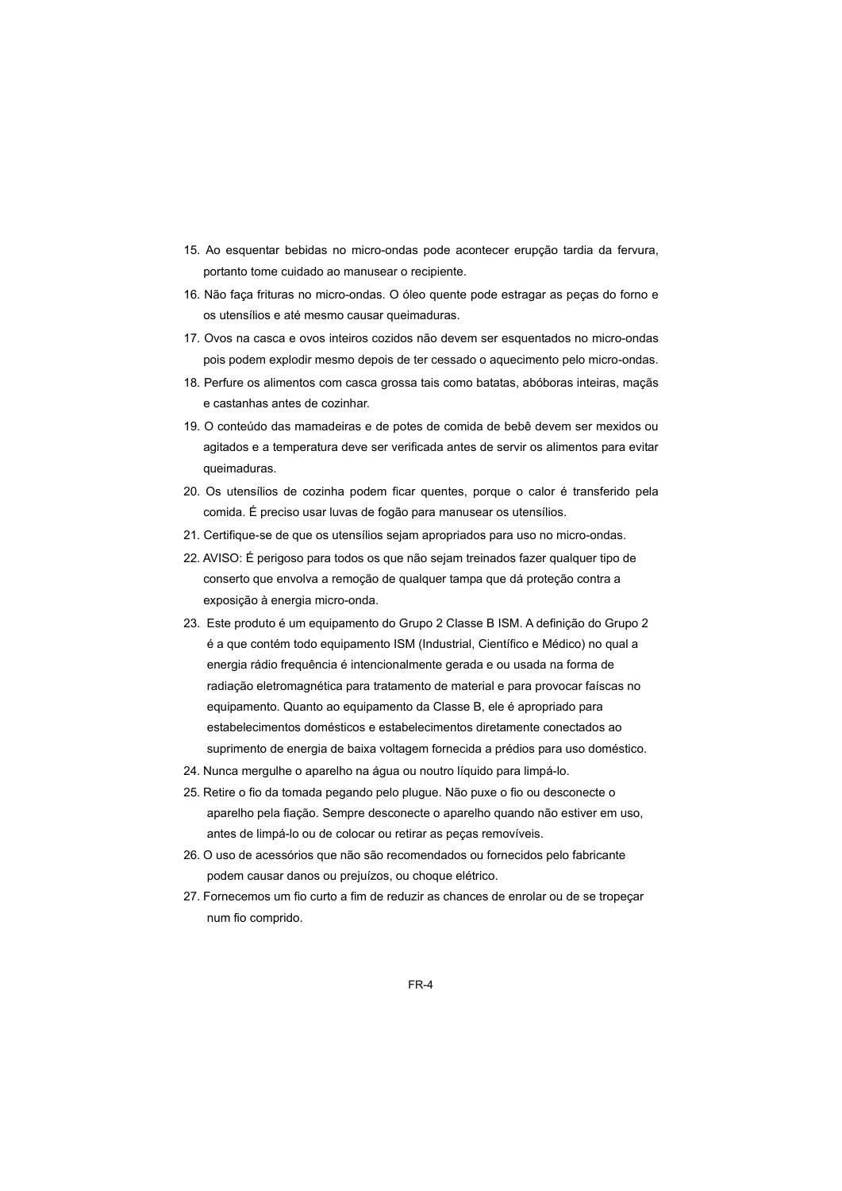- 15. Ao esquentar bebidas no micro-ondas pode acontecer erupção tardia da fervura, portanto tome cuidado ao manusear o recipiente.
- 16. Não faça frituras no micro-ondas. O óleo quente pode estragar as peças do forno e os utensílios e até mesmo causar queimaduras.
- 17. Ovos na casca e ovos inteiros cozidos não devem ser esquentados no micro-ondas pois podem explodir mesmo depois de ter cessado o aquecimento pelo micro-ondas.
- 18. Perfure os alimentos com casca grossa tais como batatas, abóboras inteiras, maçãs e castanhas antes de cozinhar.
- 19. O conteúdo das mamadeiras e de potes de comida de bebê devem ser mexidos ou agitados e a temperatura deve ser verificada antes de servir os alimentos para evitar queimaduras.
- 20. Os utensílios de cozinha podem ficar quentes, porque o calor é transferido pela comida. É preciso usar luvas de fogão para manusear os utensílios.
- 21. Certifique-se de que os utensílios sejam apropriados para uso no micro-ondas.
- 22. AVISO: É perigoso para todos os que não sejam treinados fazer qualquer tipo de conserto que envolva a remoção de qualquer tampa que dá proteção contra a exposição à energia micro-onda.
- 23. Este produto é um equipamento do Grupo 2 Classe B ISM. A definição do Grupo 2 é a que contém todo equipamento ISM (Industrial, Científico e Médico) no qual a energia rádio frequência é intencionalmente gerada e ou usada na forma de radiação eletromagnética para tratamento de material e para provocar faíscas no equipamento. Quanto ao equipamento da Classe B, ele é apropriado para estabelecimentos domésticos e estabelecimentos diretamente conectados ao suprimento de energia de baixa voltagem fornecida a prédios para uso doméstico.
- 24. Nunca mergulhe o aparelho na água ou noutro líquido para limpá-lo.
- 25. Retire o fio da tomada pegando pelo plugue. Não puxe o fio ou desconecte o aparelho pela fiação. Sempre desconecte o aparelho quando não estiver em uso, antes de limpá-lo ou de colocar ou retirar as peças removíveis.
- 26. O uso de acessórios que não são recomendados ou fornecidos pelo fabricante podem causar danos ou prejuízos, ou choque elétrico.
- 27. Fornecemos um fio curto a fim de reduzir as chances de enrolar ou de se tropeçar num fio comprido.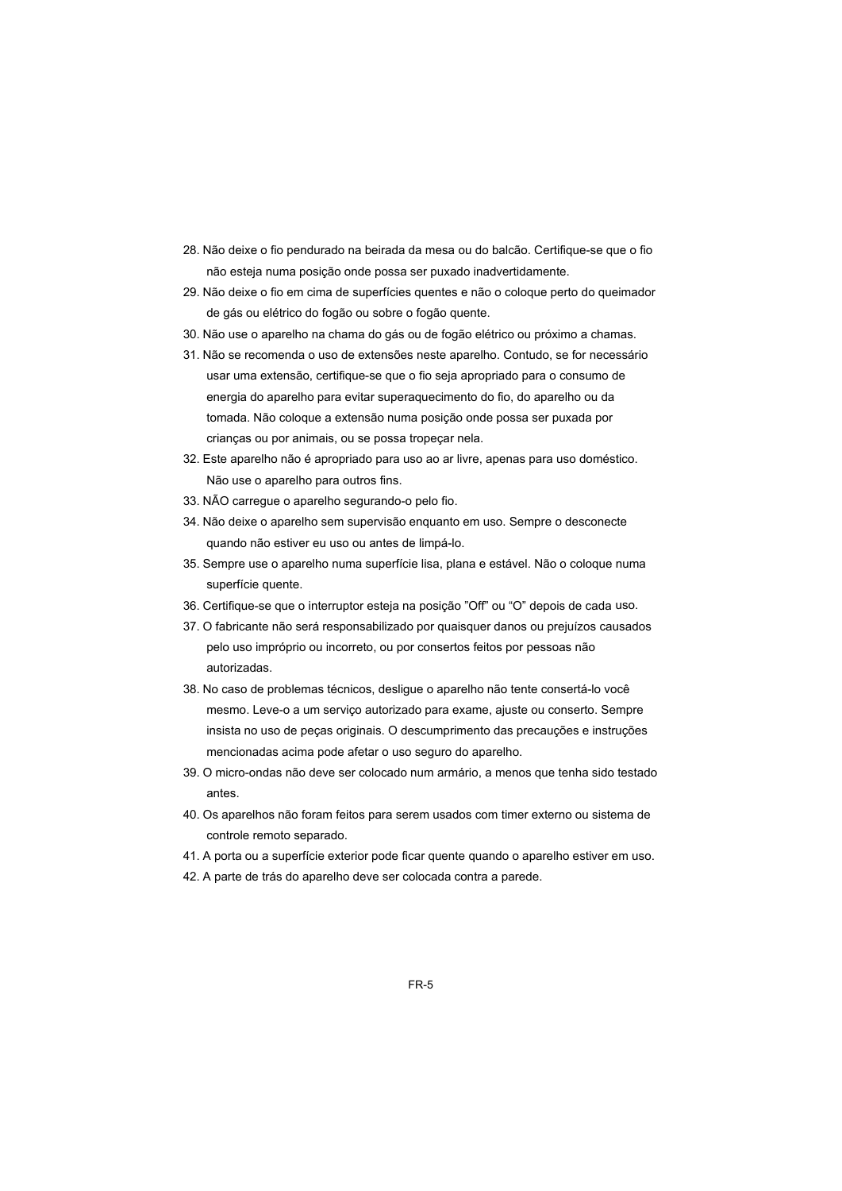- 28. Não deixe o fio pendurado na beirada da mesa ou do balcão. Certifique-se que o fio não esteja numa posição onde possa ser puxado inadvertidamente.
- 29. Não deixe o fio em cima de superfícies quentes e não o coloque perto do queimador de gás ou elétrico do fogão ou sobre o fogão quente.
- 30. Não use o aparelho na chama do gás ou de fogão elétrico ou próximo a chamas.
- 31. Não se recomenda o uso de extensões neste aparelho. Contudo, se for necessário usar uma extensão, certifique-se que o fio seja apropriado para o consumo de energia do aparelho para evitar superaquecimento do fio, do aparelho ou da tomada. Não coloque a extensão numa posição onde possa ser puxada por crianças ou por animais, ou se possa tropeçar nela.
- 32. Este aparelho não é apropriado para uso ao ar livre, apenas para uso doméstico. Não use o aparelho para outros fins.
- 33. NÃO carregue o aparelho segurando-o pelo fio.
- 34. Não deixe o aparelho sem supervisão enquanto em uso. Sempre o desconecte quando não estiver eu uso ou antes de limpá-lo.
- 35. Sempre use o aparelho numa superfície lisa, plana e estável. Não o coloque numa superfície quente.
- 36. Certifique-se que o interruptor esteja na posição "Off" ou "O" depois de cada uso.
- 37. O fabricante não será responsabilizado por quaisquer danos ou prejuízos causados pelo uso impróprio ou incorreto, ou por consertos feitos por pessoas não autorizadas.
- 38. No caso de problemas técnicos, desligue o aparelho não tente consertá-lo você mesmo. Leve-o a um serviço autorizado para exame, ajuste ou conserto. Sempre insista no uso de peças originais. O descumprimento das precauções e instruções mencionadas acima pode afetar o uso seguro do aparelho.
- 39. O micro-ondas não deve ser colocado num armário, a menos que tenha sido testado antes.
- 40. Os aparelhos não foram feitos para serem usados com timer externo ou sistema de controle remoto separado.
- 41. A porta ou a superfície exterior pode ficar quente quando o aparelho estiver em uso.
- 42. A parte de trás do aparelho deve ser colocada contra a parede.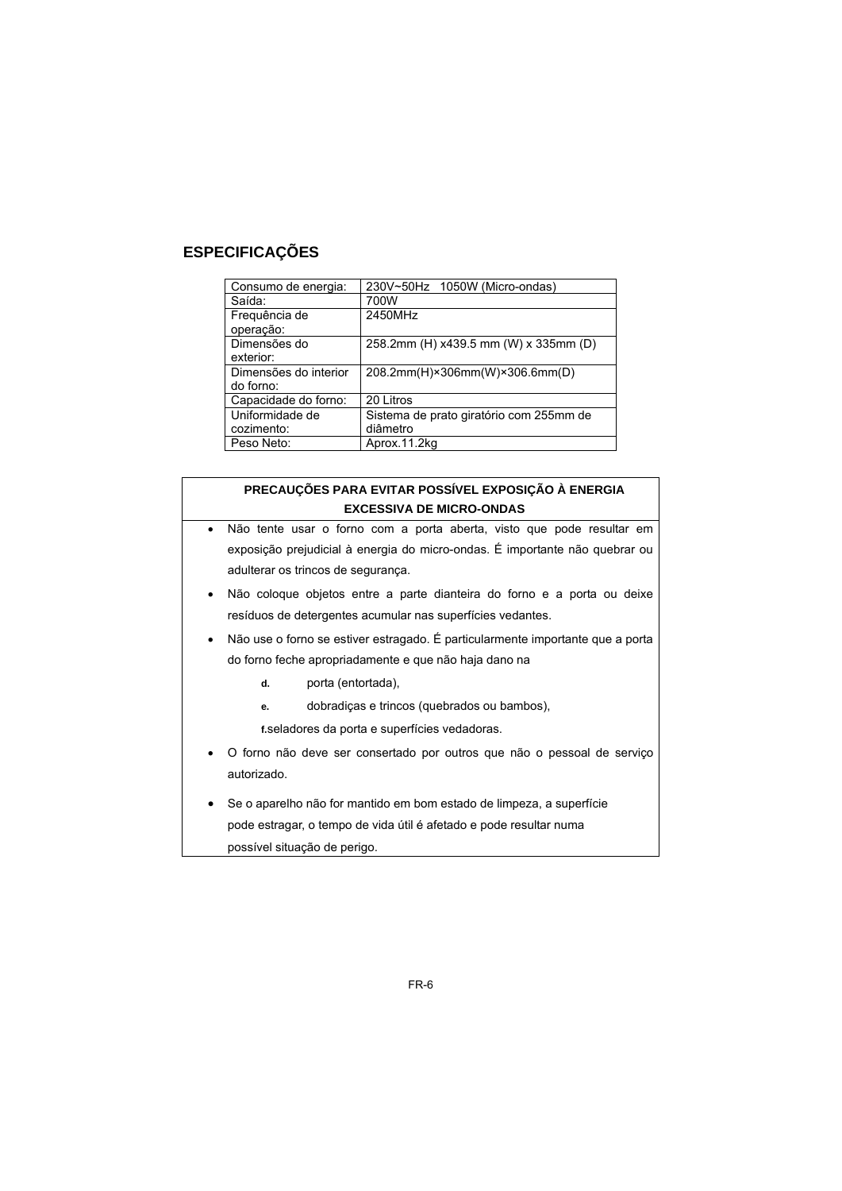# **ESPECIFICAÇÕES**

| Consumo de energia:   | 230V~50Hz 1050W (Micro-ondas)           |
|-----------------------|-----------------------------------------|
| Saída:                | 700W                                    |
| Frequência de         | 2450MHz                                 |
| operação:             |                                         |
| Dimensões do          | 258.2mm (H) x439.5 mm (W) x 335mm (D)   |
| exterior:             |                                         |
| Dimensões do interior | 208.2mm(H)×306mm(W)×306.6mm(D)          |
| do forno:             |                                         |
| Capacidade do forno:  | 20 Litros                               |
| Uniformidade de       | Sistema de prato giratório com 255mm de |
| cozimento:            | diâmetro                                |
| Peso Neto:            | Aprox.11.2kg                            |

#### **PRECAUÇÕES PARA EVITAR POSSÍVEL EXPOSIÇÃO À ENERGIA EXCESSIVA DE MICRO-ONDAS**

- Não tente usar o forno com a porta aberta, visto que pode resultar em exposição prejudicial à energia do micro-ondas. É importante não quebrar ou adulterar os trincos de segurança.
- Não coloque objetos entre a parte dianteira do forno e a porta ou deixe resíduos de detergentes acumular nas superfícies vedantes.
- Não use o forno se estiver estragado. É particularmente importante que a porta do forno feche apropriadamente e que não haja dano na
	- **d.** porta (entortada),
	- **e.** dobradiças e trincos (quebrados ou bambos),

**f.** seladores da porta e superfícies vedadoras.

- O forno não deve ser consertado por outros que não o pessoal de serviço autorizado.
- Se o aparelho não for mantido em bom estado de limpeza, a superfície pode estragar, o tempo de vida útil é afetado e pode resultar numa possível situação de perigo.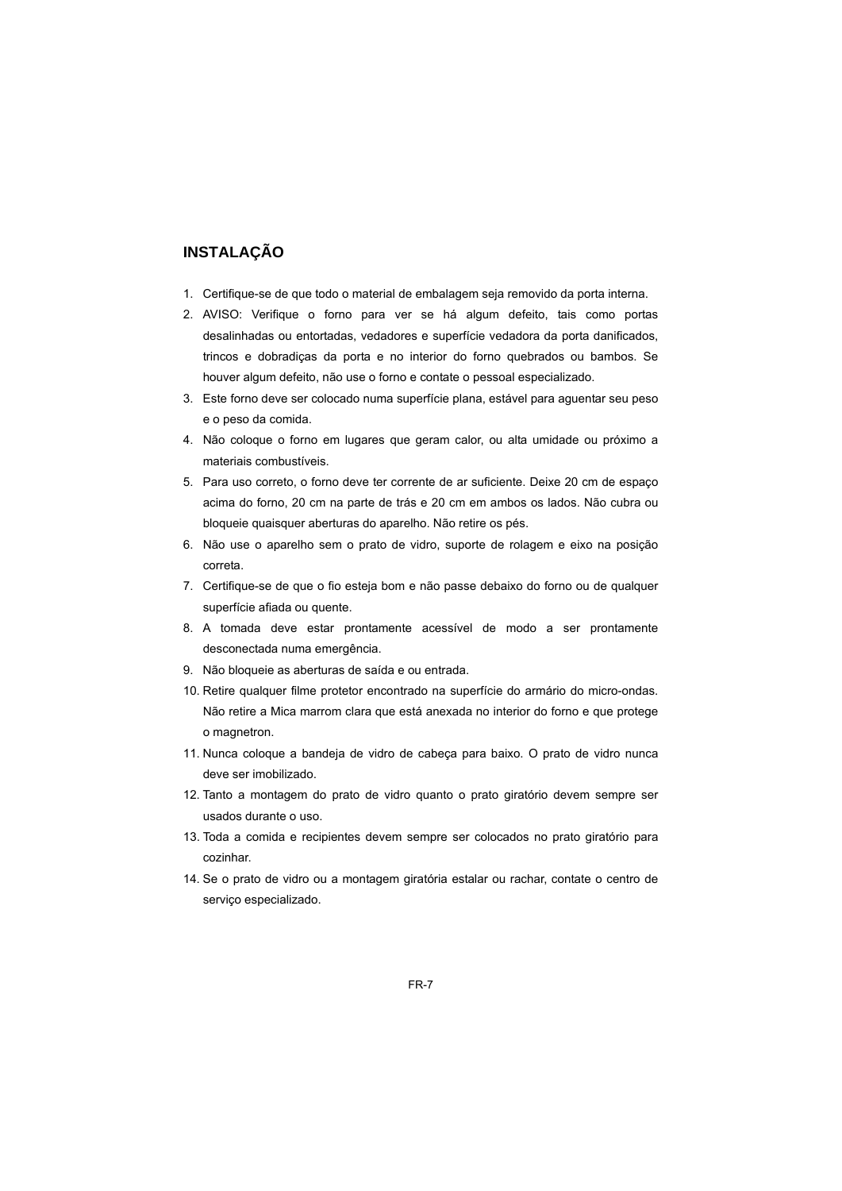# **INSTALAÇÃO**

- 1. Certifique-se de que todo o material de embalagem seja removido da porta interna.
- 2. AVISO: Verifique o forno para ver se há algum defeito, tais como portas desalinhadas ou entortadas, vedadores e superfície vedadora da porta danificados, trincos e dobradiças da porta e no interior do forno quebrados ou bambos. Se houver algum defeito, não use o forno e contate o pessoal especializado.
- 3. Este forno deve ser colocado numa superfície plana, estável para aguentar seu peso e o peso da comida.
- 4. Não coloque o forno em lugares que geram calor, ou alta umidade ou próximo a materiais combustíveis.
- 5. Para uso correto, o forno deve ter corrente de ar suficiente. Deixe 20 cm de espaço acima do forno, 20 cm na parte de trás e 20 cm em ambos os lados. Não cubra ou bloqueie quaisquer aberturas do aparelho. Não retire os pés.
- 6. Não use o aparelho sem o prato de vidro, suporte de rolagem e eixo na posição correta.
- 7. Certifique-se de que o fio esteja bom e não passe debaixo do forno ou de qualquer superfície afiada ou quente.
- 8. A tomada deve estar prontamente acessível de modo a ser prontamente desconectada numa emergência.
- 9. Não bloqueie as aberturas de saída e ou entrada.
- 10. Retire qualquer filme protetor encontrado na superfície do armário do micro-ondas. Não retire a Mica marrom clara que está anexada no interior do forno e que protege o magnetron.
- 11. Nunca coloque a bandeja de vidro de cabeça para baixo. O prato de vidro nunca deve ser imobilizado.
- 12. Tanto a montagem do prato de vidro quanto o prato giratório devem sempre ser usados durante o uso.
- 13. Toda a comida e recipientes devem sempre ser colocados no prato giratório para cozinhar.
- 14. Se o prato de vidro ou a montagem giratória estalar ou rachar, contate o centro de serviço especializado.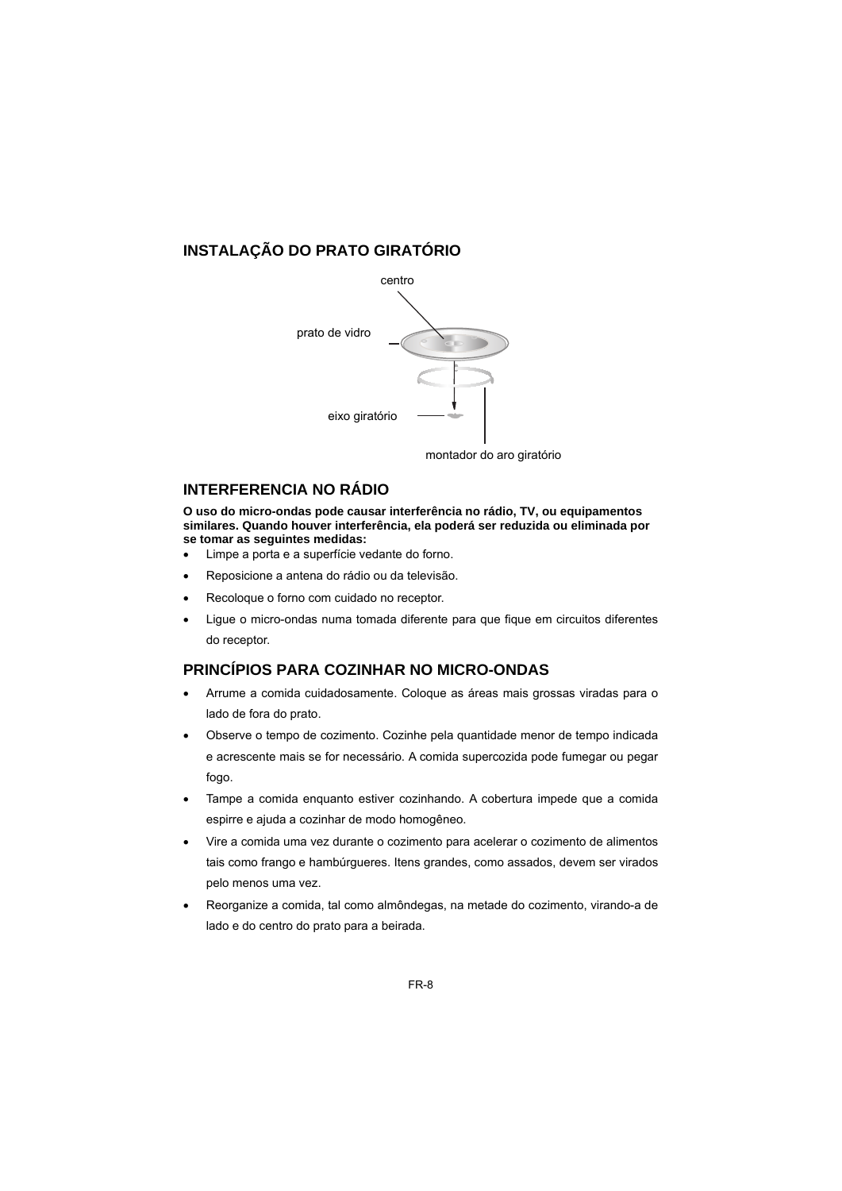# **INSTALAÇÃO DO PRATO GIRATÓRIO**



# **INTERFERENCIA NO RÁDIO**

**O uso do micro-ondas pode causar interferência no rádio, TV, ou equipamentos similares. Quando houver interferência, ela poderá ser reduzida ou eliminada por se tomar as seguintes medidas:** 

- Limpe a porta e a superfície vedante do forno.
- Reposicione a antena do rádio ou da televisão.
- Recoloque o forno com cuidado no receptor.
- Ligue o micro-ondas numa tomada diferente para que fique em circuitos diferentes do receptor.

# **PRINCÍPIOS PARA COZINHAR NO MICRO-ONDAS**

- Arrume a comida cuidadosamente. Coloque as áreas mais grossas viradas para o lado de fora do prato.
- Observe o tempo de cozimento. Cozinhe pela quantidade menor de tempo indicada e acrescente mais se for necessário. A comida supercozida pode fumegar ou pegar fogo.
- Tampe a comida enquanto estiver cozinhando. A cobertura impede que a comida espirre e ajuda a cozinhar de modo homogêneo.
- Vire a comida uma vez durante o cozimento para acelerar o cozimento de alimentos tais como frango e hambúrgueres. Itens grandes, como assados, devem ser virados pelo menos uma vez.
- Reorganize a comida, tal como almôndegas, na metade do cozimento, virando-a de lado e do centro do prato para a beirada.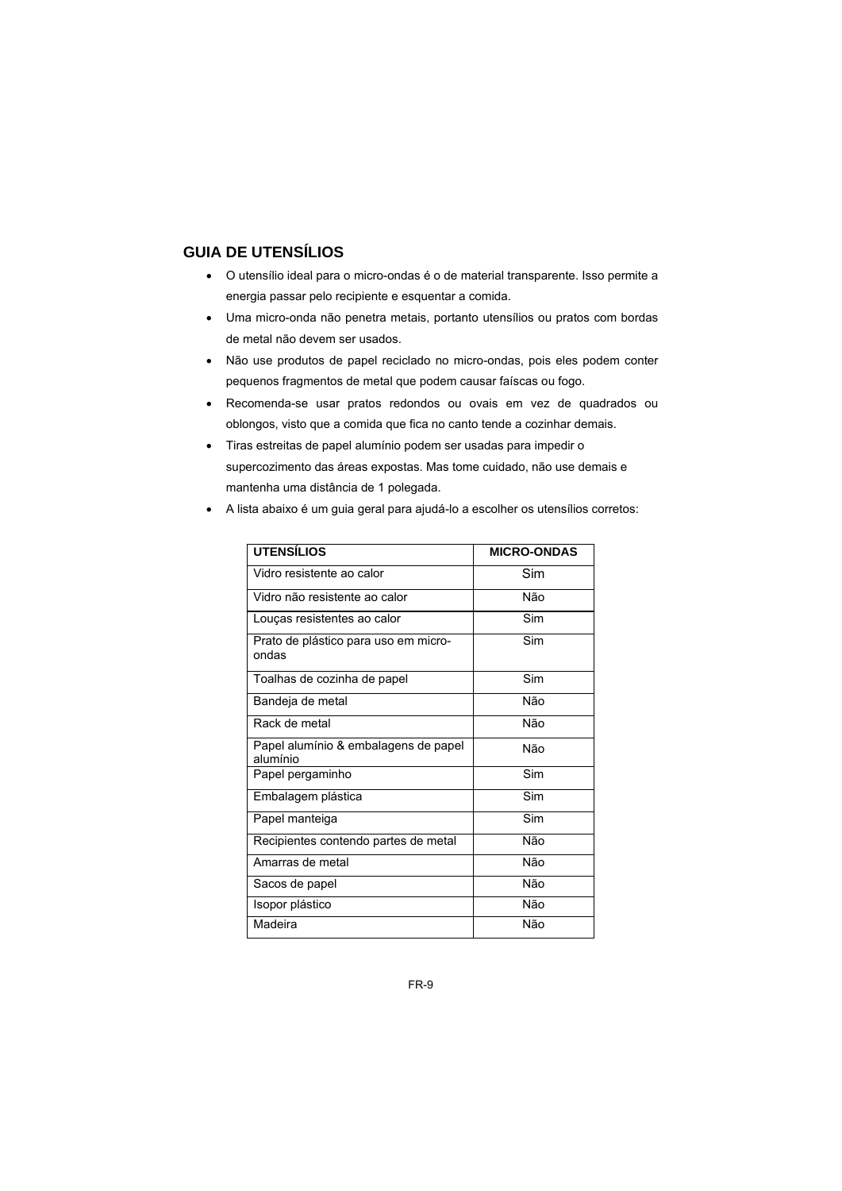# **GUIA DE UTENSÍLIOS**

- O utensílio ideal para o micro-ondas é o de material transparente. Isso permite a energia passar pelo recipiente e esquentar a comida.
- Uma micro-onda não penetra metais, portanto utensílios ou pratos com bordas de metal não devem ser usados.
- Não use produtos de papel reciclado no micro-ondas, pois eles podem conter pequenos fragmentos de metal que podem causar faíscas ou fogo.
- Recomenda-se usar pratos redondos ou ovais em vez de quadrados ou oblongos, visto que a comida que fica no canto tende a cozinhar demais.
- Tiras estreitas de papel alumínio podem ser usadas para impedir o supercozimento das áreas expostas. Mas tome cuidado, não use demais e mantenha uma distância de 1 polegada.
- A lista abaixo é um guia geral para ajudá-lo a escolher os utensílios corretos:

| <b>UTENSÍLIOS</b>                                | <b>MICRO-ONDAS</b> |
|--------------------------------------------------|--------------------|
| Vidro resistente ao calor                        | Sim                |
| Vidro não resistente ao calor                    | Não                |
| Louças resistentes ao calor                      | Sim                |
| Prato de plástico para uso em micro-<br>ondas    | Sim                |
| Toalhas de cozinha de papel                      | Sim                |
| Bandeja de metal                                 | Não                |
| Rack de metal                                    | Não                |
| Papel alumínio & embalagens de papel<br>alumínio | Não                |
| Papel pergaminho                                 | Sim                |
| Embalagem plástica                               | Sim                |
| Papel manteiga                                   | Sim                |
| Recipientes contendo partes de metal             | Não                |
| Amarras de metal                                 | Não                |
| Sacos de papel                                   | Não                |
| Isopor plástico                                  | Não                |
| Madeira                                          | Não                |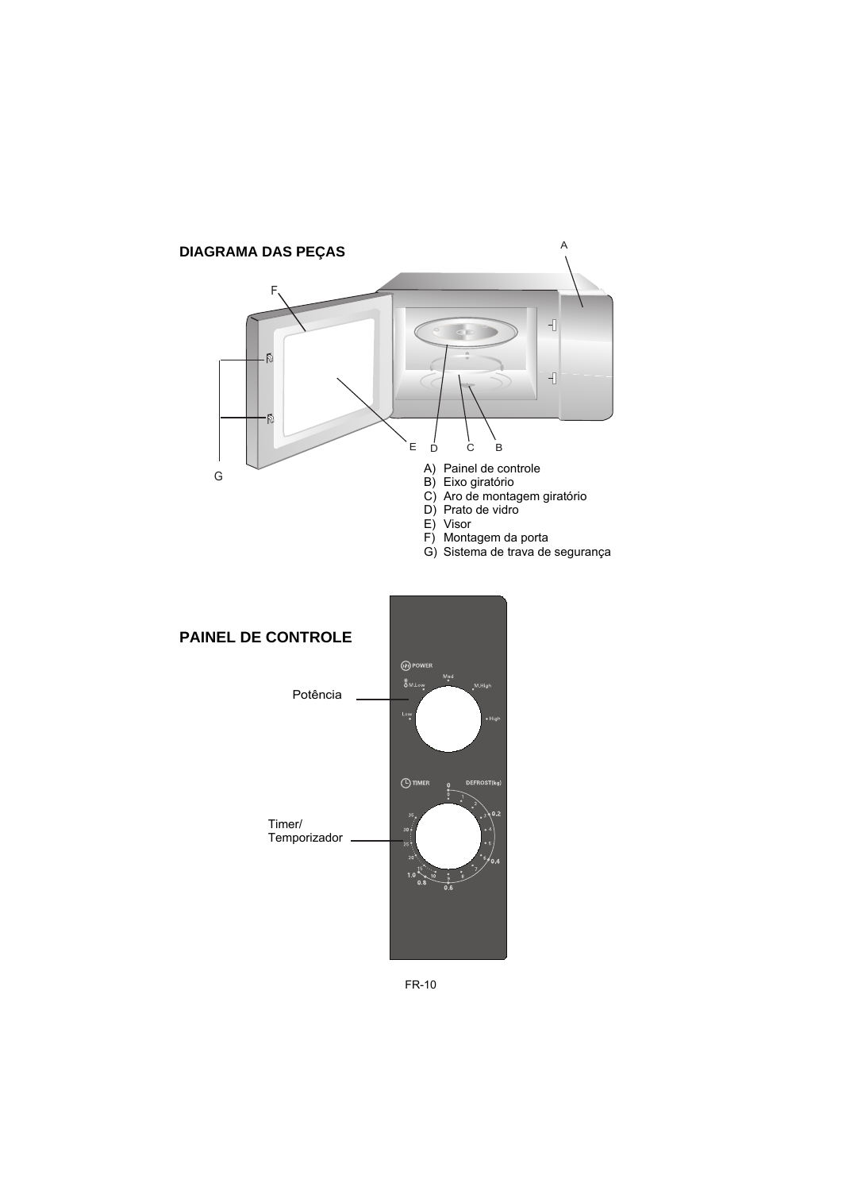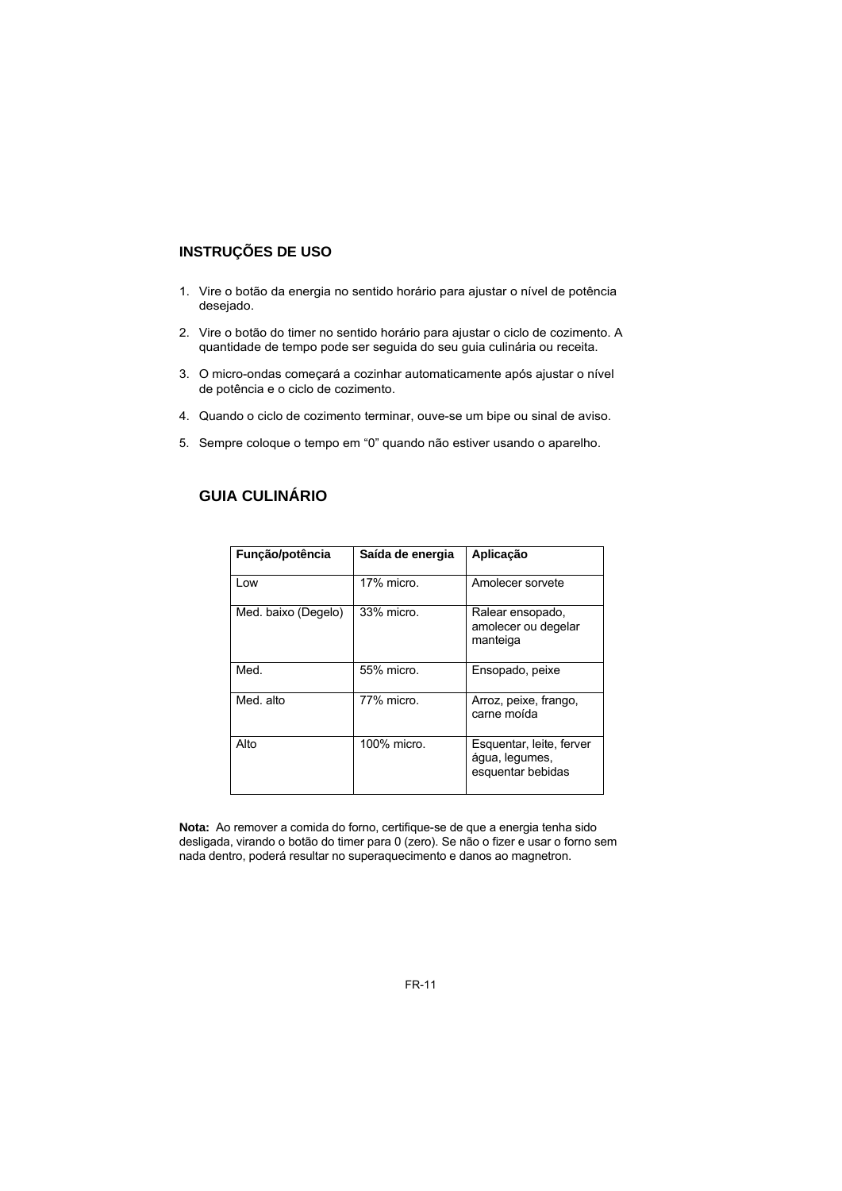# **INSTRUÇÕES DE USO**

- 1. Vire o botão da energia no sentido horário para ajustar o nível de potência desejado.
- 2. Vire o botão do timer no sentido horário para ajustar o ciclo de cozimento. A quantidade de tempo pode ser seguida do seu guia culinária ou receita.
- 3. O micro-ondas começará a cozinhar automaticamente após ajustar o nível de potência e o ciclo de cozimento.
- 4. Quando o ciclo de cozimento terminar, ouve-se um bipe ou sinal de aviso.
- 5. Sempre coloque o tempo em "0" quando não estiver usando o aparelho.

| Função/potência     | Saída de energia | Aplicação                                                       |
|---------------------|------------------|-----------------------------------------------------------------|
| Low                 | 17% micro.       | Amolecer sorvete                                                |
| Med. baixo (Degelo) | 33% micro.       | Ralear ensopado,<br>amolecer ou degelar<br>manteiga             |
| Med.                | 55% micro.       | Ensopado, peixe                                                 |
| Med. alto           | 77% micro.       | Arroz, peixe, frango,<br>carne moída                            |
| Alto                | 100% micro.      | Esquentar, leite, ferver<br>água, legumes,<br>esquentar bebidas |

# **GUIA CULINÁRIO**

**Nota:** Ao remover a comida do forno, certifique-se de que a energia tenha sido desligada, virando o botão do timer para 0 (zero). Se não o fizer e usar o forno sem nada dentro, poderá resultar no superaquecimento e danos ao magnetron.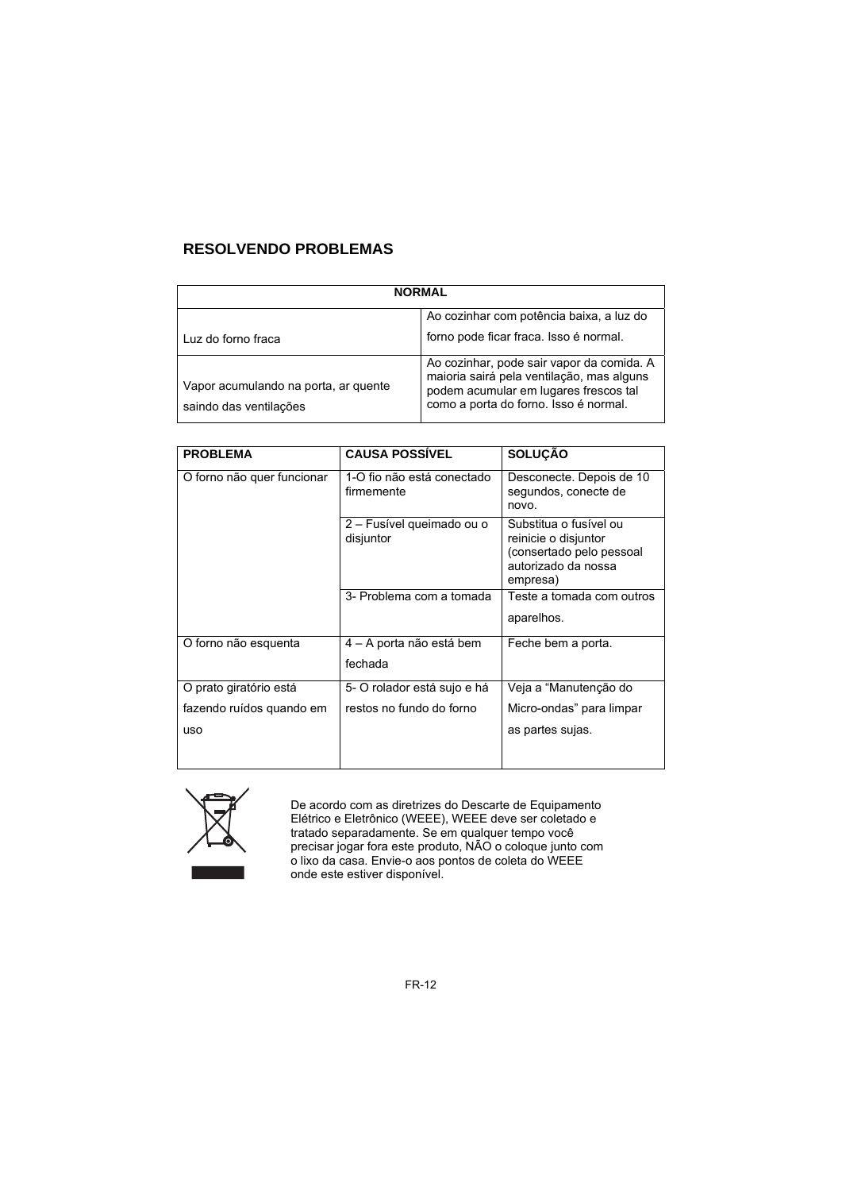# **RESOLVENDO PROBLEMAS**

| <b>NORMAL</b>                                                  |                                                                                                                                                                          |  |
|----------------------------------------------------------------|--------------------------------------------------------------------------------------------------------------------------------------------------------------------------|--|
|                                                                | Ao cozinhar com potência baixa, a luz do                                                                                                                                 |  |
| Luz do forno fraca                                             | forno pode ficar fraca. Isso é normal.                                                                                                                                   |  |
| Vapor acumulando na porta, ar quente<br>saindo das ventilações | Ao cozinhar, pode sair vapor da comida. A<br>maioria sairá pela ventilação, mas alguns<br>podem acumular em lugares frescos tal<br>como a porta do forno. Isso é normal. |  |

| <b>PROBLEMA</b>            | <b>CAUSA POSSIVEL</b>                    | <b>SOLUÇÃO</b>                                                                                                |
|----------------------------|------------------------------------------|---------------------------------------------------------------------------------------------------------------|
| O forno não quer funcionar | 1-O fio não está conectado<br>firmemente | Desconecte. Depois de 10<br>segundos, conecte de<br>novo.                                                     |
|                            | 2 – Fusível queimado ou o<br>disjuntor   | Substitua o fusível ou<br>reinicie o disjuntor<br>(consertado pelo pessoal<br>autorizado da nossa<br>empresa) |
|                            | 3- Problema com a tomada                 | Teste a tomada com outros                                                                                     |
|                            |                                          | aparelhos.                                                                                                    |
| O forno não esquenta       | 4 – A porta não está bem                 | Feche bem a porta.                                                                                            |
|                            | fechada                                  |                                                                                                               |
| O prato giratório está     | 5- O rolador está sujo e há              | Veja a "Manutenção do                                                                                         |
| fazendo ruídos quando em   | restos no fundo do forno                 | Micro-ondas" para limpar                                                                                      |
| <b>uso</b>                 |                                          | as partes sujas.                                                                                              |
|                            |                                          |                                                                                                               |



De acordo com as diretrizes do Descarte de Equipamento Elétrico e Eletrônico (WEEE), WEEE deve ser coletado e tratado separadamente. Se em qualquer tempo você precisar jogar fora este produto, NÃO o coloque junto com o lixo da casa. Envie-o aos pontos de coleta do WEEE onde este estiver disponível.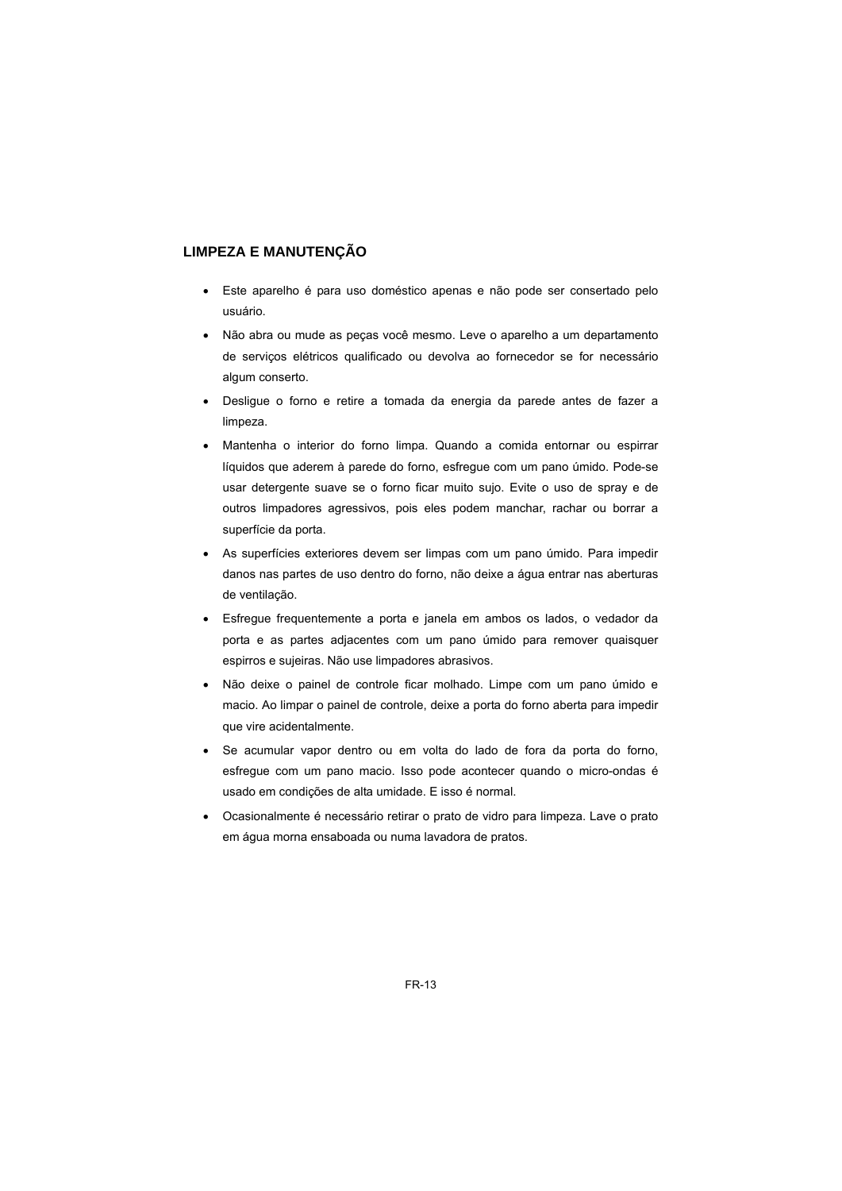#### **LIMPEZA E MANUTENÇÃO**

- Este aparelho é para uso doméstico apenas e não pode ser consertado pelo usuário.
- Não abra ou mude as peças você mesmo. Leve o aparelho a um departamento de serviços elétricos qualificado ou devolva ao fornecedor se for necessário algum conserto.
- Desligue o forno e retire a tomada da energia da parede antes de fazer a limpeza.
- Mantenha o interior do forno limpa. Quando a comida entornar ou espirrar líquidos que aderem à parede do forno, esfregue com um pano úmido. Pode-se usar detergente suave se o forno ficar muito sujo. Evite o uso de spray e de outros limpadores agressivos, pois eles podem manchar, rachar ou borrar a superfície da porta.
- As superfícies exteriores devem ser limpas com um pano úmido. Para impedir danos nas partes de uso dentro do forno, não deixe a água entrar nas aberturas de ventilação.
- Esfregue frequentemente a porta e janela em ambos os lados, o vedador da porta e as partes adjacentes com um pano úmido para remover quaisquer espirros e sujeiras. Não use limpadores abrasivos.
- Não deixe o painel de controle ficar molhado. Limpe com um pano úmido e macio. Ao limpar o painel de controle, deixe a porta do forno aberta para impedir que vire acidentalmente.
- Se acumular vapor dentro ou em volta do lado de fora da porta do forno, esfregue com um pano macio. Isso pode acontecer quando o micro-ondas é usado em condições de alta umidade. E isso é normal.
- Ocasionalmente é necessário retirar o prato de vidro para limpeza. Lave o prato em água morna ensaboada ou numa lavadora de pratos.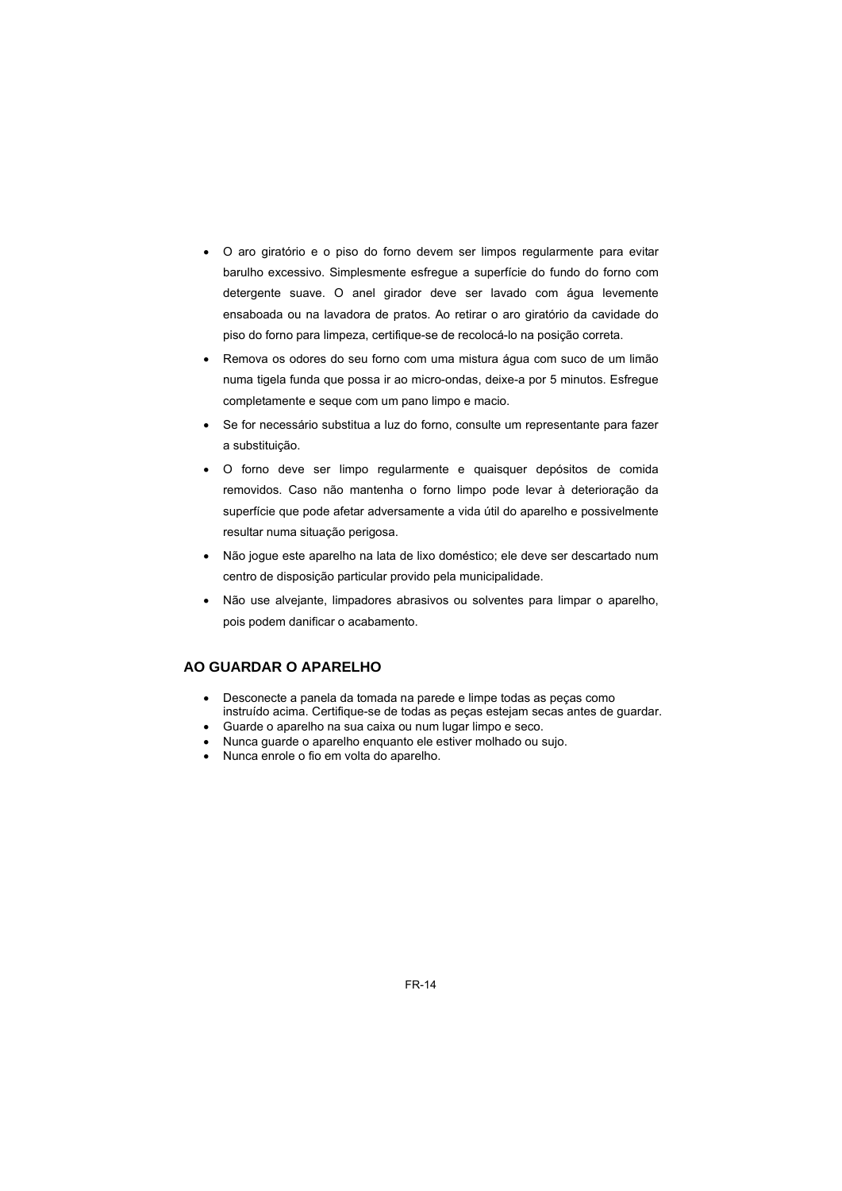- O aro giratório e o piso do forno devem ser limpos regularmente para evitar barulho excessivo. Simplesmente esfregue a superfície do fundo do forno com detergente suave. O anel girador deve ser lavado com água levemente ensaboada ou na lavadora de pratos. Ao retirar o aro giratório da cavidade do piso do forno para limpeza, certifique-se de recolocá-lo na posição correta.
- Remova os odores do seu forno com uma mistura água com suco de um limão numa tigela funda que possa ir ao micro-ondas, deixe-a por 5 minutos. Esfregue completamente e seque com um pano limpo e macio.
- Se for necessário substitua a luz do forno, consulte um representante para fazer a substituição.
- O forno deve ser limpo regularmente e quaisquer depósitos de comida removidos. Caso não mantenha o forno limpo pode levar à deterioração da superfície que pode afetar adversamente a vida útil do aparelho e possivelmente resultar numa situação perigosa.
- Não jogue este aparelho na lata de lixo doméstico; ele deve ser descartado num centro de disposição particular provido pela municipalidade.
- Não use alvejante, limpadores abrasivos ou solventes para limpar o aparelho, pois podem danificar o acabamento.

#### **AO GUARDAR O APARELHO**

- Desconecte a panela da tomada na parede e limpe todas as peças como instruído acima. Certifique-se de todas as peças estejam secas antes de guardar.
- Guarde o aparelho na sua caixa ou num lugar limpo e seco.
- Nunca guarde o aparelho enquanto ele estiver molhado ou sujo.
- Nunca enrole o fio em volta do aparelho.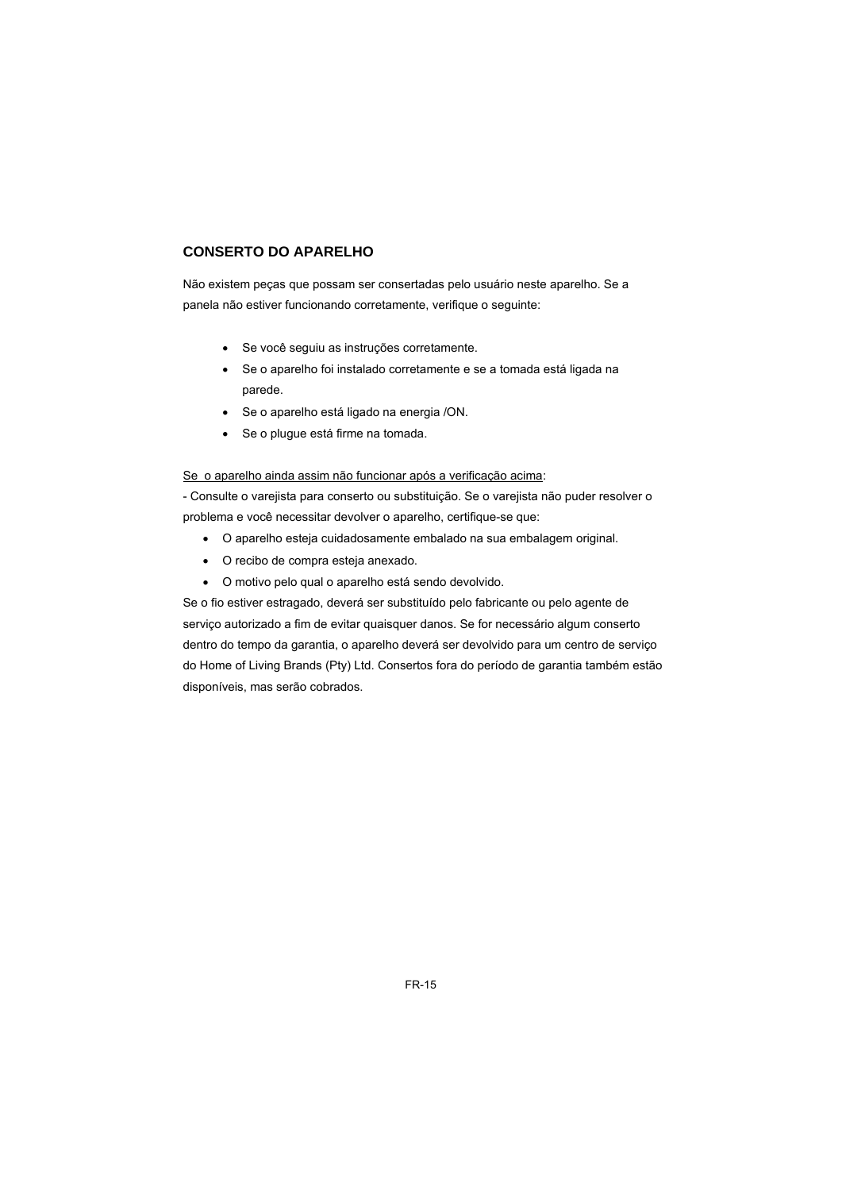### **CONSERTO DO APARELHO**

Não existem peças que possam ser consertadas pelo usuário neste aparelho. Se a panela não estiver funcionando corretamente, verifique o seguinte:

- Se você seguiu as instruções corretamente.
- Se o aparelho foi instalado corretamente e se a tomada está ligada na parede.
- Se o aparelho está ligado na energia /ON.
- Se o plugue está firme na tomada.

#### Se o aparelho ainda assim não funcionar após a verificação acima:

- Consulte o varejista para conserto ou substituição. Se o varejista não puder resolver o problema e você necessitar devolver o aparelho, certifique-se que:

- O aparelho esteja cuidadosamente embalado na sua embalagem original.
- O recibo de compra esteja anexado.
- O motivo pelo qual o aparelho está sendo devolvido.

Se o fio estiver estragado, deverá ser substituído pelo fabricante ou pelo agente de serviço autorizado a fim de evitar quaisquer danos. Se for necessário algum conserto dentro do tempo da garantia, o aparelho deverá ser devolvido para um centro de serviço do Home of Living Brands (Pty) Ltd. Consertos fora do período de garantia também estão disponíveis, mas serão cobrados.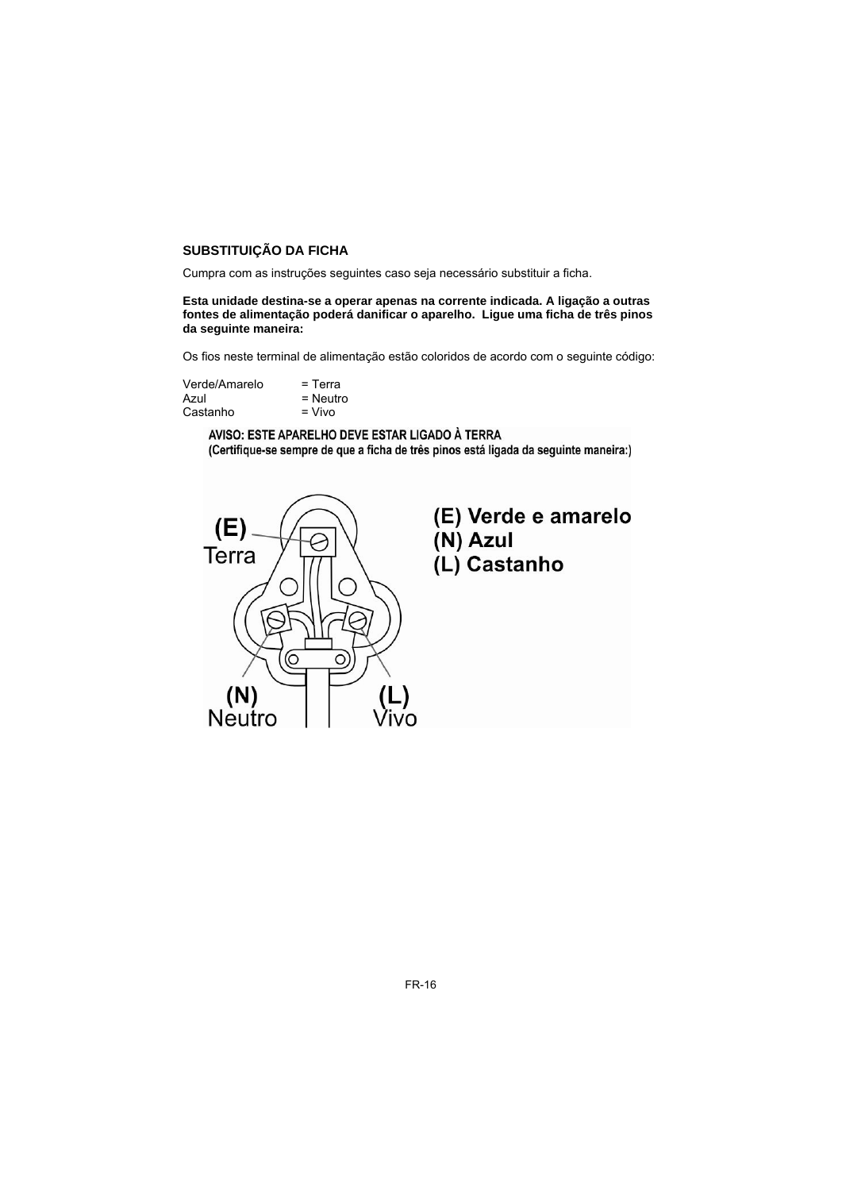#### **SUBSTITUIÇÃO DA FICHA**

Cumpra com as instruções seguintes caso seja necessário substituir a ficha.

#### **Esta unidade destina-se a operar apenas na corrente indicada. A ligação a outras fontes de alimentação poderá danificar o aparelho. Ligue uma ficha de três pinos da seguinte maneira:**

Os fios neste terminal de alimentação estão coloridos de acordo com o seguinte código:

| Verde/Amarelo | $=$ Terra  |
|---------------|------------|
| Azul          | $=$ Neutro |
| Castanho      | $=$ Vivo   |

AVISO: ESTE APARELHO DEVE ESTAR LIGADO À TERRA (Certifique-se sempre de que a ficha de três pinos está ligada da seguinte maneira:)



# (E) Verde e amarelo (N) Azul (L) Castanho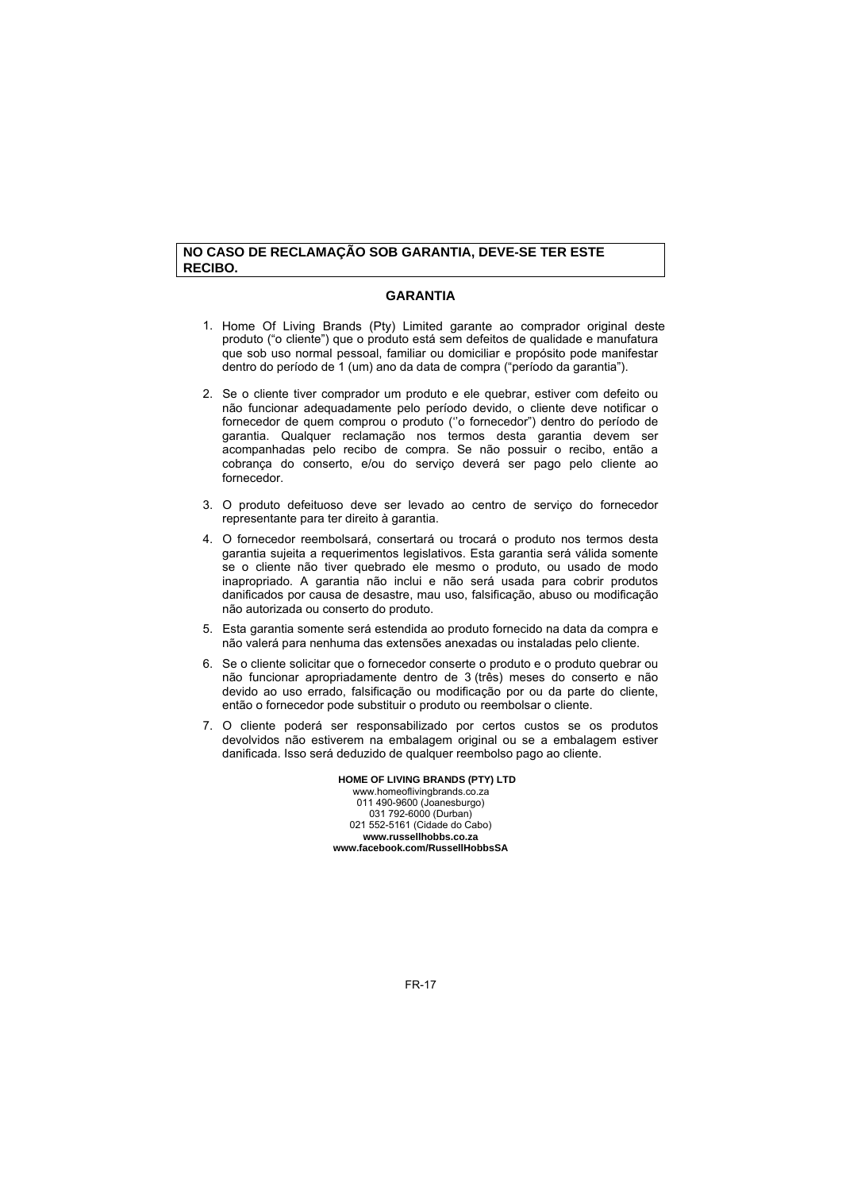#### **NO CASO DE RECLAMAÇÃO SOB GARANTIA, DEVE-SE TER ESTE RECIBO.**

#### **GARANTIA**

- 1. Home Of Living Brands (Pty) Limited garante ao comprador original deste produto ("o cliente") que o produto está sem defeitos de qualidade e manufatura que sob uso normal pessoal, familiar ou domiciliar e propósito pode manifestar dentro do período de 1 (um) ano da data de compra ("período da garantia").
- 2. Se o cliente tiver comprador um produto e ele quebrar, estiver com defeito ou não funcionar adequadamente pelo período devido, o cliente deve notificar o fornecedor de quem comprou o produto (''o fornecedor") dentro do período de garantia. Qualquer reclamação nos termos desta garantia devem ser acompanhadas pelo recibo de compra. Se não possuir o recibo, então a cobrança do conserto, e/ou do serviço deverá ser pago pelo cliente ao fornecedor.
- 3. O produto defeituoso deve ser levado ao centro de serviço do fornecedor representante para ter direito à garantia.
- 4. O fornecedor reembolsará, consertará ou trocará o produto nos termos desta garantia sujeita a requerimentos legislativos. Esta garantia será válida somente se o cliente não tiver quebrado ele mesmo o produto, ou usado de modo inapropriado. A garantia não inclui e não será usada para cobrir produtos danificados por causa de desastre, mau uso, falsificação, abuso ou modificação não autorizada ou conserto do produto.
- 5. Esta garantia somente será estendida ao produto fornecido na data da compra e não valerá para nenhuma das extensões anexadas ou instaladas pelo cliente.
- 6. Se o cliente solicitar que o fornecedor conserte o produto e o produto quebrar ou não funcionar apropriadamente dentro de 3 (três) meses do conserto e não devido ao uso errado, falsificação ou modificação por ou da parte do cliente, então o fornecedor pode substituir o produto ou reembolsar o cliente.
- 7. O cliente poderá ser responsabilizado por certos custos se os produtos devolvidos não estiverem na embalagem original ou se a embalagem estiver danificada. Isso será deduzido de qualquer reembolso pago ao cliente.

#### **HOME OF LIVING BRANDS (PTY) LTD**

011 490-9600 (Joanesburgo) 031 792-6000 (Durban) 021 552-5161 (Cidade do Cabo) **www.russellhobbs.co.za www.facebook.com/RussellHobbsSA**  www.homeoflivingbrands.co.za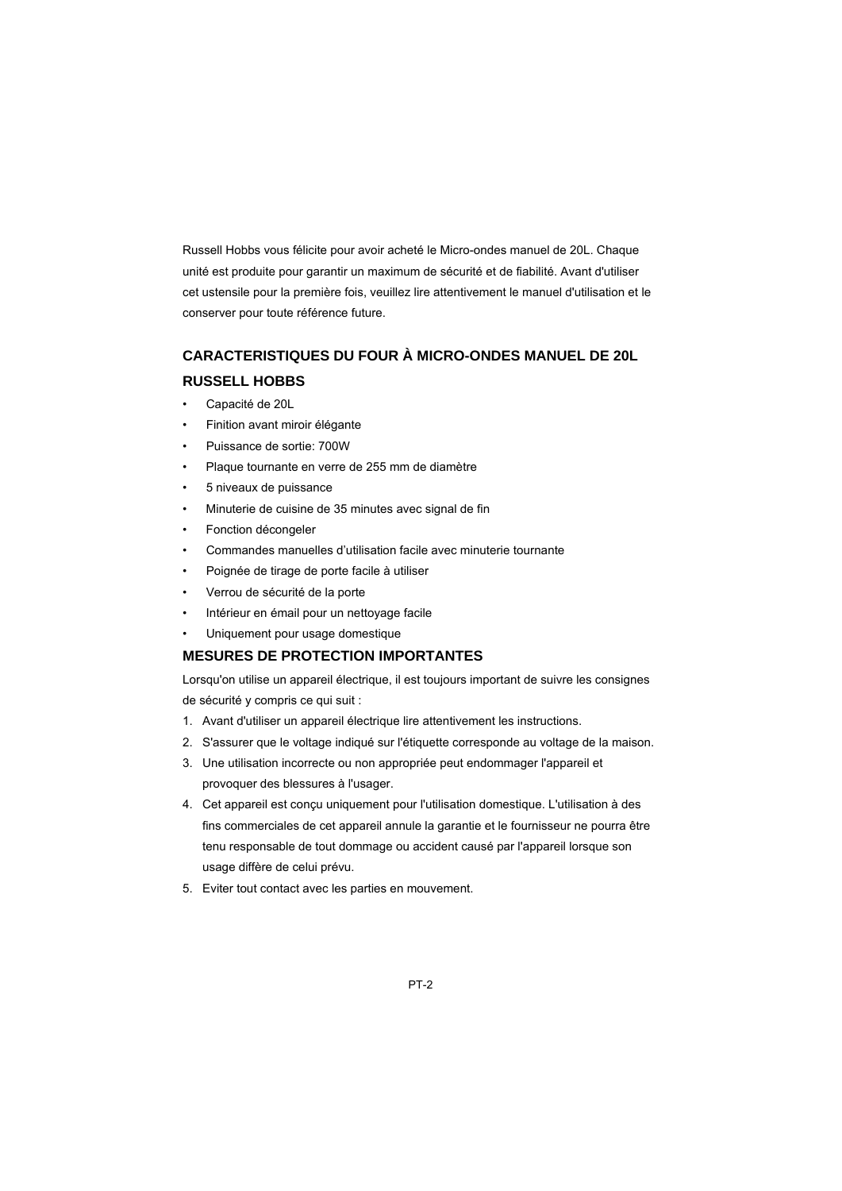Russell Hobbs vous félicite pour avoir acheté le Micro-ondes manuel de 20L. Chaque unité est produite pour garantir un maximum de sécurité et de fiabilité. Avant d'utiliser cet ustensile pour la première fois, veuillez lire attentivement le manuel d'utilisation et le conserver pour toute référence future.

# **CARACTERISTIQUES DU FOUR À MICRO-ONDES MANUEL DE 20L RUSSELL HOBBS**

- Capacité de 20L
- Finition avant miroir élégante
- Puissance de sortie: 700W
- Plaque tournante en verre de 255 mm de diamètre
- 5 niveaux de puissance
- Minuterie de cuisine de 35 minutes avec signal de fin
- Fonction décongeler
- Commandes manuelles d'utilisation facile avec minuterie tournante
- Poignée de tirage de porte facile à utiliser
- Verrou de sécurité de la porte
- Intérieur en émail pour un nettoyage facile
- Uniquement pour usage domestique

#### **MESURES DE PROTECTION IMPORTANTES**

Lorsqu'on utilise un appareil électrique, il est toujours important de suivre les consignes de sécurité y compris ce qui suit :

- 1. Avant d'utiliser un appareil électrique lire attentivement les instructions.
- 2. S'assurer que le voltage indiqué sur l'étiquette corresponde au voltage de la maison.
- 3. Une utilisation incorrecte ou non appropriée peut endommager l'appareil et provoquer des blessures à l'usager.
- 4. Cet appareil est conçu uniquement pour l'utilisation domestique. L'utilisation à des fins commerciales de cet appareil annule la garantie et le fournisseur ne pourra être tenu responsable de tout dommage ou accident causé par l'appareil lorsque son usage diffère de celui prévu.
- 5. Eviter tout contact avec les parties en mouvement.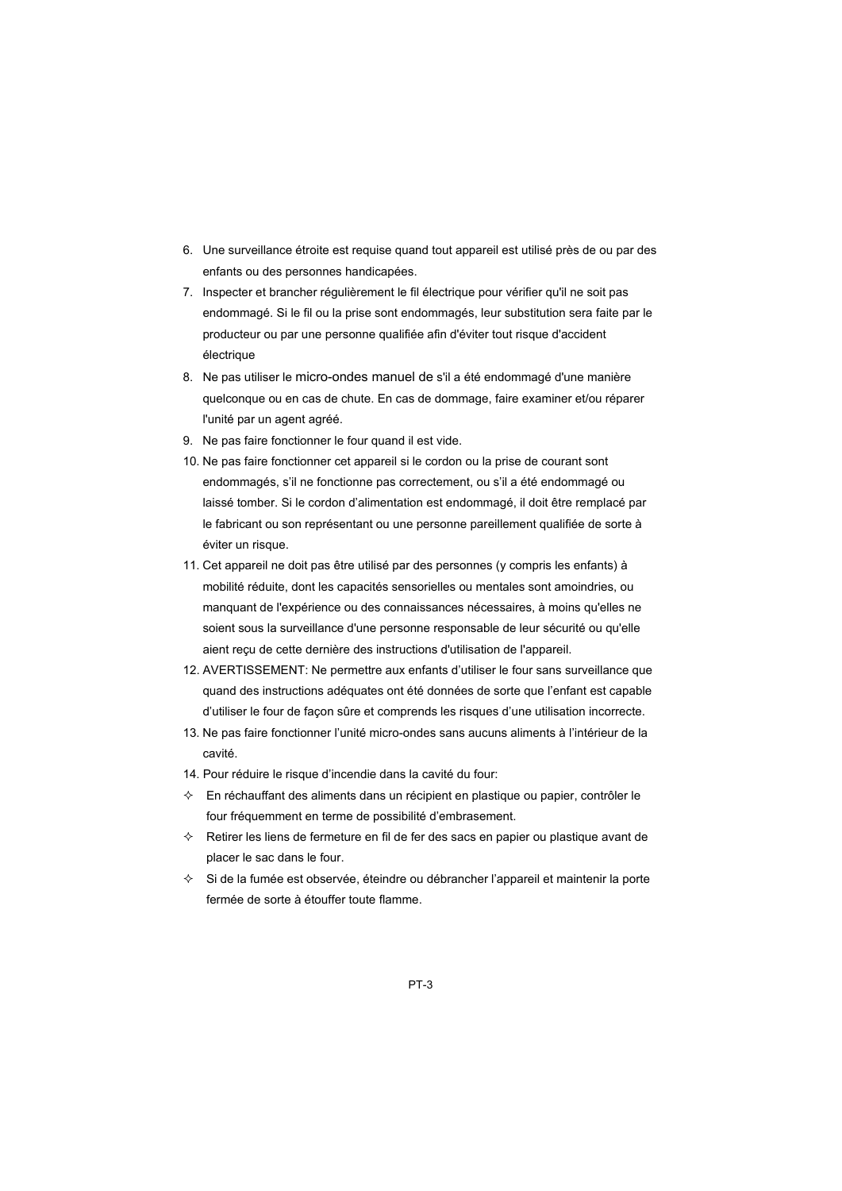- 6. Une surveillance étroite est requise quand tout appareil est utilisé près de ou par des enfants ou des personnes handicapées.
- 7. Inspecter et brancher régulièrement le fil électrique pour vérifier qu'il ne soit pas endommagé. Si le fil ou la prise sont endommagés, leur substitution sera faite par le producteur ou par une personne qualifiée afin d'éviter tout risque d'accident électrique
- 8. Ne pas utiliser le micro-ondes manuel de s'il a été endommagé d'une manière quelconque ou en cas de chute. En cas de dommage, faire examiner et/ou réparer l'unité par un agent agréé.
- 9. Ne pas faire fonctionner le four quand il est vide.
- 10. Ne pas faire fonctionner cet appareil si le cordon ou la prise de courant sont endommagés, s'il ne fonctionne pas correctement, ou s'il a été endommagé ou laissé tomber. Si le cordon d'alimentation est endommagé, il doit être remplacé par le fabricant ou son représentant ou une personne pareillement qualifiée de sorte à éviter un risque.
- 11. Cet appareil ne doit pas être utilisé par des personnes (y compris les enfants) à mobilité réduite, dont les capacités sensorielles ou mentales sont amoindries, ou manquant de l'expérience ou des connaissances nécessaires, à moins qu'elles ne soient sous la surveillance d'une personne responsable de leur sécurité ou qu'elle aient reçu de cette dernière des instructions d'utilisation de l'appareil.
- 12. AVERTISSEMENT: Ne permettre aux enfants d'utiliser le four sans surveillance que quand des instructions adéquates ont été données de sorte que l'enfant est capable d'utiliser le four de façon sûre et comprends les risques d'une utilisation incorrecte.
- 13. Ne pas faire fonctionner l'unité micro-ondes sans aucuns aliments à l'intérieur de la cavité.
- 14. Pour réduire le risque d'incendie dans la cavité du four:
- En réchauffant des aliments dans un récipient en plastique ou papier, contrôler le four fréquemment en terme de possibilité d'embrasement.
- $\Diamond$  Retirer les liens de fermeture en fil de fer des sacs en papier ou plastique avant de placer le sac dans le four.
- $\Diamond$  Si de la fumée est observée, éteindre ou débrancher l'appareil et maintenir la porte fermée de sorte à étouffer toute flamme.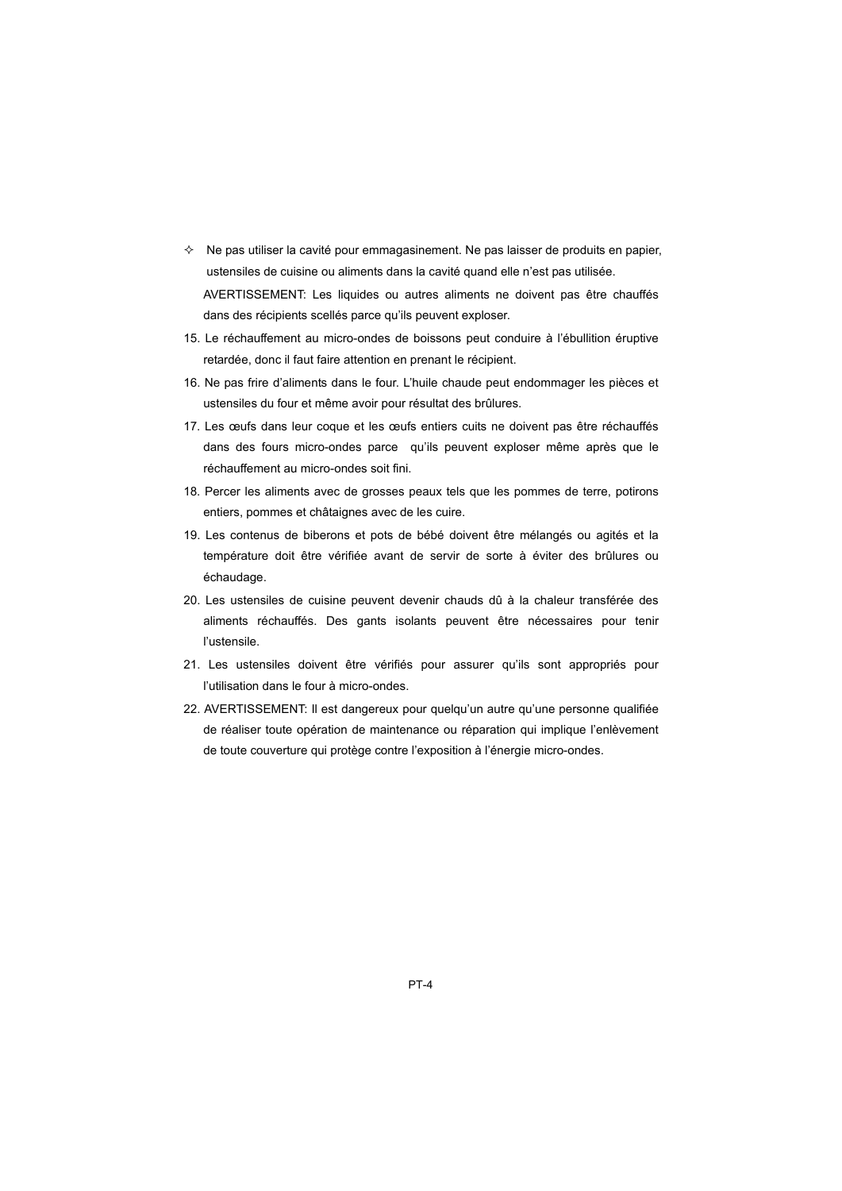- $\Diamond$  Ne pas utiliser la cavité pour emmagasinement. Ne pas laisser de produits en papier, ustensiles de cuisine ou aliments dans la cavité quand elle n'est pas utilisée. AVERTISSEMENT: Les liquides ou autres aliments ne doivent pas être chauffés dans des récipients scellés parce qu'ils peuvent exploser.
- 15. Le réchauffement au micro-ondes de boissons peut conduire à l'ébullition éruptive retardée, donc il faut faire attention en prenant le récipient.
- 16. Ne pas frire d'aliments dans le four. L'huile chaude peut endommager les pièces et ustensiles du four et même avoir pour résultat des brûlures.
- 17. Les œufs dans leur coque et les œufs entiers cuits ne doivent pas être réchauffés dans des fours micro-ondes parce qu'ils peuvent exploser même après que le réchauffement au micro-ondes soit fini.
- 18. Percer les aliments avec de grosses peaux tels que les pommes de terre, potirons entiers, pommes et châtaignes avec de les cuire.
- 19. Les contenus de biberons et pots de bébé doivent être mélangés ou agités et la température doit être vérifiée avant de servir de sorte à éviter des brûlures ou échaudage.
- 20. Les ustensiles de cuisine peuvent devenir chauds dû à la chaleur transférée des aliments réchauffés. Des gants isolants peuvent être nécessaires pour tenir l'ustensile.
- 21. Les ustensiles doivent être vérifiés pour assurer qu'ils sont appropriés pour l'utilisation dans le four à micro-ondes.
- 22. AVERTISSEMENT: Il est dangereux pour quelqu'un autre qu'une personne qualifiée de réaliser toute opération de maintenance ou réparation qui implique l'enlèvement de toute couverture qui protège contre l'exposition à l'énergie micro-ondes.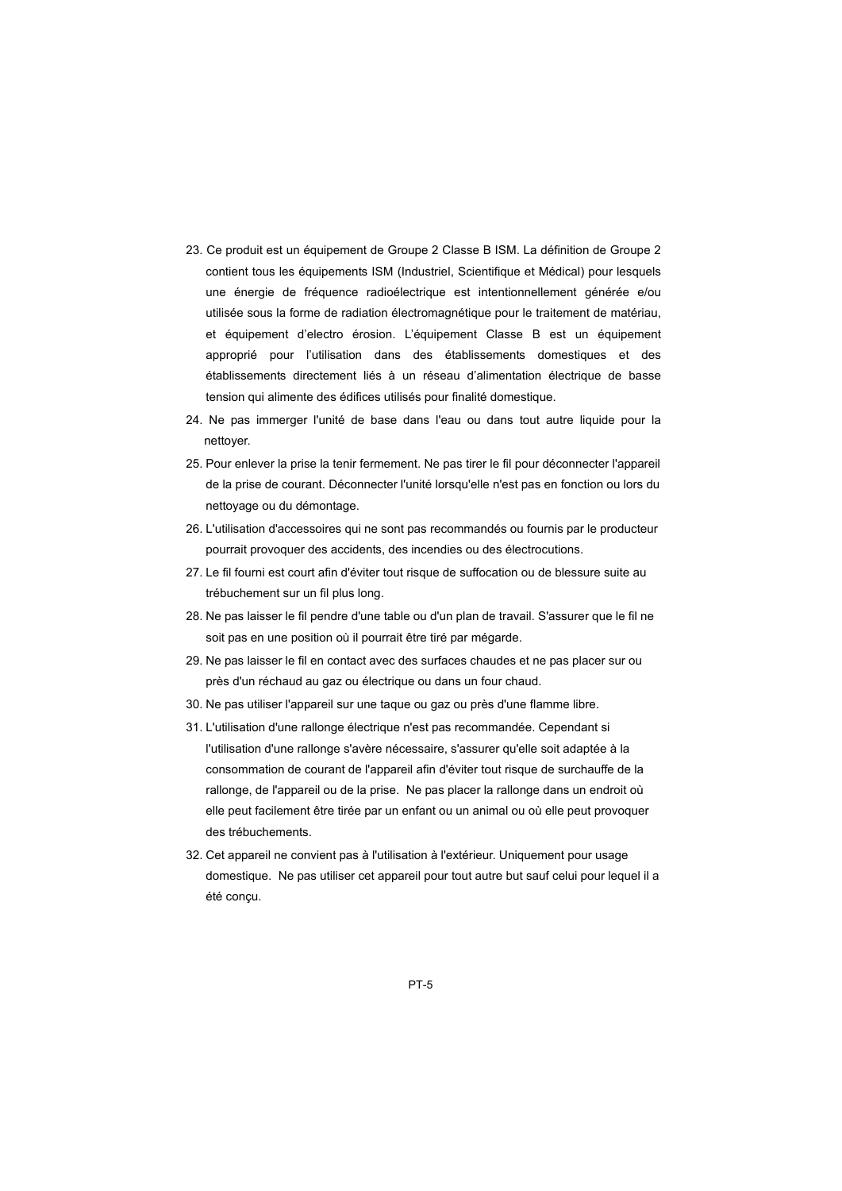- 23. Ce produit est un équipement de Groupe 2 Classe B ISM. La définition de Groupe 2 contient tous les équipements ISM (Industriel, Scientifique et Médical) pour lesquels une énergie de fréquence radioélectrique est intentionnellement générée e/ou utilisée sous la forme de radiation électromagnétique pour le traitement de matériau, et équipement d'electro érosion. L'équipement Classe B est un équipement approprié pour l'utilisation dans des établissements domestiques et des établissements directement liés à un réseau d'alimentation électrique de basse tension qui alimente des édifices utilisés pour finalité domestique.
- 24. Ne pas immerger l'unité de base dans l'eau ou dans tout autre liquide pour la nettoyer.
- 25. Pour enlever la prise la tenir fermement. Ne pas tirer le fil pour déconnecter l'appareil de la prise de courant. Déconnecter l'unité lorsqu'elle n'est pas en fonction ou lors du nettoyage ou du démontage.
- 26. L'utilisation d'accessoires qui ne sont pas recommandés ou fournis par le producteur pourrait provoquer des accidents, des incendies ou des électrocutions.
- 27. Le fil fourni est court afin d'éviter tout risque de suffocation ou de blessure suite au trébuchement sur un fil plus long.
- 28. Ne pas laisser le fil pendre d'une table ou d'un plan de travail. S'assurer que le fil ne soit pas en une position où il pourrait être tiré par mégarde.
- 29. Ne pas laisser le fil en contact avec des surfaces chaudes et ne pas placer sur ou près d'un réchaud au gaz ou électrique ou dans un four chaud.
- 30. Ne pas utiliser l'appareil sur une taque ou gaz ou près d'une flamme libre.
- 31. L'utilisation d'une rallonge électrique n'est pas recommandée. Cependant si l'utilisation d'une rallonge s'avère nécessaire, s'assurer qu'elle soit adaptée à la consommation de courant de l'appareil afin d'éviter tout risque de surchauffe de la rallonge, de l'appareil ou de la prise. Ne pas placer la rallonge dans un endroit où elle peut facilement être tirée par un enfant ou un animal ou où elle peut provoquer des trébuchements.
- 32. Cet appareil ne convient pas à l'utilisation à l'extérieur. Uniquement pour usage domestique. Ne pas utiliser cet appareil pour tout autre but sauf celui pour lequel il a été conçu.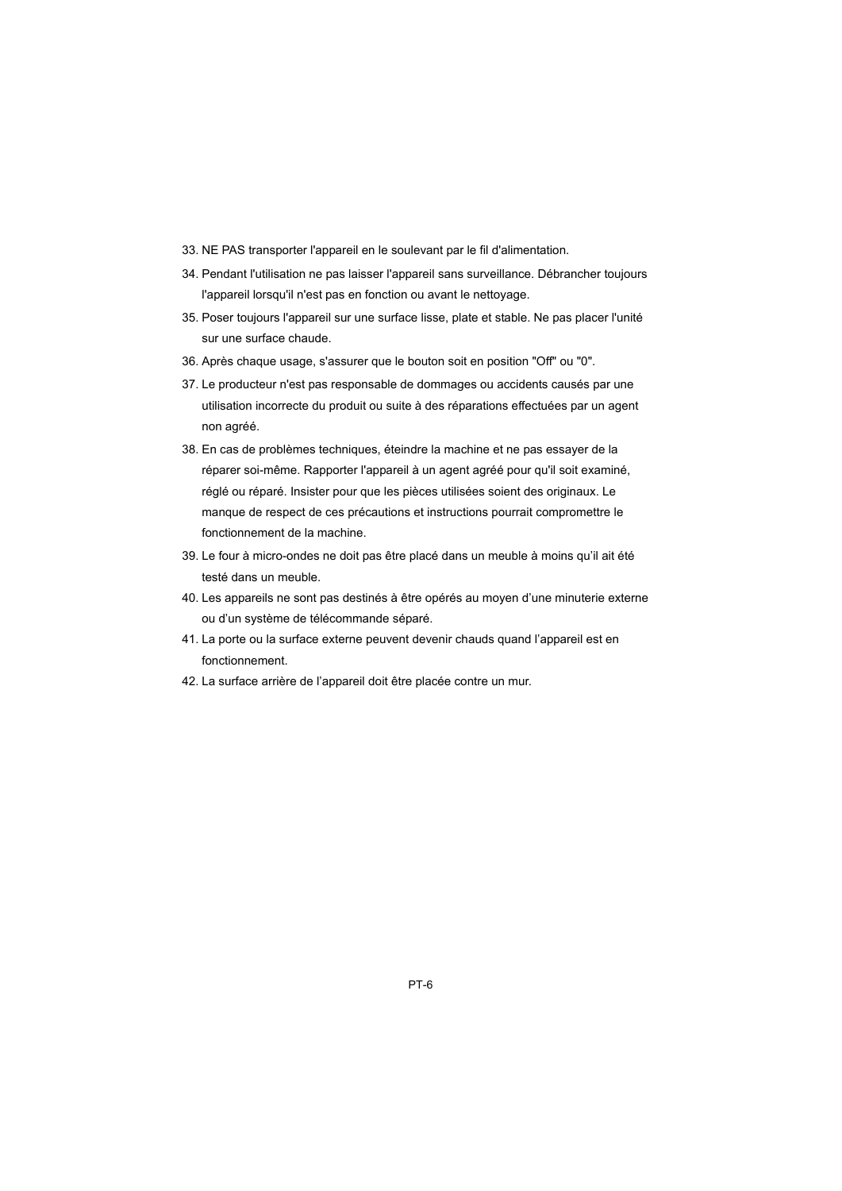- 33. NE PAS transporter l'appareil en le soulevant par le fil d'alimentation.
- 34. Pendant l'utilisation ne pas laisser l'appareil sans surveillance. Débrancher toujours l'appareil lorsqu'il n'est pas en fonction ou avant le nettoyage.
- 35. Poser toujours l'appareil sur une surface lisse, plate et stable. Ne pas placer l'unité sur une surface chaude.
- 36. Après chaque usage, s'assurer que le bouton soit en position "Off" ou "0".
- 37. Le producteur n'est pas responsable de dommages ou accidents causés par une utilisation incorrecte du produit ou suite à des réparations effectuées par un agent non agréé.
- 38. En cas de problèmes techniques, éteindre la machine et ne pas essayer de la réparer soi-même. Rapporter l'appareil à un agent agréé pour qu'il soit examiné, réglé ou réparé. Insister pour que les pièces utilisées soient des originaux. Le manque de respect de ces précautions et instructions pourrait compromettre le fonctionnement de la machine.
- 39. Le four à micro-ondes ne doit pas être placé dans un meuble à moins qu'il ait été testé dans un meuble.
- 40. Les appareils ne sont pas destinés à être opérés au moyen d'une minuterie externe ou d'un système de télécommande séparé.
- 41. La porte ou la surface externe peuvent devenir chauds quand l'appareil est en fonctionnement.
- 42. La surface arrière de l'appareil doit être placée contre un mur.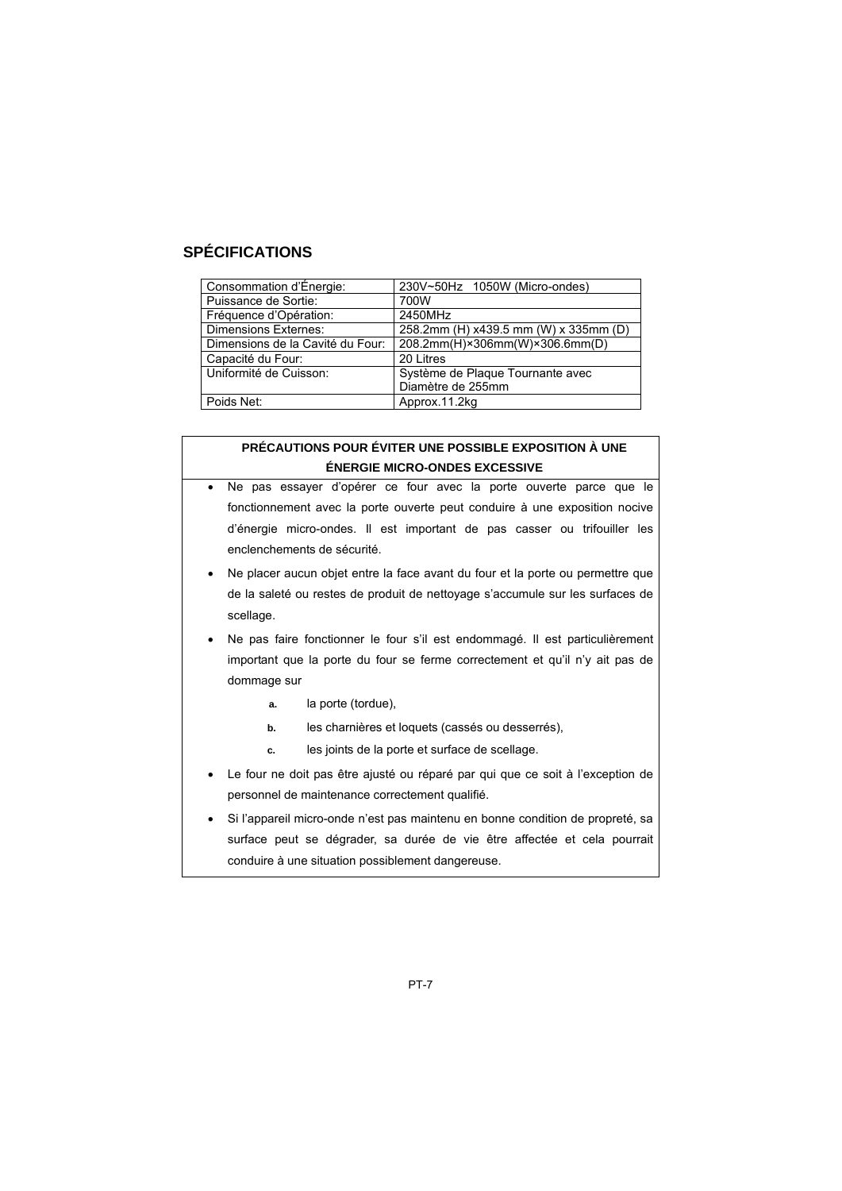# **SPÉCIFICATIONS**

| Consommation d'Énergie:          | 230V~50Hz 1050W (Micro-ondes)         |
|----------------------------------|---------------------------------------|
| Puissance de Sortie:             | 700W                                  |
| Fréquence d'Opération:           | 2450MHz                               |
| <b>Dimensions Externes:</b>      | 258.2mm (H) x439.5 mm (W) x 335mm (D) |
| Dimensions de la Cavité du Four: | 208.2mm(H)×306mm(W)×306.6mm(D)        |
| Capacité du Four:                | 20 Litres                             |
| Uniformité de Cuisson:           | Système de Plaque Tournante avec      |
|                                  | Diamètre de 255mm                     |
| Poids Net:                       | Approx.11.2kg                         |

#### **PRÉCAUTIONS POUR ÉVITER UNE POSSIBLE EXPOSITION À UNE ÉNERGIE MICRO-ONDES EXCESSIVE**

- Ne pas essayer d'opérer ce four avec la porte ouverte parce que le fonctionnement avec la porte ouverte peut conduire à une exposition nocive d'énergie micro-ondes. Il est important de pas casser ou trifouiller les enclenchements de sécurité.
- Ne placer aucun objet entre la face avant du four et la porte ou permettre que de la saleté ou restes de produit de nettoyage s'accumule sur les surfaces de scellage.
- Ne pas faire fonctionner le four s'il est endommagé. Il est particulièrement important que la porte du four se ferme correctement et qu'il n'y ait pas de dommage sur
	- **a.** la porte (tordue),
	- **b.** les charnières et loquets (cassés ou desserrés),
	- **c.** les joints de la porte et surface de scellage.
- Le four ne doit pas être ajusté ou réparé par qui que ce soit à l'exception de personnel de maintenance correctement qualifié.
- Si l'appareil micro-onde n'est pas maintenu en bonne condition de propreté, sa surface peut se dégrader, sa durée de vie être affectée et cela pourrait conduire à une situation possiblement dangereuse.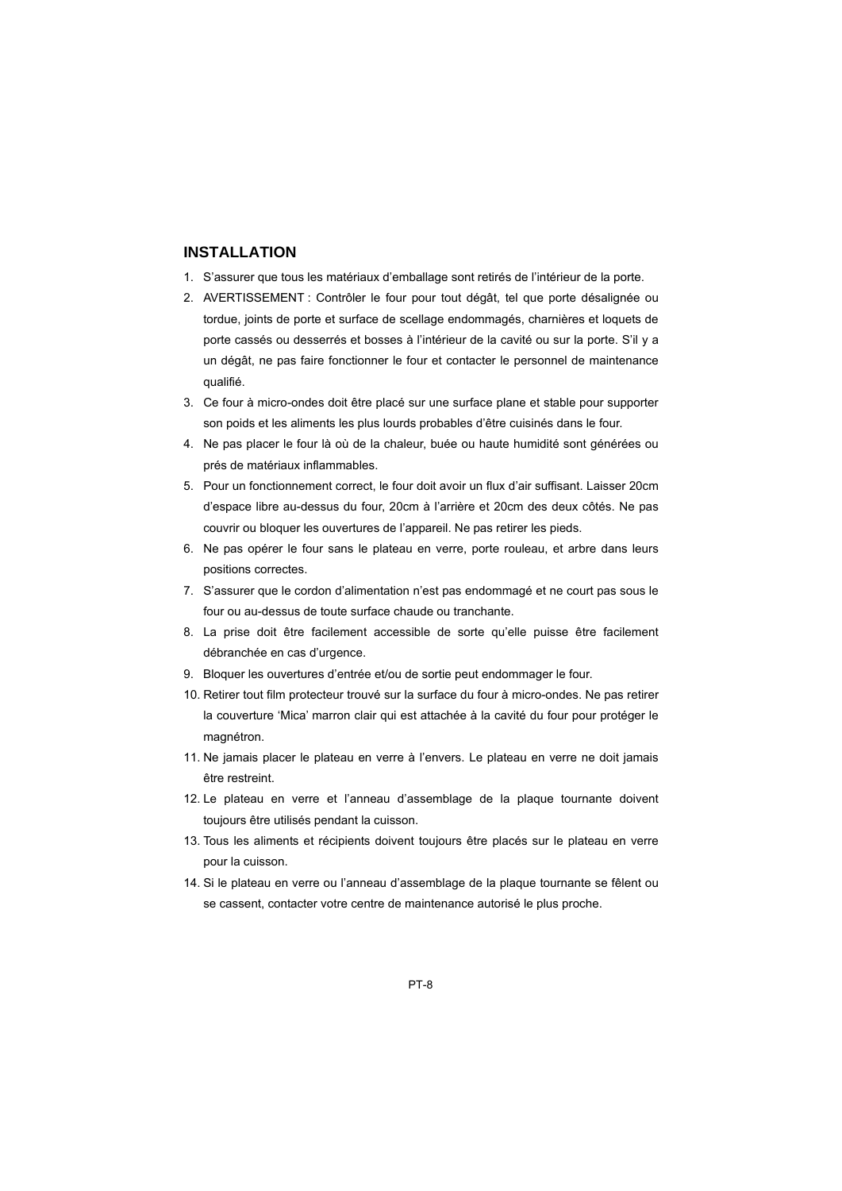# **INSTALLATION**

- 1. S'assurer que tous les matériaux d'emballage sont retirés de l'intérieur de la porte.
- 2. AVERTISSEMENT : Contrôler le four pour tout dégât, tel que porte désalignée ou tordue, joints de porte et surface de scellage endommagés, charnières et loquets de porte cassés ou desserrés et bosses à l'intérieur de la cavité ou sur la porte. S'il y a un dégât, ne pas faire fonctionner le four et contacter le personnel de maintenance qualifié.
- 3. Ce four à micro-ondes doit être placé sur une surface plane et stable pour supporter son poids et les aliments les plus lourds probables d'être cuisinés dans le four.
- 4. Ne pas placer le four là où de la chaleur, buée ou haute humidité sont générées ou prés de matériaux inflammables.
- 5. Pour un fonctionnement correct, le four doit avoir un flux d'air suffisant. Laisser 20cm d'espace libre au-dessus du four, 20cm à l'arrière et 20cm des deux côtés. Ne pas couvrir ou bloquer les ouvertures de l'appareil. Ne pas retirer les pieds.
- 6. Ne pas opérer le four sans le plateau en verre, porte rouleau, et arbre dans leurs positions correctes.
- 7. S'assurer que le cordon d'alimentation n'est pas endommagé et ne court pas sous le four ou au-dessus de toute surface chaude ou tranchante.
- 8. La prise doit être facilement accessible de sorte qu'elle puisse être facilement débranchée en cas d'urgence.
- 9. Bloquer les ouvertures d'entrée et/ou de sortie peut endommager le four.
- 10. Retirer tout film protecteur trouvé sur la surface du four à micro-ondes. Ne pas retirer la couverture 'Mica' marron clair qui est attachée à la cavité du four pour protéger le magnétron.
- 11. Ne jamais placer le plateau en verre à l'envers. Le plateau en verre ne doit jamais être restreint.
- 12. Le plateau en verre et l'anneau d'assemblage de la plaque tournante doivent toujours être utilisés pendant la cuisson.
- 13. Tous les aliments et récipients doivent toujours être placés sur le plateau en verre pour la cuisson.
- 14. Si le plateau en verre ou l'anneau d'assemblage de la plaque tournante se fêlent ou se cassent, contacter votre centre de maintenance autorisé le plus proche.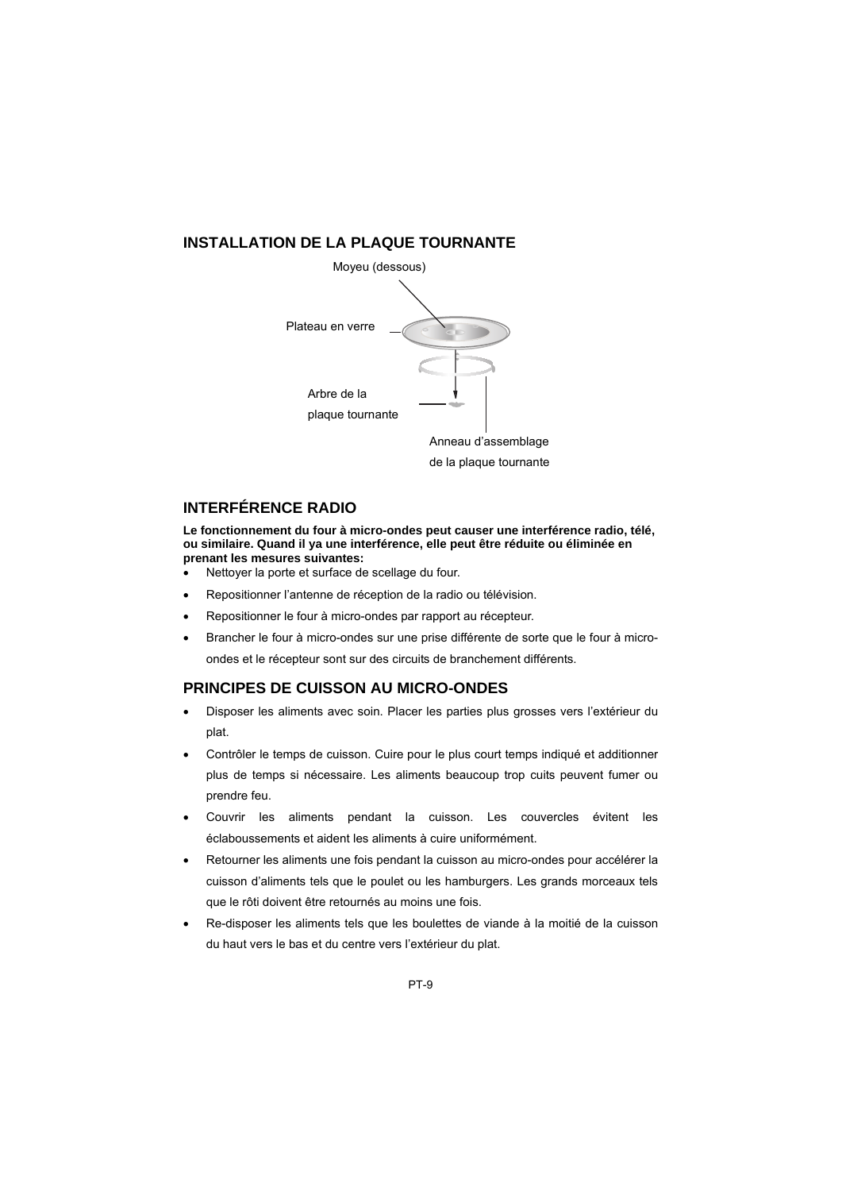# **INSTALLATION DE LA PLAQUE TOURNANTE**



# **INTERFÉRENCE RADIO**

**Le fonctionnement du four à micro-ondes peut causer une interférence radio, télé, ou similaire. Quand il ya une interférence, elle peut être réduite ou éliminée en prenant les mesures suivantes:** 

- Nettoyer la porte et surface de scellage du four.
- Repositionner l'antenne de réception de la radio ou télévision.
- Repositionner le four à micro-ondes par rapport au récepteur.
- Brancher le four à micro-ondes sur une prise différente de sorte que le four à microondes et le récepteur sont sur des circuits de branchement différents.

# **PRINCIPES DE CUISSON AU MICRO-ONDES**

- Disposer les aliments avec soin. Placer les parties plus grosses vers l'extérieur du plat.
- Contrôler le temps de cuisson. Cuire pour le plus court temps indiqué et additionner plus de temps si nécessaire. Les aliments beaucoup trop cuits peuvent fumer ou prendre feu.
- Couvrir les aliments pendant la cuisson. Les couvercles évitent les éclaboussements et aident les aliments à cuire uniformément.
- Retourner les aliments une fois pendant la cuisson au micro-ondes pour accélérer la cuisson d'aliments tels que le poulet ou les hamburgers. Les grands morceaux tels que le rôti doivent être retournés au moins une fois.
- Re-disposer les aliments tels que les boulettes de viande à la moitié de la cuisson du haut vers le bas et du centre vers l'extérieur du plat.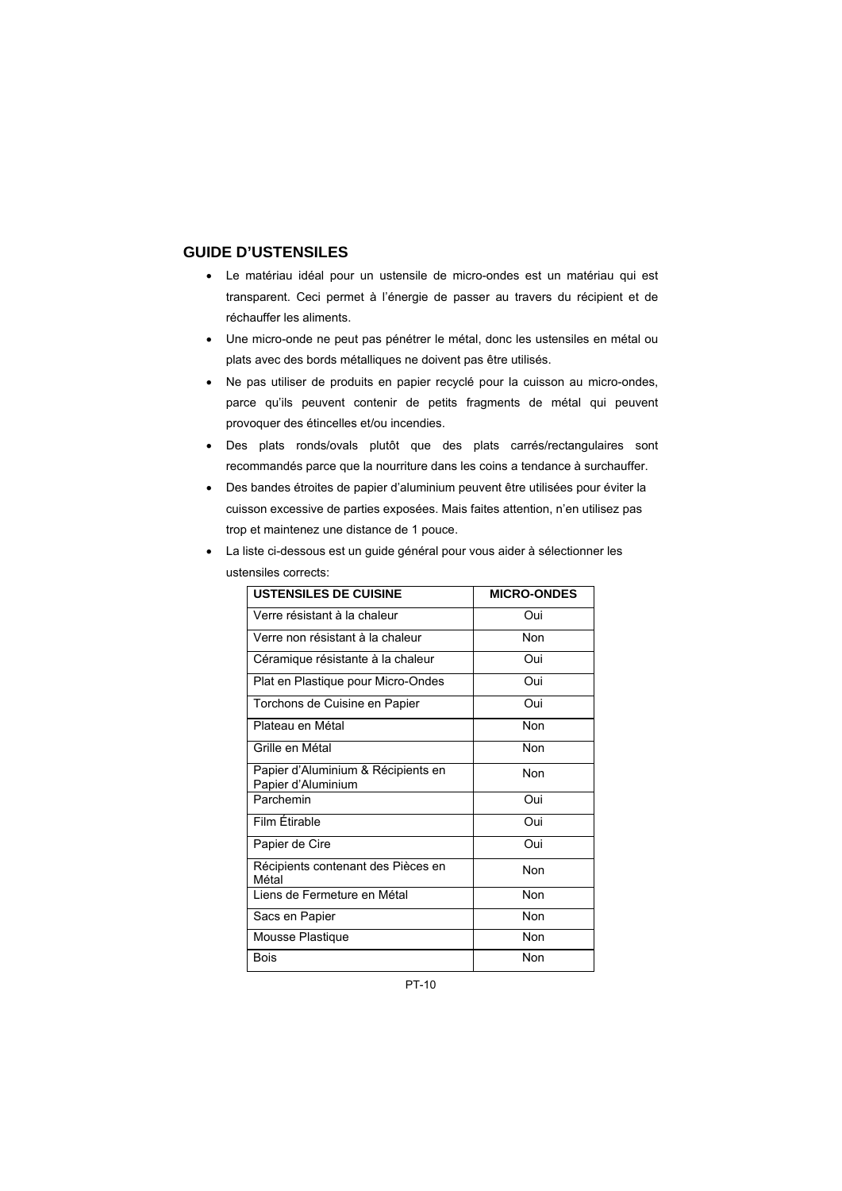#### **GUIDE D'USTENSILES**

- Le matériau idéal pour un ustensile de micro-ondes est un matériau qui est transparent. Ceci permet à l'énergie de passer au travers du récipient et de réchauffer les aliments.
- Une micro-onde ne peut pas pénétrer le métal, donc les ustensiles en métal ou plats avec des bords métalliques ne doivent pas être utilisés.
- Ne pas utiliser de produits en papier recyclé pour la cuisson au micro-ondes, parce qu'ils peuvent contenir de petits fragments de métal qui peuvent provoquer des étincelles et/ou incendies.
- Des plats ronds/ovals plutôt que des plats carrés/rectangulaires sont recommandés parce que la nourriture dans les coins a tendance à surchauffer.
- Des bandes étroites de papier d'aluminium peuvent être utilisées pour éviter la cuisson excessive de parties exposées. Mais faites attention, n'en utilisez pas trop et maintenez une distance de 1 pouce.

| • La liste ci-dessous est un guide général pour vous aider à sélectionner les |
|-------------------------------------------------------------------------------|
| ustensiles corrects:                                                          |

| <b>USTENSILES DE CUISINE</b>                             | <b>MICRO-ONDES</b> |
|----------------------------------------------------------|--------------------|
| Verre résistant à la chaleur                             | Oui                |
| Verre non résistant à la chaleur                         | Non                |
| Céramique résistante à la chaleur                        | Oui                |
| Plat en Plastique pour Micro-Ondes                       | Oui                |
| Torchons de Cuisine en Papier                            | Oui                |
| Plateau en Métal                                         | Non                |
| Grille en Métal                                          | Non                |
| Papier d'Aluminium & Récipients en<br>Papier d'Aluminium | Non                |
| Parchemin                                                | Oui                |
| Film Étirable                                            | Oui                |
| Papier de Cire                                           | Oui                |
| Récipients contenant des Pièces en<br>Métal              | Non                |
| Liens de Fermeture en Métal                              | Non                |
| Sacs en Papier                                           | Non                |
| Mousse Plastique                                         | Non                |
| <b>Bois</b>                                              | Non                |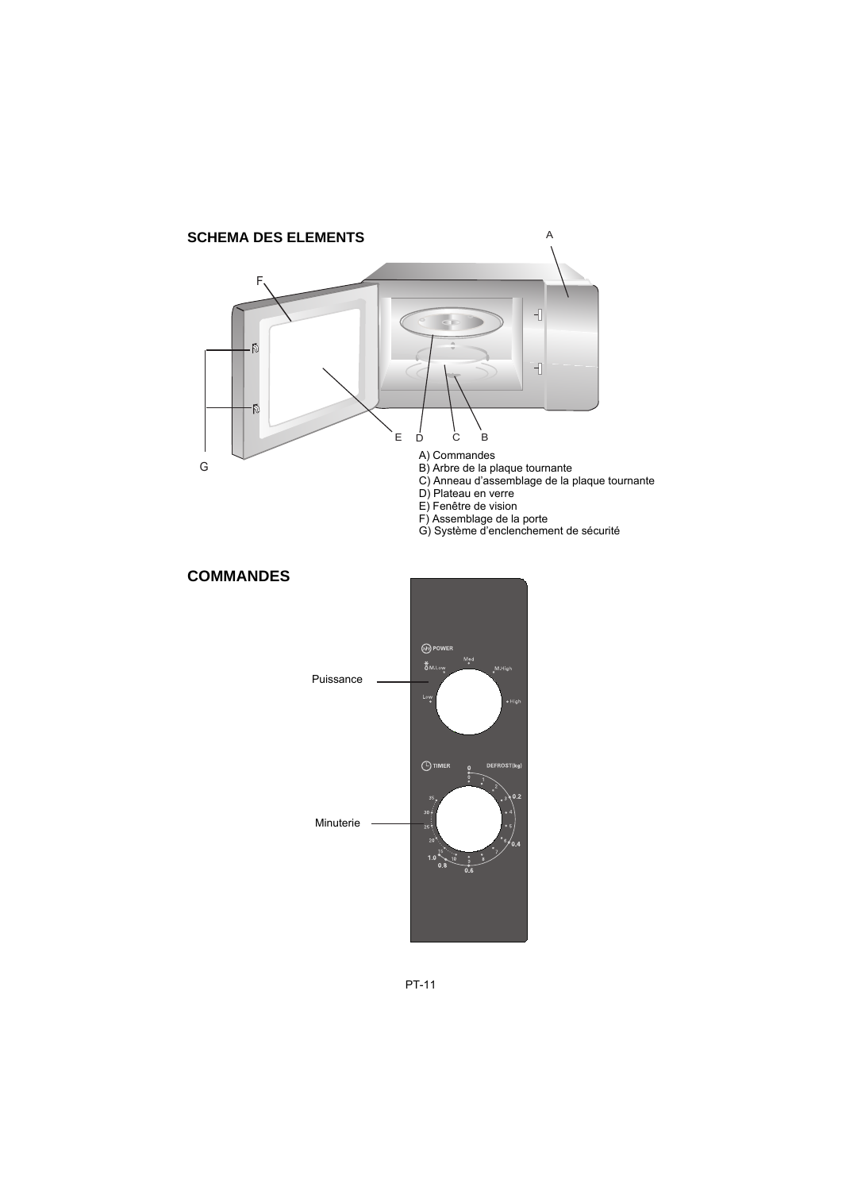



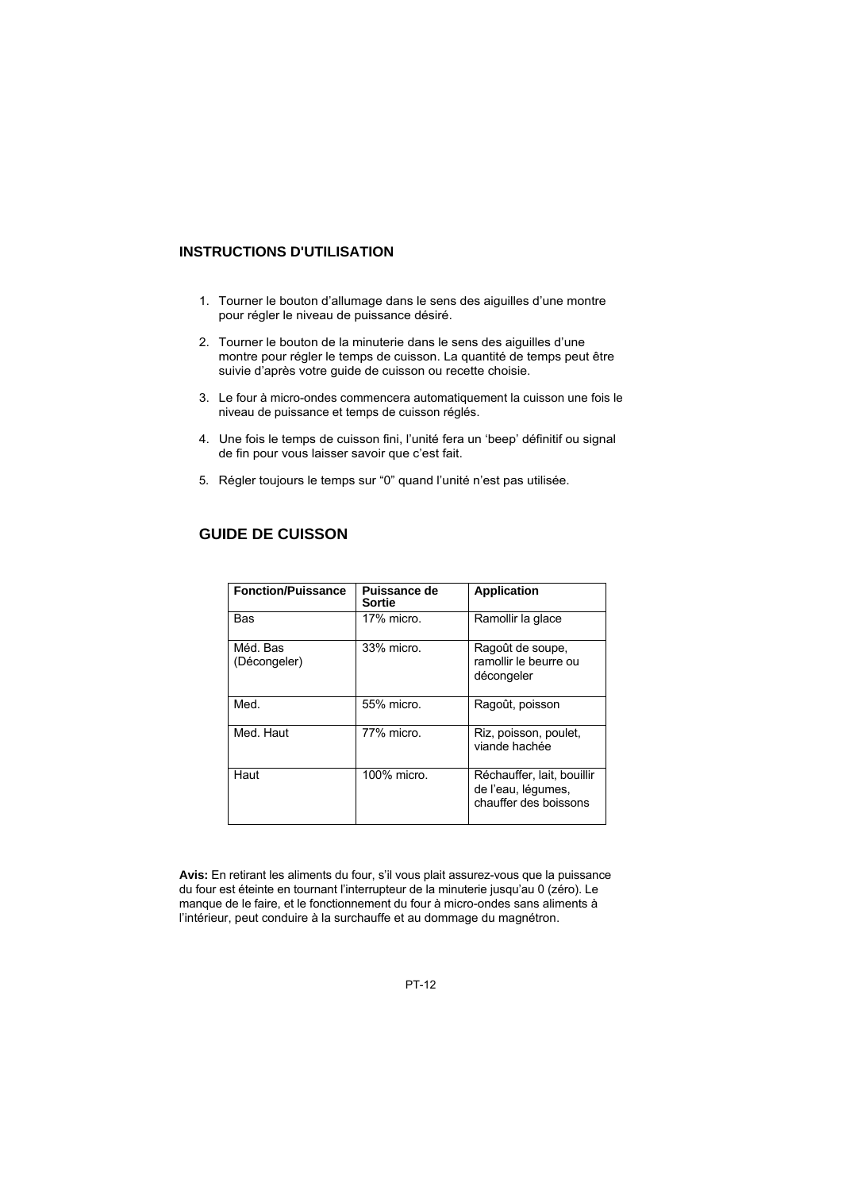#### **INSTRUCTIONS D'UTILISATION**

- 1. Tourner le bouton d'allumage dans le sens des aiguilles d'une montre pour régler le niveau de puissance désiré.
- 2. Tourner le bouton de la minuterie dans le sens des aiguilles d'une montre pour régler le temps de cuisson. La quantité de temps peut être suivie d'après votre quide de cuisson ou recette choisie.
- 3. Le four à micro-ondes commencera automatiquement la cuisson une fois le niveau de puissance et temps de cuisson réglés.
- 4. Une fois le temps de cuisson fini, l'unité fera un 'beep' définitif ou signal de fin pour vous laisser savoir que c'est fait.
- 5. Régler toujours le temps sur "0" quand l'unité n'est pas utilisée.

| <b>Fonction/Puissance</b> | Puissance de<br>Sortie | <b>Application</b>                                                        |
|---------------------------|------------------------|---------------------------------------------------------------------------|
| Bas                       | 17% micro.             | Ramollir la glace                                                         |
| Méd. Bas<br>(Décongeler)  | 33% micro.             | Ragoût de soupe.<br>ramollir le beurre ou<br>décongeler                   |
| Med.                      | 55% micro.             | Ragoût, poisson                                                           |
| Med. Haut                 | 77% micro.             | Riz, poisson, poulet,<br>viande hachée                                    |
| Haut                      | 100% micro.            | Réchauffer, lait, bouillir<br>de l'eau, légumes,<br>chauffer des boissons |

# **GUIDE DE CUISSON**

**Avis:** En retirant les aliments du four, s'il vous plait assurez-vous que la puissance du four est éteinte en tournant l'interrupteur de la minuterie jusqu'au 0 (zéro). Le manque de le faire, et le fonctionnement du four à micro-ondes sans aliments à l'intérieur, peut conduire à la surchauffe et au dommage du magnétron.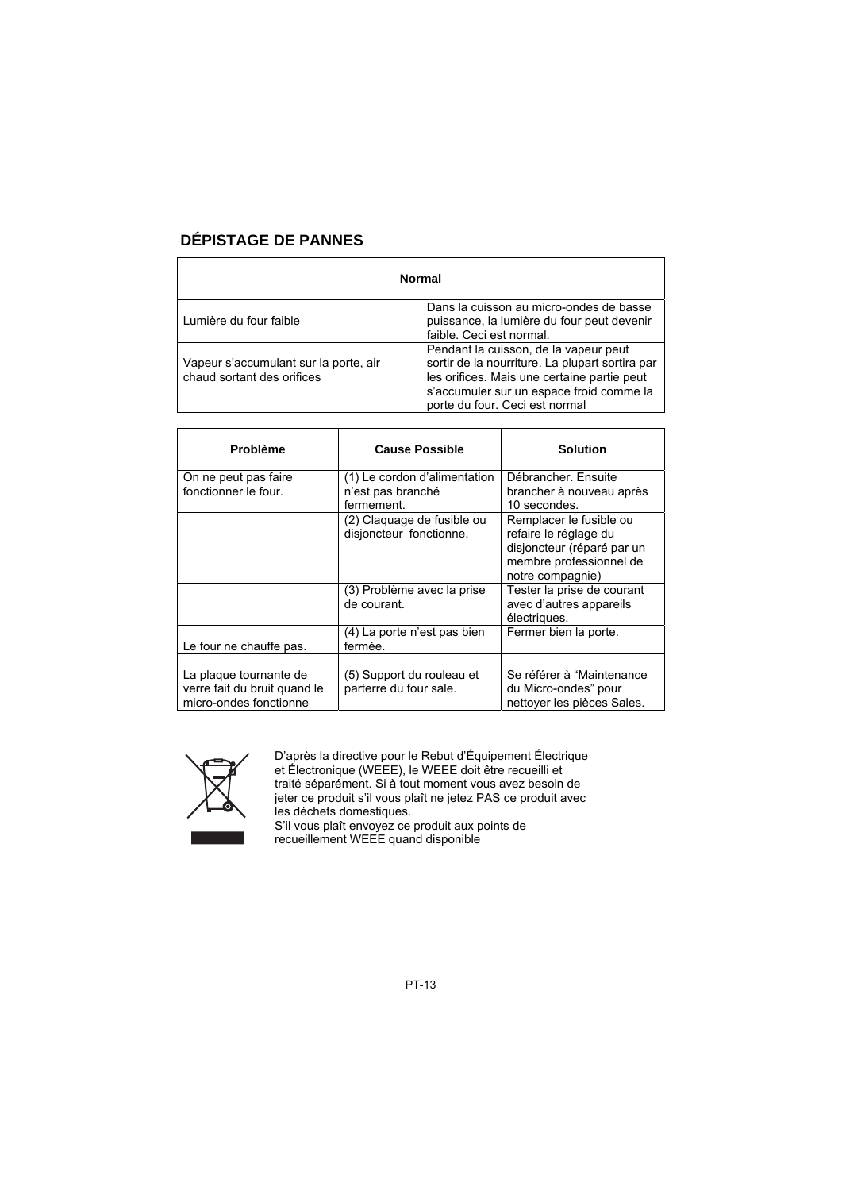# **DÉPISTAGE DE PANNES**

| <b>Normal</b>                                                       |                                                                                                                                                                                                                       |  |
|---------------------------------------------------------------------|-----------------------------------------------------------------------------------------------------------------------------------------------------------------------------------------------------------------------|--|
| Lumière du four faible                                              | Dans la cuisson au micro-ondes de basse<br>puissance, la lumière du four peut devenir<br>faible. Ceci est normal.                                                                                                     |  |
| Vapeur s'accumulant sur la porte, air<br>chaud sortant des orifices | Pendant la cuisson, de la vapeur peut<br>sortir de la nourriture. La plupart sortira par<br>les orifices. Mais une certaine partie peut<br>s'accumuler sur un espace froid comme la<br>porte du four. Ceci est normal |  |

| <b>Problème</b>                                                                  | <b>Cause Possible</b>                                           | <b>Solution</b>                                                                                                               |
|----------------------------------------------------------------------------------|-----------------------------------------------------------------|-------------------------------------------------------------------------------------------------------------------------------|
| On ne peut pas faire<br>fonctionner le four.                                     | (1) Le cordon d'alimentation<br>n'est pas branché<br>fermement. | Débrancher, Ensuite<br>brancher à nouveau après<br>10 secondes.                                                               |
|                                                                                  | (2) Claquage de fusible ou<br>disjoncteur fonctionne.           | Remplacer le fusible ou<br>refaire le réglage du<br>disjoncteur (réparé par un<br>membre professionnel de<br>notre compagnie) |
|                                                                                  | (3) Problème avec la prise<br>de courant.                       | Tester la prise de courant<br>avec d'autres appareils<br>électriques.                                                         |
| Le four ne chauffe pas.                                                          | (4) La porte n'est pas bien<br>fermée.                          | Fermer bien la porte.                                                                                                         |
| La plaque tournante de<br>verre fait du bruit quand le<br>micro-ondes fonctionne | (5) Support du rouleau et<br>parterre du four sale.             | Se référer à "Maintenance<br>du Micro-ondes" pour<br>nettover les pièces Sales.                                               |



D'après la directive pour le Rebut d'Équipement Électrique et Électronique (WEEE), le WEEE doit être recueilli et traité séparément. Si à tout moment vous avez besoin de jeter ce produit s'il vous plaît ne jetez PAS ce produit avec les déchets domestiques. S'il vous plaît envoyez ce produit aux points de

recueillement WEEE quand disponible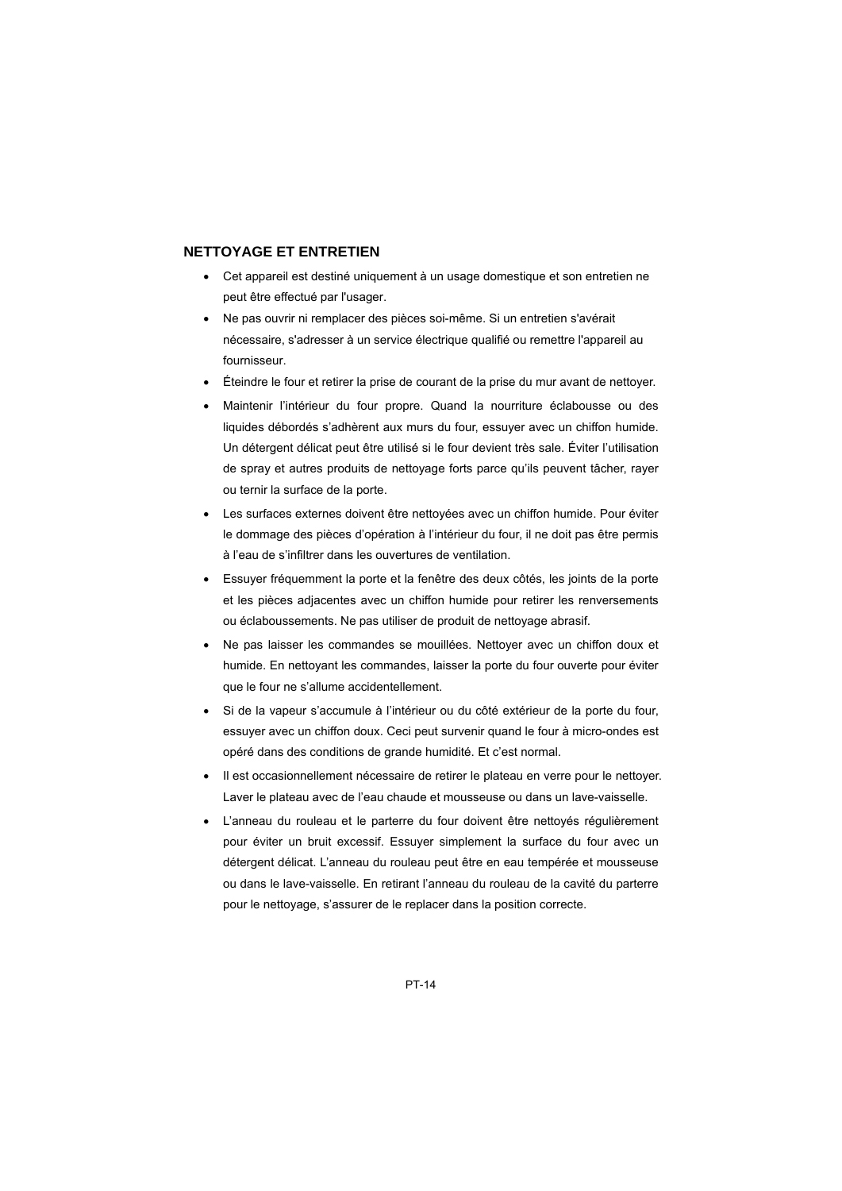#### **NETTOYAGE ET ENTRETIEN**

- Cet appareil est destiné uniquement à un usage domestique et son entretien ne peut être effectué par l'usager.
- Ne pas ouvrir ni remplacer des pièces soi-même. Si un entretien s'avérait nécessaire, s'adresser à un service électrique qualifié ou remettre l'appareil au fournisseur.
- Éteindre le four et retirer la prise de courant de la prise du mur avant de nettoyer.
- Maintenir l'intérieur du four propre. Quand la nourriture éclabousse ou des liquides débordés s'adhèrent aux murs du four, essuyer avec un chiffon humide. Un détergent délicat peut être utilisé si le four devient très sale. Éviter l'utilisation de spray et autres produits de nettoyage forts parce qu'ils peuvent tâcher, rayer ou ternir la surface de la porte.
- Les surfaces externes doivent être nettovées avec un chiffon humide. Pour éviter le dommage des pièces d'opération à l'intérieur du four, il ne doit pas être permis à l'eau de s'infiltrer dans les ouvertures de ventilation.
- Essuyer fréquemment la porte et la fenêtre des deux côtés, les joints de la porte et les pièces adjacentes avec un chiffon humide pour retirer les renversements ou éclaboussements. Ne pas utiliser de produit de nettoyage abrasif.
- Ne pas laisser les commandes se mouillées. Nettoyer avec un chiffon doux et humide. En nettoyant les commandes, laisser la porte du four ouverte pour éviter que le four ne s'allume accidentellement.
- Si de la vapeur s'accumule à l'intérieur ou du côté extérieur de la porte du four, essuyer avec un chiffon doux. Ceci peut survenir quand le four à micro-ondes est opéré dans des conditions de grande humidité. Et c'est normal.
- Il est occasionnellement nécessaire de retirer le plateau en verre pour le nettoyer. Laver le plateau avec de l'eau chaude et mousseuse ou dans un lave-vaisselle.
- L'anneau du rouleau et le parterre du four doivent être nettoyés régulièrement pour éviter un bruit excessif. Essuyer simplement la surface du four avec un détergent délicat. L'anneau du rouleau peut être en eau tempérée et mousseuse ou dans le lave-vaisselle. En retirant l'anneau du rouleau de la cavité du parterre pour le nettoyage, s'assurer de le replacer dans la position correcte.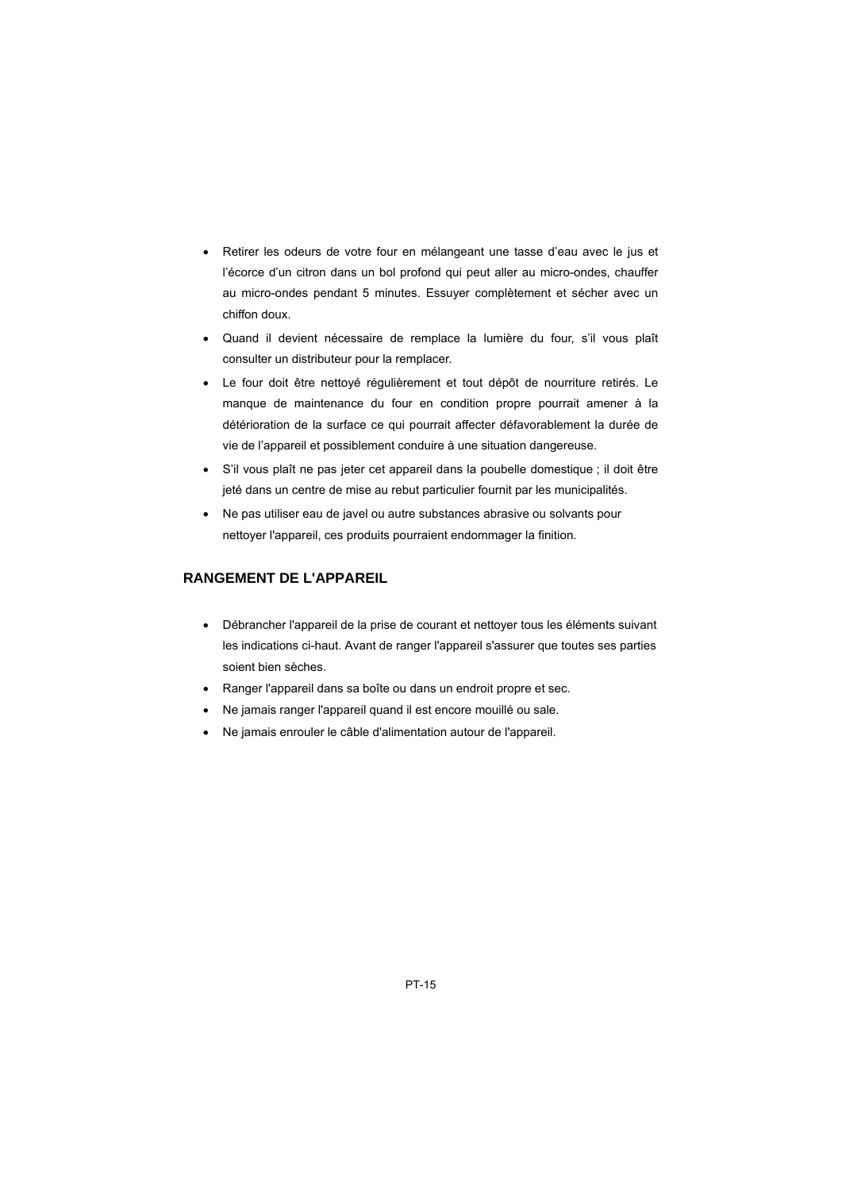- Retirer les odeurs de votre four en mélangeant une tasse d'eau avec le jus et l'écorce d'un citron dans un bol profond qui peut aller au micro-ondes, chauffer au micro-ondes pendant 5 minutes. Essuyer complètement et sécher avec un chiffon doux.
- Quand il devient nécessaire de remplace la lumière du four, s'il vous plaît consulter un distributeur pour la remplacer.
- Le four doit être nettoyé régulièrement et tout dépôt de nourriture retirés. Le manque de maintenance du four en condition propre pourrait amener à la détérioration de la surface ce qui pourrait affecter défavorablement la durée de vie de l'appareil et possiblement conduire à une situation dangereuse.
- S'il vous plaît ne pas jeter cet appareil dans la poubelle domestique ; il doit être jeté dans un centre de mise au rebut particulier fournit par les municipalités.
- Ne pas utiliser eau de javel ou autre substances abrasive ou solvants pour nettoyer l'appareil, ces produits pourraient endommager la finition.

#### **RANGEMENT DE L'APPAREIL**

- Débrancher l'appareil de la prise de courant et nettoyer tous les éléments suivant les indications ci-haut. Avant de ranger l'appareil s'assurer que toutes ses parties soient bien sèches.
- Ranger l'appareil dans sa boîte ou dans un endroit propre et sec.
- Ne jamais ranger l'appareil quand il est encore mouillé ou sale.
- Ne jamais enrouler le câble d'alimentation autour de l'appareil.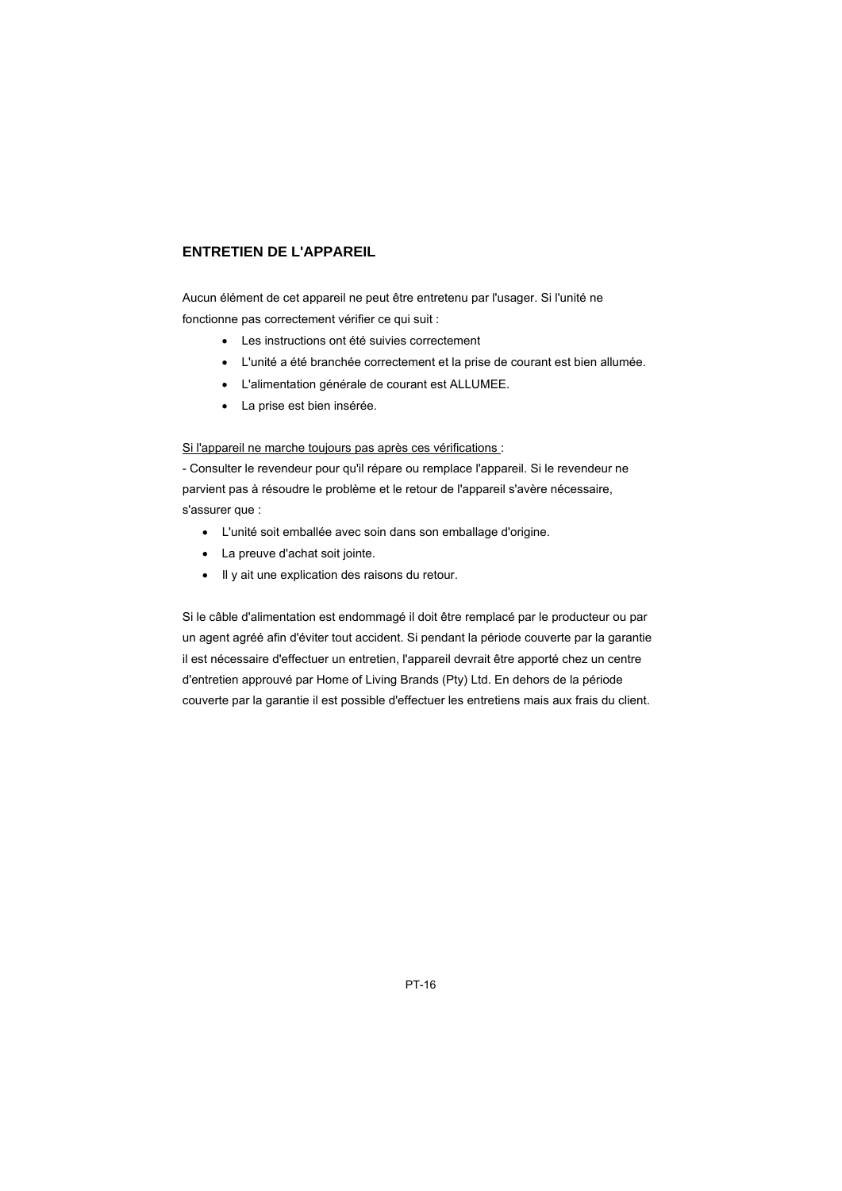#### **ENTRETIEN DE L'APPAREIL**

Aucun élément de cet appareil ne peut être entretenu par l'usager. Si l'unité ne fonctionne pas correctement vérifier ce qui suit :

- Les instructions ont été suivies correctement
- L'unité a été branchée correctement et la prise de courant est bien allumée.
- L'alimentation générale de courant est ALLUMEE.
- La prise est bien insérée.

Si l'appareil ne marche toujours pas après ces vérifications :

- Consulter le revendeur pour qu'il répare ou remplace l'appareil. Si le revendeur ne parvient pas à résoudre le problème et le retour de l'appareil s'avère nécessaire, s'assurer que :

- L'unité soit emballée avec soin dans son emballage d'origine.
- La preuve d'achat soit jointe.
- Il y ait une explication des raisons du retour.

Si le câble d'alimentation est endommagé il doit être remplacé par le producteur ou par un agent agréé afin d'éviter tout accident. Si pendant la période couverte par la garantie il est nécessaire d'effectuer un entretien, l'appareil devrait être apporté chez un centre d'entretien approuvé par Home of Living Brands (Pty) Ltd. En dehors de la période couverte par la garantie il est possible d'effectuer les entretiens mais aux frais du client.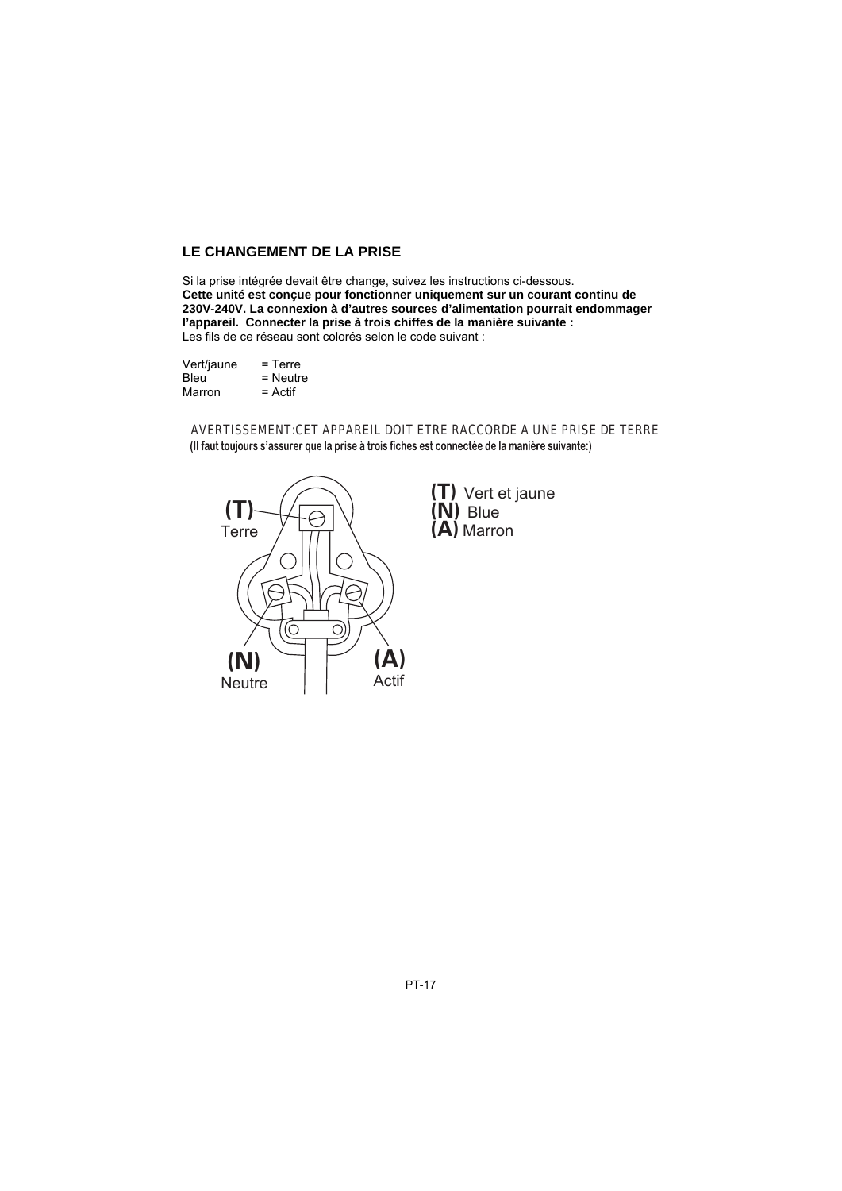# **LE CHANGEMENT DE LA PRISE**

Si la prise intégrée devait être change, suivez les instructions ci-dessous.

**Cette unité est conçue pour fonctionner uniquement sur un courant continu de 230V-240V. La connexion à d'autres sources d'alimentation pourrait endommager l'appareil. Connecter la prise à trois chiffes de la manière suivante :** Les fils de ce réseau sont colorés selon le code suivant :

| Vert/jaune | $=$ Terre  |
|------------|------------|
| Bleu       | $=$ Neutre |
| Marron     | $=$ Actif  |

AVERTISSEMENT:CET APPAREIL DOIT ETRE RACCORDE A UNE PRISE DE TERRE

(Il faut toujours s'assurer que la prise à trois fiches est connectée de la manière suivante:)



(T) Vert et jaune (N) Blue (A) Marron